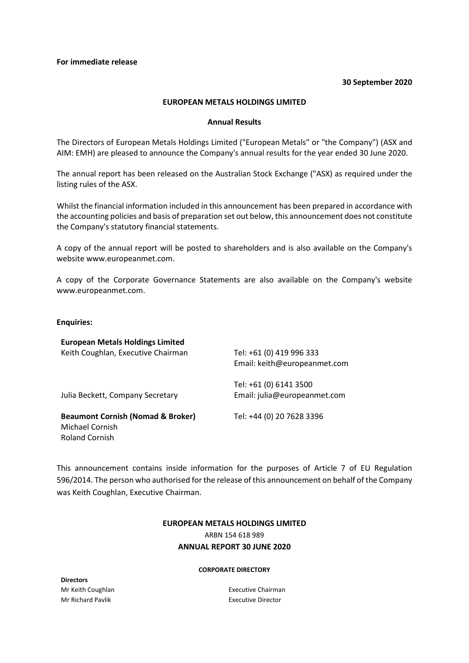# **30 September 2020**

# **EUROPEAN METALS HOLDINGS LIMITED**

# **Annual Results**

The Directors of European Metals Holdings Limited ("European Metals" or "the Company") (ASX and AIM: EMH) are pleased to announce the Company's annual results for the year ended 30 June 2020.

The annual report has been released on the Australian Stock Exchange ("ASX) as required under the listing rules of the ASX.

Whilst the financial information included in this announcement has been prepared in accordance with the accounting policies and basis of preparation set out below, this announcement does not constitute the Company's statutory financial statements.

A copy of the annual report will be posted to shareholders and is also available on the Company's website www.europeanmet.com.

A copy of the Corporate Governance Statements are also available on the Company's website www.europeanmet.com.

# **Enquiries:**

| <b>European Metals Holdings Limited</b>      |                              |
|----------------------------------------------|------------------------------|
| Keith Coughlan, Executive Chairman           | Tel: +61 (0) 419 996 333     |
|                                              | Email: keith@europeanmet.com |
|                                              | Tel: +61 (0) 6141 3500       |
| Julia Beckett, Company Secretary             | Email: julia@europeanmet.com |
| <b>Beaumont Cornish (Nomad &amp; Broker)</b> | Tel: +44 (0) 20 7628 3396    |
| Michael Cornish                              |                              |
| Roland Cornish                               |                              |

This announcement contains inside information for the purposes of Article 7 of EU Regulation 596/2014. The person who authorised for the release of this announcement on behalf of the Company was Keith Coughlan, Executive Chairman.

# **EUROPEAN METALS HOLDINGS LIMITED** ARBN 154 618 989 **ANNUAL REPORT 30 JUNE 2020**

#### **CORPORATE DIRECTORY**

**Directors** Mr Keith Coughlan Mr Richard Pavlik

Executive Chairman Executive Director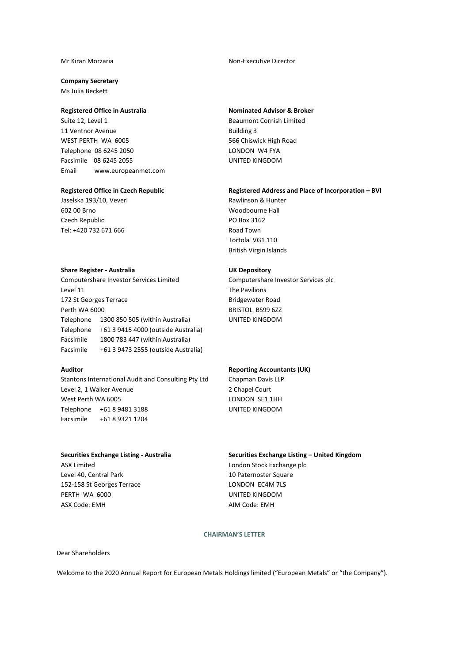#### Mr Kiran Morzaria

#### **Company Secretary**

Ms Julia Beckett

## **Registered Office in Australia**

Suite 12, Level 1 11 Ventnor Avenue WEST PERTH WA 6005 Telephone 08 6245 2050 Facsimile 08 6245 2055 Email www.europeanmet.com

# **Registered Office in Czech Republic**

Jaselska 193/10, Veveri 602 00 Brno Czech Republic Tel: +420 732 671 666

# Non-Executive Director

#### **Nominated Advisor & Broker**

Beaumont Cornish Limited Building 3 566 Chiswick High Road LONDON W4 FYA UNITED KINGDOM

## **Registered Address and Place of Incorporation – BVI**

Rawlinson & Hunter Woodbourne Hall PO Box 3162 Road Town Tortola VG1 110 British Virgin Islands

Computershare Investor Services plc

**UK Depository**

The Pavilions Bridgewater Road BRISTOL BS99 6ZZ UNITED KINGDOM

#### **Share Register - Australia**

Computershare Investor Services Limited Level 11 172 St Georges Terrace Perth WA 6000 Telephone 1300 850 505 (within Australia) Telephone +61 3 9415 4000 (outside Australia) Facsimile 1800 783 447 (within Australia) Facsimile +61 3 9473 2555 (outside Australia)

## **Auditor**

Stantons International Audit and Consulting Pty Ltd Level 2, 1 Walker Avenue West Perth WA 6005 Telephone +61 8 9481 3188 Facsimile +61 8 9321 1204

# **Reporting Accountants (UK)**

Chapman Davis LLP 2 Chapel Court LONDON SE1 1HH UNITED KINGDOM

#### **Securities Exchange Listing - Australia**

ASX Limited Level 40, Central Park 152-158 St Georges Terrace PERTH WA 6000 ASX Code: EMH

**Securities Exchange Listing – United Kingdom**  London Stock Exchange plc 10 Paternoster Square LONDON EC4M 7LS UNITED KINGDOM AIM Code: EMH

# **CHAIRMAN'S LETTER**

Dear Shareholders

Welcome to the 2020 Annual Report for European Metals Holdings limited ("European Metals" or "the Company").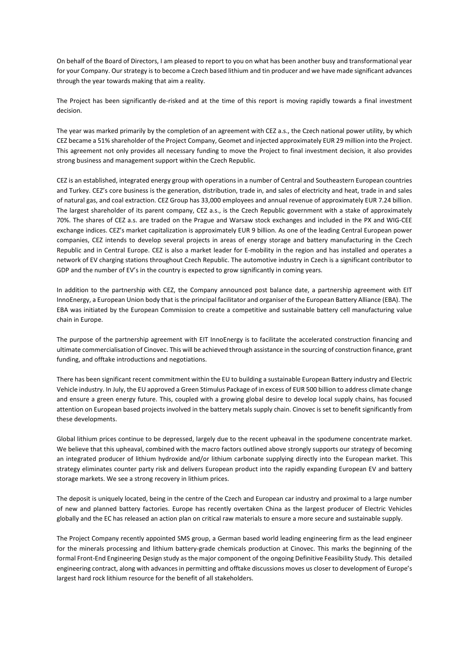On behalf of the Board of Directors, I am pleased to report to you on what has been another busy and transformational year for your Company. Our strategy is to become a Czech based lithium and tin producer and we have made significant advances through the year towards making that aim a reality.

The Project has been significantly de-risked and at the time of this report is moving rapidly towards a final investment decision.

The year was marked primarily by the completion of an agreement with CEZ a.s., the Czech national power utility, by which CEZ became a 51% shareholder of the Project Company, Geomet and injected approximately EUR 29 million into the Project. This agreement not only provides all necessary funding to move the Project to final investment decision, it also provides strong business and management support within the Czech Republic.

CEZ is an established, integrated energy group with operations in a number of Central and Southeastern European countries and Turkey. CEZ's core business is the generation, distribution, trade in, and sales of electricity and heat, trade in and sales of natural gas, and coal extraction. CEZ Group has 33,000 employees and annual revenue of approximately EUR 7.24 billion. The largest shareholder of its parent company, CEZ a.s., is the Czech Republic government with a stake of approximately 70%. The shares of CEZ a.s. are traded on the Prague and Warsaw stock exchanges and included in the PX and WIG-CEE exchange indices. CEZ's market capitalization is approximately EUR 9 billion. As one of the leading Central European power companies, CEZ intends to develop several projects in areas of energy storage and battery manufacturing in the Czech Republic and in Central Europe. CEZ is also a market leader for E-mobility in the region and has installed and operates a network of EV charging stations throughout Czech Republic. The automotive industry in Czech is a significant contributor to GDP and the number of EV's in the country is expected to grow significantly in coming years.

In addition to the partnership with CEZ, the Company announced post balance date, a partnership agreement with EIT InnoEnergy, a European Union body that is the principal facilitator and organiser of the European Battery Alliance (EBA). The EBA was initiated by the European Commission to create a competitive and sustainable battery cell manufacturing value chain in Europe.

The purpose of the partnership agreement with EIT InnoEnergy is to facilitate the accelerated construction financing and ultimate commercialisation of Cinovec. This will be achieved through assistance in the sourcing of construction finance, grant funding, and offtake introductions and negotiations.

There has been significant recent commitment within the EU to building a sustainable European Battery industry and Electric Vehicle industry. In July, the EU approved a Green Stimulus Package of in excess of EUR 500 billion to address climate change and ensure a green energy future. This, coupled with a growing global desire to develop local supply chains, has focused attention on European based projects involved in the battery metals supply chain. Cinovec is set to benefit significantly from these developments.

Global lithium prices continue to be depressed, largely due to the recent upheaval in the spodumene concentrate market. We believe that this upheaval, combined with the macro factors outlined above strongly supports our strategy of becoming an integrated producer of lithium hydroxide and/or lithium carbonate supplying directly into the European market. This strategy eliminates counter party risk and delivers European product into the rapidly expanding European EV and battery storage markets. We see a strong recovery in lithium prices.

The deposit is uniquely located, being in the centre of the Czech and European car industry and proximal to a large number of new and planned battery factories. Europe has recently overtaken China as the largest producer of Electric Vehicles globally and the EC has released an action plan on critical raw materials to ensure a more secure and sustainable supply.

The Project Company recently appointed SMS group, a German based world leading engineering firm as the lead engineer for the minerals processing and lithium battery-grade chemicals production at Cinovec. This marks the beginning of the formal Front-End Engineering Design study as the major component of the ongoing Definitive Feasibility Study. This detailed engineering contract, along with advances in permitting and offtake discussions moves us closer to development of Europe's largest hard rock lithium resource for the benefit of all stakeholders.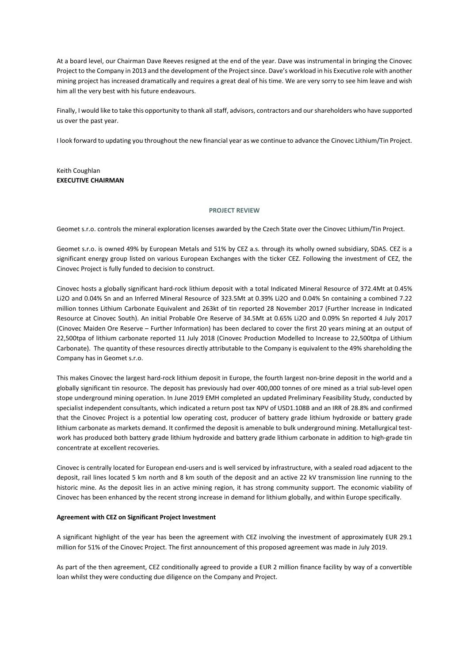At a board level, our Chairman Dave Reeves resigned at the end of the year. Dave was instrumental in bringing the Cinovec Project to the Company in 2013 and the development of the Project since. Dave's workload in his Executive role with another mining project has increased dramatically and requires a great deal of his time. We are very sorry to see him leave and wish him all the very best with his future endeavours.

Finally, I would like to take this opportunity to thank all staff, advisors, contractors and our shareholders who have supported us over the past year.

I look forward to updating you throughout the new financial year as we continue to advance the Cinovec Lithium/Tin Project.

Keith Coughlan **EXECUTIVE CHAIRMAN**

#### **PROJECT REVIEW**

Geomet s.r.o. controls the mineral exploration licenses awarded by the Czech State over the Cinovec Lithium/Tin Project.

Geomet s.r.o. is owned 49% by European Metals and 51% by CEZ a.s. through its wholly owned subsidiary, SDAS. CEZ is a significant energy group listed on various European Exchanges with the ticker CEZ. Following the investment of CEZ, the Cinovec Project is fully funded to decision to construct.

Cinovec hosts a globally significant hard-rock lithium deposit with a total Indicated Mineral Resource of 372.4Mt at 0.45% Li2O and 0.04% Sn and an Inferred Mineral Resource of 323.5Mt at 0.39% Li2O and 0.04% Sn containing a combined 7.22 million tonnes Lithium Carbonate Equivalent and 263kt of tin reported 28 November 2017 (Further Increase in Indicated Resource at Cinovec South). An initial Probable Ore Reserve of 34.5Mt at 0.65% Li2O and 0.09% Sn reported 4 July 2017 (Cinovec Maiden Ore Reserve – Further Information) has been declared to cover the first 20 years mining at an output of 22,500tpa of lithium carbonate reported 11 July 2018 (Cinovec Production Modelled to Increase to 22,500tpa of Lithium Carbonate). The quantity of these resources directly attributable to the Company is equivalent to the 49% shareholding the Company has in Geomet s.r.o.

This makes Cinovec the largest hard-rock lithium deposit in Europe, the fourth largest non-brine deposit in the world and a globally significant tin resource. The deposit has previously had over 400,000 tonnes of ore mined as a trial sub-level open stope underground mining operation. In June 2019 EMH completed an updated Preliminary Feasibility Study, conducted by specialist independent consultants, which indicated a return post tax NPV of USD1.108B and an IRR of 28.8% and confirmed that the Cinovec Project is a potential low operating cost, producer of battery grade lithium hydroxide or battery grade lithium carbonate as markets demand. It confirmed the deposit is amenable to bulk underground mining. Metallurgical testwork has produced both battery grade lithium hydroxide and battery grade lithium carbonate in addition to high-grade tin concentrate at excellent recoveries.

Cinovec is centrally located for European end-users and is well serviced by infrastructure, with a sealed road adjacent to the deposit, rail lines located 5 km north and 8 km south of the deposit and an active 22 kV transmission line running to the historic mine. As the deposit lies in an active mining region, it has strong community support. The economic viability of Cinovec has been enhanced by the recent strong increase in demand for lithium globally, and within Europe specifically.

#### **Agreement with CEZ on Significant Project Investment**

A significant highlight of the year has been the agreement with CEZ involving the investment of approximately EUR 29.1 million for 51% of the Cinovec Project. The first announcement of this proposed agreement was made in July 2019.

As part of the then agreement, CEZ conditionally agreed to provide a EUR 2 million finance facility by way of a convertible loan whilst they were conducting due diligence on the Company and Project.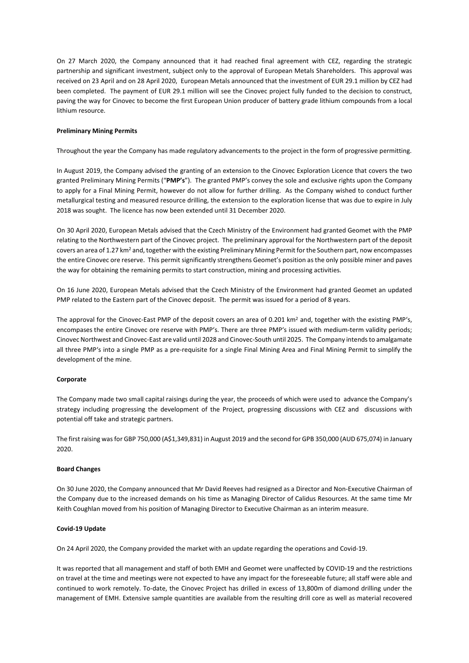On 27 March 2020, the Company announced that it had reached final agreement with CEZ, regarding the strategic partnership and significant investment, subject only to the approval of European Metals Shareholders. This approval was received on 23 April and on 28 April 2020, European Metals announced that the investment of EUR 29.1 million by CEZ had been completed. The payment of EUR 29.1 million will see the Cinovec project fully funded to the decision to construct, paving the way for Cinovec to become the first European Union producer of battery grade lithium compounds from a local lithium resource.

# **Preliminary Mining Permits**

Throughout the year the Company has made regulatory advancements to the project in the form of progressive permitting.

In August 2019, the Company advised the granting of an extension to the Cinovec Exploration Licence that covers the two granted Preliminary Mining Permits ("**PMP's**"). The granted PMP's convey the sole and exclusive rights upon the Company to apply for a Final Mining Permit, however do not allow for further drilling. As the Company wished to conduct further metallurgical testing and measured resource drilling, the extension to the exploration license that was due to expire in July 2018 was sought. The licence has now been extended until 31 December 2020.

On 30 April 2020, European Metals advised that the Czech Ministry of the Environment had granted Geomet with the PMP relating to the Northwestern part of the Cinovec project. The preliminary approval for the Northwestern part of the deposit covers an area of 1.27 km<sup>2</sup> and, together with the existing Preliminary Mining Permit for the Southern part, now encompasses the entire Cinovec ore reserve. This permit significantly strengthens Geomet's position as the only possible miner and paves the way for obtaining the remaining permits to start construction, mining and processing activities.

On 16 June 2020, European Metals advised that the Czech Ministry of the Environment had granted Geomet an updated PMP related to the Eastern part of the Cinovec deposit. The permit was issued for a period of 8 years.

The approval for the Cinovec-East PMP of the deposit covers an area of 0.201 km<sup>2</sup> and, together with the existing PMP's, encompases the entire Cinovec ore reserve with PMP's. There are three PMP's issued with medium-term validity periods; Cinovec Northwest and Cinovec-East are valid until 2028 and Cinovec-South until 2025. The Company intends to amalgamate all three PMP's into a single PMP as a pre-requisite for a single Final Mining Area and Final Mining Permit to simplify the development of the mine.

#### **Corporate**

The Company made two small capital raisings during the year, the proceeds of which were used to advance the Company's strategy including progressing the development of the Project, progressing discussions with CEZ and discussions with potential off take and strategic partners.

The first raising was for GBP 750,000 (A\$1,349,831) in August 2019 and the second for GPB 350,000 (AUD 675,074) in January 2020.

# **Board Changes**

On 30 June 2020, the Company announced that Mr David Reeves had resigned as a Director and Non-Executive Chairman of the Company due to the increased demands on his time as Managing Director of Calidus Resources. At the same time Mr Keith Coughlan moved from his position of Managing Director to Executive Chairman as an interim measure.

# **Covid-19 Update**

On 24 April 2020, the Company provided the market with an update regarding the operations and Covid-19.

It was reported that all management and staff of both EMH and Geomet were unaffected by COVID-19 and the restrictions on travel at the time and meetings were not expected to have any impact for the foreseeable future; all staff were able and continued to work remotely. To-date, the Cinovec Project has drilled in excess of 13,800m of diamond drilling under the management of EMH. Extensive sample quantities are available from the resulting drill core as well as material recovered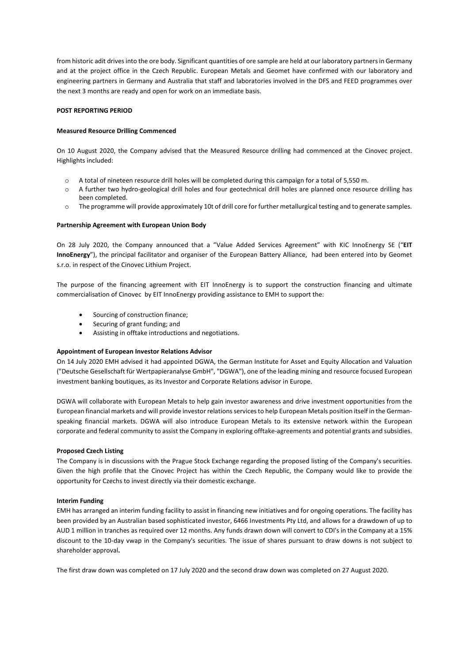from historic adit drives into the ore body. Significant quantities of ore sample are held at our laboratory partners in Germany and at the project office in the Czech Republic. European Metals and Geomet have confirmed with our laboratory and engineering partners in Germany and Australia that staff and laboratories involved in the DFS and FEED programmes over the next 3 months are ready and open for work on an immediate basis.

# **POST REPORTING PERIOD**

#### **Measured Resource Drilling Commenced**

On 10 August 2020, the Company advised that the Measured Resource drilling had commenced at the Cinovec project. Highlights included:

- o A total of nineteen resource drill holes will be completed during this campaign for a total of 5,550 m.
- o A further two hydro-geological drill holes and four geotechnical drill holes are planned once resource drilling has been completed.
- o The programme will provide approximately 10t of drill core for further metallurgical testing and to generate samples.

#### **Partnership Agreement with European Union Body**

On 28 July 2020, the Company announced that a "Value Added Services Agreement" with KIC InnoEnergy SE ("**EIT InnoEnergy**"), the principal facilitator and organiser of the European Battery Alliance, had been entered into by Geomet s.r.o. in respect of the Cinovec Lithium Project.

The purpose of the financing agreement with EIT InnoEnergy is to support the construction financing and ultimate commercialisation of Cinovec by EIT InnoEnergy providing assistance to EMH to support the:

- Sourcing of construction finance;
- Securing of grant funding; and
- Assisting in offtake introductions and negotiations.

# **Appointment of European Investor Relations Advisor**

On 14 July 2020 EMH advised it had appointed DGWA, the German Institute for Asset and Equity Allocation and Valuation ("Deutsche Gesellschaft für Wertpapieranalyse GmbH", "DGWA"), one of the leading mining and resource focused European investment banking boutiques, as its Investor and Corporate Relations advisor in Europe.

DGWA will collaborate with European Metals to help gain investor awareness and drive investment opportunities from the European financial markets and will provide investor relations services to help European Metals position itself in the Germanspeaking financial markets. DGWA will also introduce European Metals to its extensive network within the European corporate and federal community to assist the Company in exploring offtake-agreements and potential grants and subsidies.

#### **Proposed Czech Listing**

The Company is in discussions with the Prague Stock Exchange regarding the proposed listing of the Company's securities. Given the high profile that the Cinovec Project has within the Czech Republic, the Company would like to provide the opportunity for Czechs to invest directly via their domestic exchange.

#### **Interim Funding**

EMH has arranged an interim funding facility to assist in financing new initiatives and for ongoing operations. The facility has been provided by an Australian based sophisticated investor, 6466 Investments Pty Ltd, and allows for a drawdown of up to AUD 1 million in tranches as required over 12 months. Any funds drawn down will convert to CDI's in the Company at a 15% discount to the 10-day vwap in the Company's securities. The issue of shares pursuant to draw downs is not subject to shareholder approval**.**

The first draw down was completed on 17 July 2020 and the second draw down was completed on 27 August 2020.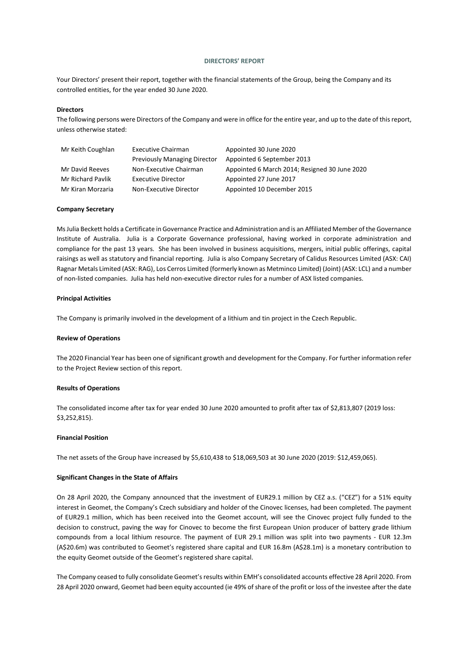#### **DIRECTORS' REPORT**

Your Directors' present their report, together with the financial statements of the Group, being the Company and its controlled entities, for the year ended 30 June 2020.

#### **Directors**

The following persons were Directors of the Company and were in office for the entire year, and up to the date of this report, unless otherwise stated:

| Mr Keith Coughlan | <b>Executive Chairman</b>           | Appointed 30 June 2020                        |  |  |  |  |
|-------------------|-------------------------------------|-----------------------------------------------|--|--|--|--|
|                   | <b>Previously Managing Director</b> | Appointed 6 September 2013                    |  |  |  |  |
| Mr David Reeves   | Non-Executive Chairman              | Appointed 6 March 2014; Resigned 30 June 2020 |  |  |  |  |
| Mr Richard Pavlik | <b>Executive Director</b>           | Appointed 27 June 2017                        |  |  |  |  |
| Mr Kiran Morzaria | Non-Executive Director              | Appointed 10 December 2015                    |  |  |  |  |

#### **Company Secretary**

MsJulia Beckett holds a Certificate in Governance Practice and Administration and is an Affiliated Member of the Governance Institute of Australia. Julia is a Corporate Governance professional, having worked in corporate administration and compliance for the past 13 years. She has been involved in business acquisitions, mergers, initial public offerings, capital raisings as well as statutory and financial reporting. Julia is also Company Secretary of Calidus Resources Limited (ASX: CAI) Ragnar Metals Limited (ASX: RAG), Los Cerros Limited (formerly known as Metminco Limited) (Joint) (ASX: LCL) and a number of non-listed companies. Julia has held non-executive director rules for a number of ASX listed companies.

#### **Principal Activities**

The Company is primarily involved in the development of a lithium and tin project in the Czech Republic.

#### **Review of Operations**

The 2020 Financial Year has been one of significant growth and development for the Company. For further information refer to the Project Review section of this report.

#### **Results of Operations**

The consolidated income after tax for year ended 30 June 2020 amounted to profit after tax of \$2,813,807 (2019 loss: \$3,252,815).

#### **Financial Position**

The net assets of the Group have increased by \$5,610,438 to \$18,069,503 at 30 June 2020 (2019: \$12,459,065).

# **Significant Changes in the State of Affairs**

On 28 April 2020, the Company announced that the investment of EUR29.1 million by CEZ a.s. ("CEZ") for a 51% equity interest in Geomet, the Company's Czech subsidiary and holder of the Cinovec licenses, had been completed. The payment of EUR29.1 million, which has been received into the Geomet account, will see the Cinovec project fully funded to the decision to construct, paving the way for Cinovec to become the first European Union producer of battery grade lithium compounds from a local lithium resource. The payment of EUR 29.1 million was split into two payments - EUR 12.3m (A\$20.6m) was contributed to Geomet's registered share capital and EUR 16.8m (A\$28.1m) is a monetary contribution to the equity Geomet outside of the Geomet's registered share capital.

The Company ceased to fully consolidate Geomet's results within EMH's consolidated accounts effective 28 April 2020. From 28 April 2020 onward, Geomet had been equity accounted (ie 49% of share of the profit or loss of the investee after the date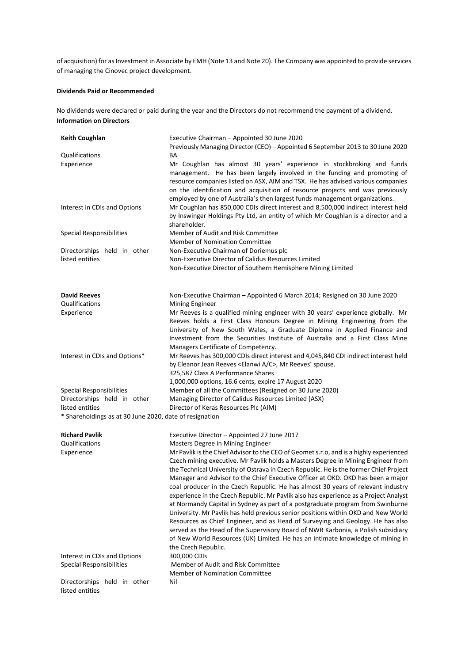of acquisition) for as Investment in Associate by EMH (Note 13 and Note 20). The Company was appointed to provide services of managing the Cinovec project development.

# **Dividends Paid or Recommended**

No dividends were declared or paid during the year and the Directors do not recommend the payment of a dividend. **Information on Directors**

| <b>Keith Coughlan</b>                                   | Executive Chairman - Appointed 30 June 2020<br>Previously Managing Director (CEO) - Appointed 6 September 2013 to 30 June 2020                                                                                                                                                                                                                                                                                                                                                                                                                                                                                                                                                                                                                                                                                                                                                                                                                                                           |
|---------------------------------------------------------|------------------------------------------------------------------------------------------------------------------------------------------------------------------------------------------------------------------------------------------------------------------------------------------------------------------------------------------------------------------------------------------------------------------------------------------------------------------------------------------------------------------------------------------------------------------------------------------------------------------------------------------------------------------------------------------------------------------------------------------------------------------------------------------------------------------------------------------------------------------------------------------------------------------------------------------------------------------------------------------|
| Qualifications                                          | BА                                                                                                                                                                                                                                                                                                                                                                                                                                                                                                                                                                                                                                                                                                                                                                                                                                                                                                                                                                                       |
| Experience                                              | Mr Coughlan has almost 30 years' experience in stockbroking and funds<br>management. He has been largely involved in the funding and promoting of<br>resource companies listed on ASX, AIM and TSX. He has advised various companies<br>on the identification and acquisition of resource projects and was previously<br>employed by one of Australia's then largest funds management organizations.                                                                                                                                                                                                                                                                                                                                                                                                                                                                                                                                                                                     |
| Interest in CDIs and Options                            | Mr Coughlan has 850,000 CDIs direct interest and 8,500,000 indirect interest held<br>by Inswinger Holdings Pty Ltd, an entity of which Mr Coughlan is a director and a<br>shareholder.                                                                                                                                                                                                                                                                                                                                                                                                                                                                                                                                                                                                                                                                                                                                                                                                   |
| Special Responsibilities                                | Member of Audit and Risk Committee<br><b>Member of Nomination Committee</b>                                                                                                                                                                                                                                                                                                                                                                                                                                                                                                                                                                                                                                                                                                                                                                                                                                                                                                              |
| Directorships held in other                             | Non-Executive Chairman of Doriemus plc                                                                                                                                                                                                                                                                                                                                                                                                                                                                                                                                                                                                                                                                                                                                                                                                                                                                                                                                                   |
| listed entities                                         | Non-Executive Director of Calidus Resources Limited                                                                                                                                                                                                                                                                                                                                                                                                                                                                                                                                                                                                                                                                                                                                                                                                                                                                                                                                      |
|                                                         | Non-Executive Director of Southern Hemisphere Mining Limited                                                                                                                                                                                                                                                                                                                                                                                                                                                                                                                                                                                                                                                                                                                                                                                                                                                                                                                             |
| <b>David Reeves</b>                                     | Non-Executive Chairman - Appointed 6 March 2014; Resigned on 30 June 2020                                                                                                                                                                                                                                                                                                                                                                                                                                                                                                                                                                                                                                                                                                                                                                                                                                                                                                                |
| Qualifications<br>Experience                            | <b>Mining Engineer</b><br>Mr Reeves is a qualified mining engineer with 30 years' experience globally. Mr<br>Reeves holds a First Class Honours Degree in Mining Engineering from the<br>University of New South Wales, a Graduate Diploma in Applied Finance and<br>Investment from the Securities Institute of Australia and a First Class Mine<br>Managers Certificate of Competency.                                                                                                                                                                                                                                                                                                                                                                                                                                                                                                                                                                                                 |
| Interest in CDIs and Options*                           | Mr Reeves has 300,000 CDIs direct interest and 4,045,840 CDI indirect interest held<br>by Eleanor Jean Reeves <elanwi a="" c="">, Mr Reeves' spouse.<br/>325,587 Class A Performance Shares<br/>1,000,000 options, 16.6 cents, expire 17 August 2020</elanwi>                                                                                                                                                                                                                                                                                                                                                                                                                                                                                                                                                                                                                                                                                                                            |
| Special Responsibilities                                | Member of all the Committees (Resigned on 30 June 2020)                                                                                                                                                                                                                                                                                                                                                                                                                                                                                                                                                                                                                                                                                                                                                                                                                                                                                                                                  |
| Directorships held in other                             | Managing Director of Calidus Resources Limited (ASX)                                                                                                                                                                                                                                                                                                                                                                                                                                                                                                                                                                                                                                                                                                                                                                                                                                                                                                                                     |
| listed entities                                         | Director of Keras Resources Plc (AIM)                                                                                                                                                                                                                                                                                                                                                                                                                                                                                                                                                                                                                                                                                                                                                                                                                                                                                                                                                    |
| * Shareholdings as at 30 June 2020, date of resignation |                                                                                                                                                                                                                                                                                                                                                                                                                                                                                                                                                                                                                                                                                                                                                                                                                                                                                                                                                                                          |
| <b>Richard Pavlik</b>                                   | Executive Director - Appointed 27 June 2017                                                                                                                                                                                                                                                                                                                                                                                                                                                                                                                                                                                                                                                                                                                                                                                                                                                                                                                                              |
| Qualifications                                          | Masters Degree in Mining Engineer                                                                                                                                                                                                                                                                                                                                                                                                                                                                                                                                                                                                                                                                                                                                                                                                                                                                                                                                                        |
| Experience                                              | Mr Pavlik is the Chief Advisor to the CEO of Geomet s.r.o, and is a highly experienced<br>Czech mining executive. Mr Pavlik holds a Masters Degree in Mining Engineer from<br>the Technical University of Ostrava in Czech Republic. He is the former Chief Project<br>Manager and Advisor to the Chief Executive Officer at OKD. OKD has been a major<br>coal producer in the Czech Republic. He has almost 30 years of relevant industry<br>experience in the Czech Republic. Mr Pavlik also has experience as a Project Analyst<br>at Normandy Capital in Sydney as part of a postgraduate program from Swinburne<br>University. Mr Pavlik has held previous senior positions within OKD and New World<br>Resources as Chief Engineer, and as Head of Surveying and Geology. He has also<br>served as the Head of the Supervisory Board of NWR Karbonia, a Polish subsidiary<br>of New World Resources (UK) Limited. He has an intimate knowledge of mining in<br>the Czech Republic. |
| Interest in CDIs and Options                            | 300,000 CDIs                                                                                                                                                                                                                                                                                                                                                                                                                                                                                                                                                                                                                                                                                                                                                                                                                                                                                                                                                                             |
| <b>Special Responsibilities</b>                         | Member of Audit and Risk Committee<br><b>Member of Nomination Committee</b>                                                                                                                                                                                                                                                                                                                                                                                                                                                                                                                                                                                                                                                                                                                                                                                                                                                                                                              |
| Directorships held in other<br>listed entities          | Nil                                                                                                                                                                                                                                                                                                                                                                                                                                                                                                                                                                                                                                                                                                                                                                                                                                                                                                                                                                                      |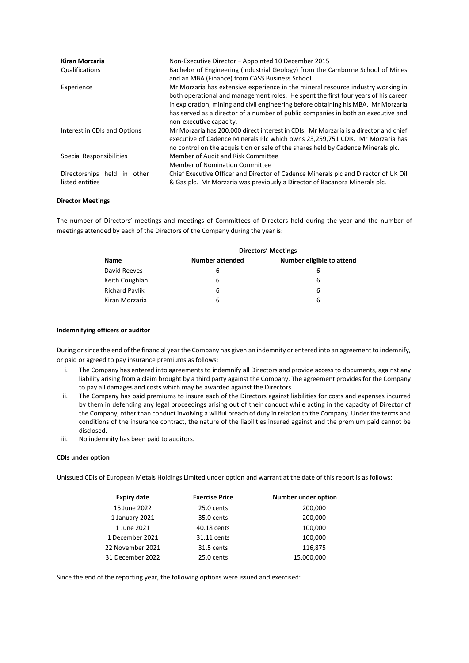| Kiran Morzaria<br>Qualifications               | Non-Executive Director - Appointed 10 December 2015<br>Bachelor of Engineering (Industrial Geology) from the Camborne School of Mines<br>and an MBA (Finance) from CASS Business School                                                                                                                                                                                      |
|------------------------------------------------|------------------------------------------------------------------------------------------------------------------------------------------------------------------------------------------------------------------------------------------------------------------------------------------------------------------------------------------------------------------------------|
| Experience                                     | Mr Morzaria has extensive experience in the mineral resource industry working in<br>both operational and management roles. He spent the first four years of his career<br>in exploration, mining and civil engineering before obtaining his MBA. Mr Morzaria<br>has served as a director of a number of public companies in both an executive and<br>non-executive capacity. |
| Interest in CDIs and Options                   | Mr Morzaria has 200,000 direct interest in CDIs. Mr Morzaria is a director and chief<br>executive of Cadence Minerals Plc which owns 23,259,751 CDIs. Mr Morzaria has<br>no control on the acquisition or sale of the shares held by Cadence Minerals plc.                                                                                                                   |
| Special Responsibilities                       | Member of Audit and Risk Committee<br>Member of Nomination Committee                                                                                                                                                                                                                                                                                                         |
| Directorships held in other<br>listed entities | Chief Executive Officer and Director of Cadence Minerals plc and Director of UK Oil<br>& Gas plc. Mr Morzaria was previously a Director of Bacanora Minerals plc.                                                                                                                                                                                                            |

### **Director Meetings**

The number of Directors' meetings and meetings of Committees of Directors held during the year and the number of meetings attended by each of the Directors of the Company during the year is:

|                       | <b>Directors' Meetings</b> |                           |  |  |  |  |  |
|-----------------------|----------------------------|---------------------------|--|--|--|--|--|
| <b>Name</b>           | <b>Number attended</b>     | Number eligible to attend |  |  |  |  |  |
| David Reeves          | 6                          | 6                         |  |  |  |  |  |
| Keith Coughlan        | 6                          | 6                         |  |  |  |  |  |
| <b>Richard Pavlik</b> | 6                          | 6                         |  |  |  |  |  |
| Kiran Morzaria        | 6                          | 6                         |  |  |  |  |  |
|                       |                            |                           |  |  |  |  |  |

### **Indemnifying officers or auditor**

During or since the end of the financial year the Company has given an indemnity or entered into an agreement to indemnify, or paid or agreed to pay insurance premiums as follows:

- i. The Company has entered into agreements to indemnify all Directors and provide access to documents, against any liability arising from a claim brought by a third party against the Company. The agreement provides for the Company to pay all damages and costs which may be awarded against the Directors.
- ii. The Company has paid premiums to insure each of the Directors against liabilities for costs and expenses incurred by them in defending any legal proceedings arising out of their conduct while acting in the capacity of Director of the Company, other than conduct involving a willful breach of duty in relation to the Company. Under the terms and conditions of the insurance contract, the nature of the liabilities insured against and the premium paid cannot be disclosed.
- iii. No indemnity has been paid to auditors.

#### **CDIs under option**

Unissued CDIs of European Metals Holdings Limited under option and warrant at the date of this report is as follows:

| <b>Expiry date</b> | <b>Exercise Price</b> | <b>Number under option</b> |
|--------------------|-----------------------|----------------------------|
| 15 June 2022       | 25.0 cents            | 200,000                    |
| 1 January 2021     | 35.0 cents            | 200,000                    |
| 1 June 2021        | 40.18 cents           | 100,000                    |
| 1 December 2021    | 31.11 cents           | 100,000                    |
| 22 November 2021   | 31.5 cents            | 116,875                    |
| 31 December 2022   | 25.0 cents            | 15,000,000                 |

Since the end of the reporting year, the following options were issued and exercised: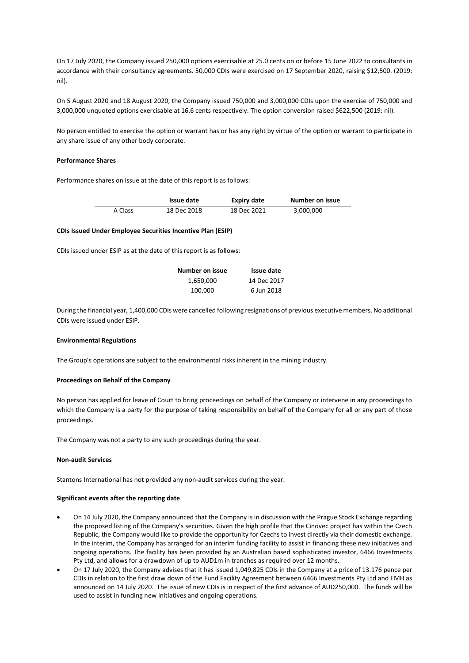On 17 July 2020, the Company issued 250,000 options exercisable at 25.0 cents on or before 15 June 2022 to consultants in accordance with their consultancy agreements. 50,000 CDIs were exercised on 17 September 2020, raising \$12,500. (2019: nil).

On 5 August 2020 and 18 August 2020, the Company issued 750,000 and 3,000,000 CDIs upon the exercise of 750,000 and 3,000,000 unquoted options exercisable at 16.6 cents respectively. The option conversion raised \$622,500 (2019: nil).

No person entitled to exercise the option or warrant has or has any right by virtue of the option or warrant to participate in any share issue of any other body corporate.

# **Performance Shares**

Performance shares on issue at the date of this report is as follows:

|         | Issue date  | <b>Expiry date</b> | Number on issue |
|---------|-------------|--------------------|-----------------|
| A Class | 18 Dec 2018 | 18 Dec 2021        | 3,000,000       |

### **CDIs Issued Under Employee Securities Incentive Plan (ESIP)**

CDIs issued under ESIP as at the date of this report is as follows:

| Number on issue | Issue date  |
|-----------------|-------------|
| 1,650,000       | 14 Dec 2017 |
| 100,000         | 6 Jun 2018  |

During the financial year, 1,400,000 CDIs were cancelled following resignations of previous executive members. No additional CDIs were issued under ESIP.

#### **Environmental Regulations**

The Group's operations are subject to the environmental risks inherent in the mining industry.

#### **Proceedings on Behalf of the Company**

No person has applied for leave of Court to bring proceedings on behalf of the Company or intervene in any proceedings to which the Company is a party for the purpose of taking responsibility on behalf of the Company for all or any part of those proceedings.

The Company was not a party to any such proceedings during the year.

#### **Non-audit Services**

Stantons International has not provided any non-audit services during the year.

#### **Significant events after the reporting date**

- On 14 July 2020, the Company announced that the Company is in discussion with the Prague Stock Exchange regarding the proposed listing of the Company's securities. Given the high profile that the Cinovec project has within the Czech Republic, the Company would like to provide the opportunity for Czechs to invest directly via their domestic exchange. In the interim, the Company has arranged for an interim funding facility to assist in financing these new initiatives and ongoing operations. The facility has been provided by an Australian based sophisticated investor, 6466 Investments Pty Ltd, and allows for a drawdown of up to AUD1m in tranches as required over 12 months.
- On 17 July 2020, the Company advises that it has issued 1,049,825 CDIs in the Company at a price of 13.176 pence per CDIs in relation to the first draw down of the Fund Facility Agreement between 6466 Investments Pty Ltd and EMH as announced on 14 July 2020. The issue of new CDIs is in respect of the first advance of AUD250,000. The funds will be used to assist in funding new initiatives and ongoing operations.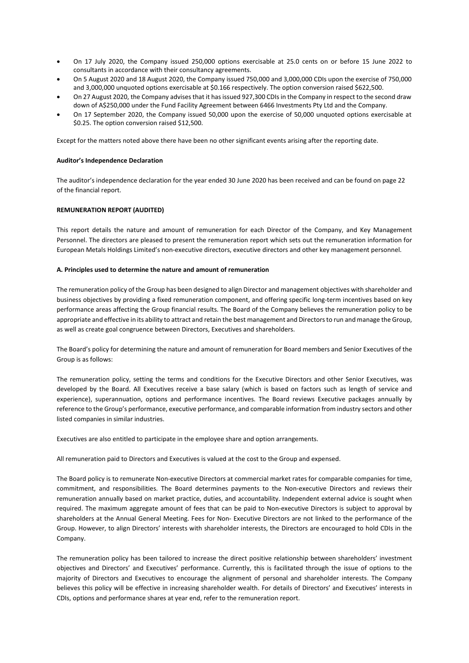- On 17 July 2020, the Company issued 250,000 options exercisable at 25.0 cents on or before 15 June 2022 to consultants in accordance with their consultancy agreements.
- On 5 August 2020 and 18 August 2020, the Company issued 750,000 and 3,000,000 CDIs upon the exercise of 750,000 and 3,000,000 unquoted options exercisable at \$0.166 respectively. The option conversion raised \$622,500.
- On 27 August 2020, the Company advises that it has issued 927,300 CDIs in the Company in respect to the second draw down of A\$250,000 under the Fund Facility Agreement between 6466 Investments Pty Ltd and the Company.
- On 17 September 2020, the Company issued 50,000 upon the exercise of 50,000 unquoted options exercisable at \$0.25. The option conversion raised \$12,500.

Except for the matters noted above there have been no other significant events arising after the reporting date.

### **Auditor's Independence Declaration**

The auditor's independence declaration for the year ended 30 June 2020 has been received and can be found on page 22 of the financial report.

# **REMUNERATION REPORT (AUDITED)**

This report details the nature and amount of remuneration for each Director of the Company, and Key Management Personnel. The directors are pleased to present the remuneration report which sets out the remuneration information for European Metals Holdings Limited's non-executive directors, executive directors and other key management personnel.

### **A. Principles used to determine the nature and amount of remuneration**

The remuneration policy of the Group has been designed to align Director and management objectives with shareholder and business objectives by providing a fixed remuneration component, and offering specific long-term incentives based on key performance areas affecting the Group financial results. The Board of the Company believes the remuneration policy to be appropriate and effective in its ability to attract and retain the best management and Directors to run and manage the Group, as well as create goal congruence between Directors, Executives and shareholders.

The Board's policy for determining the nature and amount of remuneration for Board members and Senior Executives of the Group is as follows:

The remuneration policy, setting the terms and conditions for the Executive Directors and other Senior Executives, was developed by the Board. All Executives receive a base salary (which is based on factors such as length of service and experience), superannuation, options and performance incentives. The Board reviews Executive packages annually by reference to the Group's performance, executive performance, and comparable information from industry sectors and other listed companies in similar industries.

Executives are also entitled to participate in the employee share and option arrangements.

All remuneration paid to Directors and Executives is valued at the cost to the Group and expensed.

The Board policy is to remunerate Non-executive Directors at commercial market rates for comparable companies for time, commitment, and responsibilities. The Board determines payments to the Non-executive Directors and reviews their remuneration annually based on market practice, duties, and accountability. Independent external advice is sought when required. The maximum aggregate amount of fees that can be paid to Non-executive Directors is subject to approval by shareholders at the Annual General Meeting. Fees for Non- Executive Directors are not linked to the performance of the Group. However, to align Directors' interests with shareholder interests, the Directors are encouraged to hold CDIs in the Company.

The remuneration policy has been tailored to increase the direct positive relationship between shareholders' investment objectives and Directors' and Executives' performance. Currently, this is facilitated through the issue of options to the majority of Directors and Executives to encourage the alignment of personal and shareholder interests. The Company believes this policy will be effective in increasing shareholder wealth. For details of Directors' and Executives' interests in CDIs, options and performance shares at year end, refer to the remuneration report.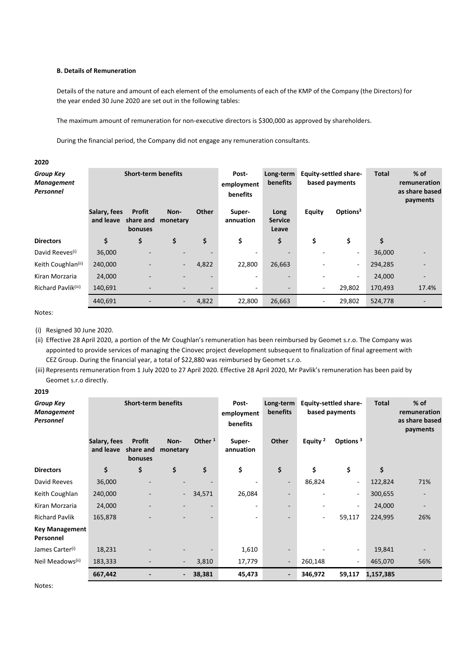# **B. Details of Remuneration**

Details of the nature and amount of each element of the emoluments of each of the KMP of the Company (the Directors) for the year ended 30 June 2020 are set out in the following tables:

The maximum amount of remuneration for non-executive directors is \$300,000 as approved by shareholders.

During the financial period, the Company did not engage any remuneration consultants.

#### *Group Key Management Personnel* **Short-term benefits Postemployment benefits Long-term benefits Equity-settled sharebased payments Total % of remuneration as share based payments Salary, fees and leave share and monetary Profit bonuses Non-Other Superannuation Long Service Leave Equity Options3 Directors \$ \$ \$ \$ \$ \$ \$ \$ \$** David Reeves(i) 36,000 - - - - - - - 36,000 - Keith Coughlan<sup>(ii)</sup> 240,000 - - - 4,822 22,800 26,663 - - 294,285 -Kiran Morzaria 24,000 - - - - - - - 24,000 - Richard Pavlik<sup>(iii)</sup> 140,691 - - - - - - - - - - - - - 29,802 170,493 17.4% 440,691 - - 4,822 22,800 26,663 - 29,802 524,778 -

Notes:

**2020**

(i) Resigned 30 June 2020.

(ii) Effective 28 April 2020, a portion of the Mr Coughlan's remuneration has been reimbursed by Geomet s.r.o. The Company was appointed to provide services of managing the Cinovec project development subsequent to finalization of final agreement with CEZ Group. During the financial year, a total of \$22,880 was reimbursed by Geomet s.r.o.

(iii) Represents remuneration from 1 July 2020 to 27 April 2020. Effective 28 April 2020, Mr Pavlik's remuneration has been paid by Geomet s.r.o directly.

# **2019**

| <b>Group Key</b><br><b>Management</b><br><b>Personnel</b> | <b>Short-term benefits</b> |                                              | Post-<br>employment<br><b>benefits</b> | <b>Equity-settled share-</b><br>Long-term<br><b>benefits</b><br>based payments |                          |                          | <b>Total</b>        | $%$ of<br>remuneration<br>as share based<br>payments |           |                          |
|-----------------------------------------------------------|----------------------------|----------------------------------------------|----------------------------------------|--------------------------------------------------------------------------------|--------------------------|--------------------------|---------------------|------------------------------------------------------|-----------|--------------------------|
|                                                           | Salary, fees<br>and leave  | <b>Profit</b><br>share and<br><b>bonuses</b> | Non-<br>monetary                       | Other $1$                                                                      | Super-<br>annuation      | Other                    | Equity <sup>2</sup> | Options <sup>3</sup>                                 |           |                          |
| <b>Directors</b>                                          | \$                         | \$                                           | \$                                     | \$                                                                             | \$                       | \$                       | \$                  | \$                                                   | \$        |                          |
| David Reeves                                              | 36,000                     |                                              |                                        |                                                                                |                          | $\overline{\phantom{a}}$ | 86,824              | $\overline{\phantom{a}}$                             | 122,824   | 71%                      |
| Keith Coughlan                                            | 240,000                    |                                              | ٠                                      | 34,571                                                                         | 26,084                   |                          |                     | $\overline{\phantom{a}}$                             | 300,655   |                          |
| Kiran Morzaria                                            | 24,000                     |                                              |                                        | $\overline{\phantom{a}}$                                                       | ٠                        |                          |                     | $\overline{\phantom{a}}$                             | 24,000    | $\overline{\phantom{a}}$ |
| <b>Richard Pavlik</b>                                     | 165,878                    |                                              |                                        |                                                                                | $\overline{\phantom{a}}$ |                          | -                   | 59,117                                               | 224,995   | 26%                      |
| <b>Key Management</b><br>Personnel                        |                            |                                              |                                        |                                                                                |                          |                          |                     |                                                      |           |                          |
| James Carter <sup>(i)</sup>                               | 18,231                     |                                              |                                        |                                                                                | 1,610                    |                          |                     | $\overline{\phantom{a}}$                             | 19,841    |                          |
| Neil Meadows <sup>(ii)</sup>                              | 183,333                    |                                              | $\overline{\phantom{a}}$               | 3,810                                                                          | 17,779                   | $\overline{\phantom{a}}$ | 260,148             | $\overline{\phantom{a}}$                             | 465,070   | 56%                      |
|                                                           | 667,442                    |                                              | $\overline{\phantom{a}}$               | 38,381                                                                         | 45,473                   | $\overline{\phantom{a}}$ | 346,972             | 59,117                                               | 1,157,385 |                          |

Notes: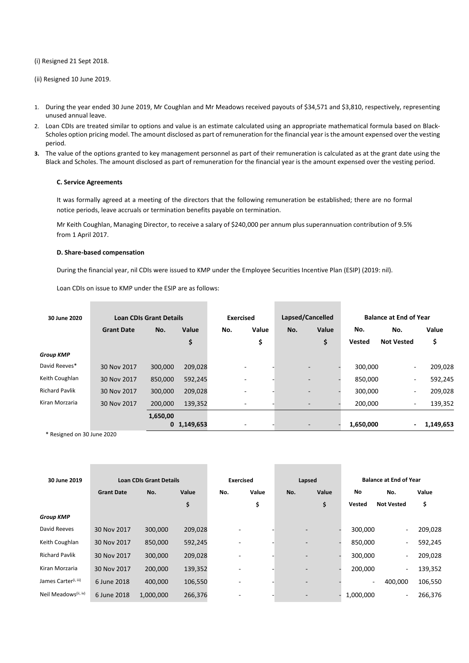#### (i) Resigned 21 Sept 2018.

(ii) Resigned 10 June 2019.

- 1. During the year ended 30 June 2019, Mr Coughlan and Mr Meadows received payouts of \$34,571 and \$3,810, respectively, representing unused annual leave.
- 2. Loan CDIs are treated similar to options and value is an estimate calculated using an appropriate mathematical formula based on Black-Scholes option pricing model. The amount disclosed as part of remuneration for the financial year is the amount expensed over the vesting period.
- **3.** The value of the options granted to key management personnel as part of their remuneration is calculated as at the grant date using the Black and Scholes. The amount disclosed as part of remuneration for the financial year is the amount expensed over the vesting period.

#### **C. Service Agreements**

It was formally agreed at a meeting of the directors that the following remuneration be established; there are no formal notice periods, leave accruals or termination benefits payable on termination.

Mr Keith Coughlan, Managing Director, to receive a salary of \$240,000 per annum plus superannuation contribution of 9.5% from 1 April 2017.

#### **D. Share-based compensation**

During the financial year, nil CDIs were issued to KMP under the Employee Securities Incentive Plan (ESIP) (2019: nil).

Loan CDIs on issue to KMP under the ESIP are as follows:

| 30 June 2020          | <b>Loan CDIs Grant Details</b> |          |               | <b>Exercised</b> |                          | Lapsed/Cancelled |                          |       | <b>Balance at End of Year</b> |                          |           |
|-----------------------|--------------------------------|----------|---------------|------------------|--------------------------|------------------|--------------------------|-------|-------------------------------|--------------------------|-----------|
|                       | <b>Grant Date</b>              | No.      | Value         | No.              | Value                    | No.              |                          | Value | No.                           | No.                      | Value     |
|                       |                                |          | \$            |                  | \$                       |                  |                          | \$    | <b>Vested</b>                 | <b>Not Vested</b>        | \$        |
| <b>Group KMP</b>      |                                |          |               |                  |                          |                  |                          |       |                               |                          |           |
| David Reeves*         | 30 Nov 2017                    | 300,000  | 209,028       |                  | $\overline{\phantom{0}}$ |                  | $\overline{\phantom{0}}$ |       | 300,000                       | ۰.                       | 209,028   |
| Keith Coughlan        | 30 Nov 2017                    | 850,000  | 592,245       |                  |                          |                  | $\overline{\phantom{a}}$ |       | 850,000                       | ۰.                       | 592,245   |
| <b>Richard Pavlik</b> | 30 Nov 2017                    | 300,000  | 209,028       |                  |                          |                  | $\overline{\phantom{a}}$ |       | 300,000                       | ۰.                       | 209,028   |
| Kiran Morzaria        | 30 Nov 2017                    | 200,000  | 139,352       |                  |                          |                  | $\overline{\phantom{0}}$ |       | 200,000                       | ۰.                       | 139,352   |
|                       |                                | 1,650,00 |               |                  |                          |                  |                          |       |                               |                          |           |
|                       |                                |          | $0$ 1,149,653 |                  |                          |                  |                          |       | 1,650,000                     | $\overline{\phantom{0}}$ | 1,149,653 |

\* Resigned on 30 June 2020

| 30 June 2019                     | <b>Loan CDIs Grant Details</b> |           | <b>Exercised</b> |     | Lapsed |     | <b>Balance at End of Year</b> |           |                   |         |
|----------------------------------|--------------------------------|-----------|------------------|-----|--------|-----|-------------------------------|-----------|-------------------|---------|
|                                  | <b>Grant Date</b>              | No.       | Value            | No. | Value  | No. | Value                         | No        | No.               | Value   |
|                                  |                                |           | \$               |     | \$     |     | \$                            | Vested    | <b>Not Vested</b> | \$      |
| <b>Group KMP</b>                 |                                |           |                  |     |        |     |                               |           |                   |         |
| David Reeves                     | 30 Nov 2017                    | 300,000   | 209,028          |     |        |     | $\overline{\phantom{a}}$      | 300,000   | -                 | 209,028 |
| Keith Coughlan                   | 30 Nov 2017                    | 850,000   | 592,245          |     |        |     | $\overline{\phantom{a}}$      | 850,000   | ۰                 | 592,245 |
| <b>Richard Pavlik</b>            | 30 Nov 2017                    | 300,000   | 209,028          |     |        |     | $\overline{\phantom{a}}$      | 300,000   | ۰,                | 209,028 |
| Kiran Morzaria                   | 30 Nov 2017                    | 200,000   | 139,352          |     |        |     | $\overline{\phantom{a}}$      | 200,000   | ۰.                | 139,352 |
| James Carter <sup>(i, iii)</sup> | 6 June 2018                    | 400,000   | 106,550          |     |        |     | $\overline{\phantom{a}}$      |           | 400,000           | 106,550 |
| Neil Meadows <sup>(ii, iv)</sup> | 6 June 2018                    | 1,000,000 | 266,376          |     |        |     | $\overline{\phantom{a}}$      | 1,000,000 | ۰.                | 266,376 |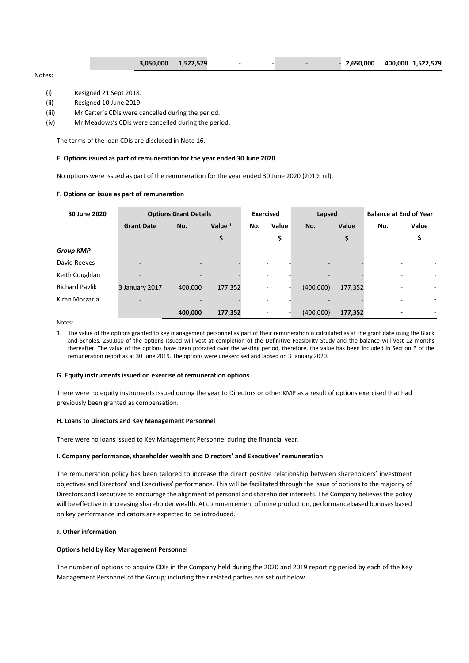|  | 3,050,000 1,522,579 |  |  |  |  | $-2,650,000$ 400,000 1,522,579 |  |  |
|--|---------------------|--|--|--|--|--------------------------------|--|--|
|--|---------------------|--|--|--|--|--------------------------------|--|--|

# Notes:

- (i) Resigned 21 Sept 2018.
- (ii) Resigned 10 June 2019.
- (iii) Mr Carter's CDIs were cancelled during the period.
- (iv) Mr Meadows's CDIs were cancelled during the period.

The terms of the loan CDIs are disclosed in Note 16.

### **E. Options issued as part of remuneration for the year ended 30 June 2020**

No options were issued as part of the remuneration for the year ended 30 June 2020 (2019: nil).

# **F. Options on issue as part of remuneration**

| 30 June 2020          | <b>Options Grant Details</b> |                          | <b>Exercised</b> |     | Lapsed                   |           | <b>Balance at End of Year</b> |     |        |
|-----------------------|------------------------------|--------------------------|------------------|-----|--------------------------|-----------|-------------------------------|-----|--------|
|                       | <b>Grant Date</b>            | No.                      | Value $1$        | No. | Value                    | No.       | Value                         | No. | Value  |
|                       |                              |                          | \$               |     | \$                       |           | \$                            |     | \$     |
| <b>Group KMP</b>      |                              |                          |                  |     |                          |           |                               |     |        |
| David Reeves          | $\overline{\phantom{a}}$     | $\overline{\phantom{a}}$ |                  |     | ٠                        |           |                               |     |        |
| Keith Coughlan        | $\overline{\phantom{0}}$     | $\overline{\phantom{a}}$ |                  |     | ٠                        |           |                               |     | ٠<br>- |
| <b>Richard Pavlik</b> | 3 January 2017               | 400,000                  | 177,352          |     | $\overline{\phantom{a}}$ | (400,000) | 177,352                       |     | ۰      |
| Kiran Morzaria        | $\overline{\phantom{a}}$     |                          |                  |     |                          |           |                               |     | -      |
|                       |                              | 400,000                  | 177,352          |     |                          | (400,000) | 177,352                       |     | ۰      |

Notes:

1. The value of the options granted to key management personnel as part of their remuneration is calculated as at the grant date using the Black and Scholes. 250,000 of the options issued will vest at completion of the Definitive Feasibility Study and the balance will vest 12 months thereafter. The value of the options have been prorated over the vesting period, therefore, the value has been included in Section B of the remuneration report as at 30 June 2019. The options were unexercised and lapsed on 3 January 2020.

#### **G. Equity instruments issued on exercise of remuneration options**

There were no equity instruments issued during the year to Directors or other KMP as a result of options exercised that had previously been granted as compensation.

#### **H. Loans to Directors and Key Management Personnel**

There were no loans issued to Key Management Personnel during the financial year.

#### **I. Company performance, shareholder wealth and Directors' and Executives' remuneration**

The remuneration policy has been tailored to increase the direct positive relationship between shareholders' investment objectives and Directors' and Executives' performance. This will be facilitated through the issue of options to the majority of Directors and Executives to encourage the alignment of personal and shareholder interests. The Company believes this policy will be effective in increasing shareholder wealth. At commencement of mine production, performance based bonuses based on key performance indicators are expected to be introduced.

# **J. Other information**

# **Options held by Key Management Personnel**

The number of options to acquire CDIs in the Company held during the 2020 and 2019 reporting period by each of the Key Management Personnel of the Group; including their related parties are set out below.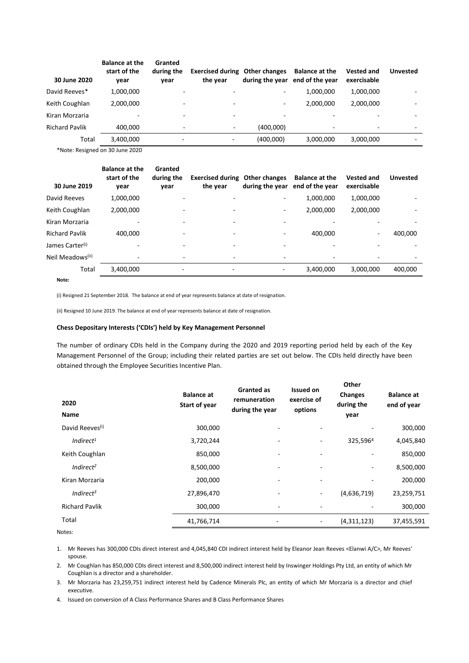| 30 June 2020          | <b>Balance at the</b><br>start of the<br>year | Granted<br>during the<br>vear | <b>Exercised during Other changes</b><br>the year |                          | <b>Balance at the</b><br>during the year end of the year | <b>Vested and</b><br>exercisable | <b>Unvested</b>          |
|-----------------------|-----------------------------------------------|-------------------------------|---------------------------------------------------|--------------------------|----------------------------------------------------------|----------------------------------|--------------------------|
| David Reeves*         | 1,000,000                                     | $\overline{\phantom{0}}$      | ٠                                                 | ۰                        | 1,000,000                                                | 1,000,000                        |                          |
| Keith Coughlan        | 2.000.000                                     | ٠                             | $\overline{\phantom{a}}$                          | $\overline{\phantom{a}}$ | 2,000,000                                                | 2,000,000                        |                          |
| Kiran Morzaria        | $\overline{\phantom{a}}$                      | $\overline{\phantom{0}}$      | ٠                                                 | $\overline{\phantom{0}}$ |                                                          |                                  |                          |
| <b>Richard Pavlik</b> | 400.000                                       | $\overline{\phantom{a}}$      | $\overline{\phantom{a}}$                          | (400,000)                | ٠                                                        | $\overline{\phantom{0}}$         | $\overline{\phantom{a}}$ |
| Total                 | 3,400,000                                     | -                             | -                                                 | (400,000)                | 3,000,000                                                | 3,000,000                        | -                        |

\*Note: Resigned on 30 June 2020

| 30 June 2019                 | <b>Balance at the</b><br>start of the<br>year | Granted<br>during the<br>vear | <b>Exercised during Other changes</b><br>the year | during the year          | <b>Balance at the</b><br>end of the year | <b>Vested and</b><br>exercisable | <b>Unvested</b> |
|------------------------------|-----------------------------------------------|-------------------------------|---------------------------------------------------|--------------------------|------------------------------------------|----------------------------------|-----------------|
| David Reeves                 | 1,000,000                                     |                               |                                                   | $\overline{\phantom{0}}$ | 1,000,000                                | 1,000,000                        |                 |
| Keith Coughlan               | 2,000,000                                     |                               |                                                   | ۰                        | 2,000,000                                | 2,000,000                        |                 |
| Kiran Morzaria               |                                               |                               | ٠                                                 | $\overline{\phantom{0}}$ |                                          |                                  |                 |
| <b>Richard Pavlik</b>        | 400.000                                       | ٠                             | ۰                                                 | $\overline{\phantom{a}}$ | 400.000                                  |                                  | 400,000         |
| James Carter <sup>(i)</sup>  |                                               | ٠                             | $\overline{\phantom{0}}$                          |                          |                                          |                                  |                 |
| Neil Meadows <sup>(ii)</sup> |                                               | ٠                             | ٠                                                 | $\overline{\phantom{0}}$ | $\overline{\phantom{0}}$                 |                                  |                 |
| Total                        | 3,400,000                                     | -                             | -                                                 |                          | 3,400,000                                | 3,000,000                        | 400,000         |
| Note:                        |                                               |                               |                                                   |                          |                                          |                                  |                 |

(i) Resigned 21 September 2018. The balance at end of year represents balance at date of resignation.

(ii) Resigned 10 June 2019. The balance at end of year represents balance at date of resignation.

# **Chess Depositary Interests ('CDIs') held by Key Management Personnel**

The number of ordinary CDIs held in the Company during the 2020 and 2019 reporting period held by each of the Key Management Personnel of the Group; including their related parties are set out below. The CDIs held directly have been obtained through the Employee Securities Incentive Plan.

| 2020<br>Name                | <b>Balance at</b><br>Start of year | <b>Granted as</b><br>remuneration<br>during the year | <b>Issued on</b><br>exercise of<br>options | Other<br><b>Changes</b><br>during the<br>year | <b>Balance at</b><br>end of year |
|-----------------------------|------------------------------------|------------------------------------------------------|--------------------------------------------|-----------------------------------------------|----------------------------------|
| David Reeves <sup>(i)</sup> | 300,000                            | $\overline{\phantom{a}}$                             | ٠                                          |                                               | 300,000                          |
| Indirect <sup>1</sup>       | 3,720,244                          | $\overline{a}$                                       | ٠                                          | 325,5964                                      | 4,045,840                        |
| Keith Coughlan              | 850,000                            | $\overline{\phantom{a}}$                             | $\overline{\phantom{0}}$                   | $\overline{\phantom{m}}$                      | 850,000                          |
| Indirect <sup>2</sup>       | 8,500,000                          | $\overline{a}$                                       | ٠                                          | $\overline{\phantom{a}}$                      | 8,500,000                        |
| Kiran Morzaria              | 200,000                            | $\overline{a}$                                       |                                            | -                                             | 200,000                          |
| Indirect <sup>3</sup>       | 27,896,470                         | $\overline{\phantom{a}}$                             | ٠                                          | (4,636,719)                                   | 23,259,751                       |
| <b>Richard Pavlik</b>       | 300,000                            | $\overline{a}$                                       | ٠                                          |                                               | 300,000                          |
| Total                       | 41,766,714                         | ۰                                                    | ٠                                          | (4,311,123)                                   | 37,455,591                       |
|                             |                                    |                                                      |                                            |                                               |                                  |

Notes:

1. Mr Reeves has 300,000 CDIs direct interest and 4,045,840 CDI indirect interest held by Eleanor Jean Reeves <Elanwi A/C>, Mr Reeves' spouse.

2. Mr Coughlan has 850,000 CDIs direct interest and 8,500,000 indirect interest held by Inswinger Holdings Pty Ltd, an entity of which Mr Coughlan is a director and a shareholder.

3. Mr Morzaria has 23,259,751 indirect interest held by Cadence Minerals Plc, an entity of which Mr Morzaria is a director and chief executive.

4. Issued on conversion of A Class Performance Shares and B Class Performance Shares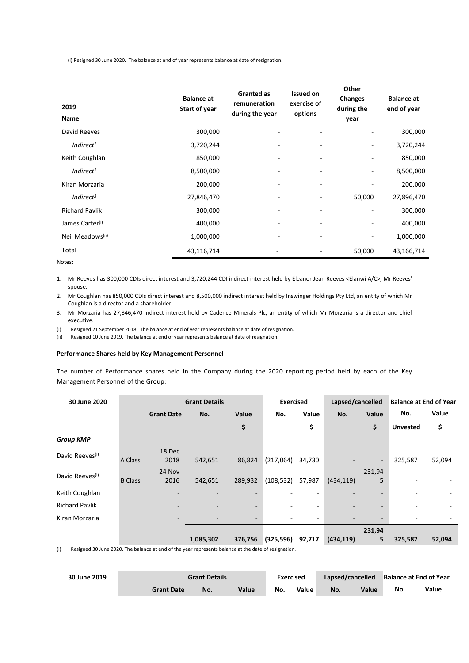(i) Resigned 30 June 2020. The balance at end of year represents balance at date of resignation.

| 2019<br>Name                 | <b>Balance at</b><br><b>Start of year</b> | Granted as<br>remuneration<br>during the year | <b>Issued on</b><br>exercise of<br>options | Other<br><b>Changes</b><br>during the<br>year | <b>Balance at</b><br>end of year |
|------------------------------|-------------------------------------------|-----------------------------------------------|--------------------------------------------|-----------------------------------------------|----------------------------------|
| David Reeves                 | 300,000                                   |                                               |                                            |                                               | 300,000                          |
| Indirect <sup>1</sup>        | 3,720,244                                 |                                               |                                            |                                               | 3,720,244                        |
| Keith Coughlan               | 850,000                                   | ٠                                             |                                            | $\qquad \qquad \blacksquare$                  | 850,000                          |
| Indirect <sup>2</sup>        | 8,500,000                                 |                                               |                                            |                                               | 8,500,000                        |
| Kiran Morzaria               | 200,000                                   | ٠                                             |                                            |                                               | 200,000                          |
| Indirect <sup>3</sup>        | 27,846,470                                | -                                             |                                            | 50,000                                        | 27,896,470                       |
| <b>Richard Pavlik</b>        | 300,000                                   |                                               |                                            |                                               | 300,000                          |
| James Carter <sup>(i)</sup>  | 400,000                                   | -                                             |                                            |                                               | 400,000                          |
| Neil Meadows <sup>(ii)</sup> | 1,000,000                                 | ٠                                             |                                            | $\overline{\phantom{a}}$                      | 1,000,000                        |
| Total                        | 43,116,714                                |                                               |                                            | 50,000                                        | 43,166,714                       |

Notes:

1. Mr Reeves has 300,000 CDIs direct interest and 3,720,244 CDI indirect interest held by Eleanor Jean Reeves <Elanwi A/C>, Mr Reeves' spouse.

- 2. Mr Coughlan has 850,000 CDIs direct interest and 8,500,000 indirect interest held by Inswinger Holdings Pty Ltd, an entity of which Mr Coughlan is a director and a shareholder.
- 3. Mr Morzaria has 27,846,470 indirect interest held by Cadence Minerals Plc, an entity of which Mr Morzaria is a director and chief executive.
- (i) Resigned 21 September 2018. The balance at end of year represents balance at date of resignation.
- (ii) Resigned 10 June 2019. The balance at end of year represents balance at date of resignation.

# **Performance Shares held by Key Management Personnel**

The number of Performance shares held in the Company during the 2020 reporting period held by each of the Key Management Personnel of the Group:

| 30 June 2020                                                                                                        |                | <b>Grant Details</b> |           |         | <b>Exercised</b><br>Lapsed/cancelled |        |            |                          | <b>Balance at End of Year</b> |        |
|---------------------------------------------------------------------------------------------------------------------|----------------|----------------------|-----------|---------|--------------------------------------|--------|------------|--------------------------|-------------------------------|--------|
|                                                                                                                     |                | <b>Grant Date</b>    | No.       | Value   | No.                                  | Value  | No.        | Value                    | No.                           | Value  |
|                                                                                                                     |                |                      |           | \$      |                                      | \$     |            | \$                       | <b>Unvested</b>               | \$     |
| <b>Group KMP</b>                                                                                                    |                |                      |           |         |                                      |        |            |                          |                               |        |
| David Reeves <sup>(i)</sup>                                                                                         | A Class        | 18 Dec<br>2018       | 542,651   | 86,824  | (217,064)                            | 34,730 |            | $\overline{\phantom{a}}$ | 325,587                       | 52,094 |
| David Reeves <sup>(i)</sup>                                                                                         | <b>B</b> Class | 24 Nov<br>2016       | 542,651   | 289,932 | (108, 532)                           | 57,987 | (434, 119) | 231,94<br>5              |                               |        |
| Keith Coughlan                                                                                                      |                |                      |           |         |                                      |        |            |                          |                               |        |
| <b>Richard Pavlik</b>                                                                                               |                |                      |           |         |                                      |        |            |                          |                               |        |
| Kiran Morzaria                                                                                                      |                |                      |           |         |                                      |        |            |                          |                               |        |
|                                                                                                                     |                |                      |           |         |                                      |        |            | 231,94                   |                               |        |
|                                                                                                                     |                |                      | 1,085,302 | 376,756 | (325, 596)                           | 92,717 | (434, 119) | 5.                       | 325,587                       | 52,094 |
| $\mathbf{f}$<br>Becigned 20 June 2020. The belance at end of the vear represents belance at the date of recignation |                |                      |           |         |                                      |        |            |                          |                               |        |

(i) Resigned 30 June 2020. The balance at end of the year represents balance at the date of resignation.

| 30 June 2019 | <b>Grant Details</b> |     |       | <b>Exercised</b> |       | Lapsed/cancelled |       | <b>Balance at End of Year</b> |       |
|--------------|----------------------|-----|-------|------------------|-------|------------------|-------|-------------------------------|-------|
|              | <b>Grant Date</b>    | No. | Value | No.              | Value | No.              | Value | No.                           | Value |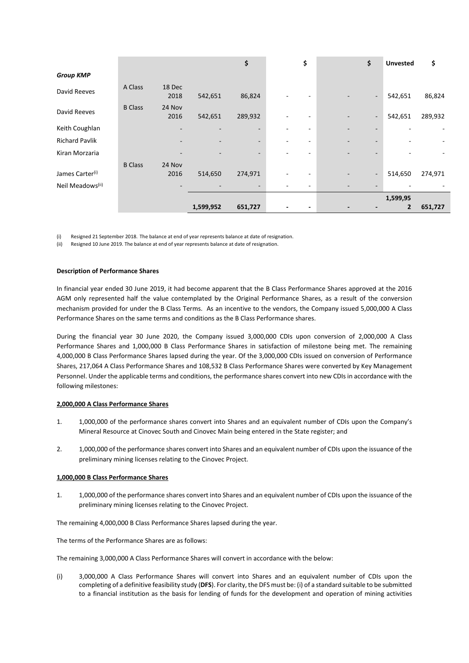|                                                             |                |                |           | \$                                  |   | \$ | \$                       | <b>Unvested</b> | \$      |
|-------------------------------------------------------------|----------------|----------------|-----------|-------------------------------------|---|----|--------------------------|-----------------|---------|
| <b>Group KMP</b>                                            |                |                |           |                                     |   |    |                          |                 |         |
| David Reeves                                                | A Class        | 18 Dec<br>2018 | 542,651   | 86,824                              |   |    | $\overline{\phantom{a}}$ | 542,651         | 86,824  |
| David Reeves                                                | <b>B</b> Class | 24 Nov<br>2016 | 542,651   | 289,932                             | ۰ | ۰  | $\overline{\phantom{a}}$ | 542,651         | 289,932 |
| Keith Coughlan                                              |                |                |           | $\overline{\phantom{a}}$            |   |    |                          |                 |         |
| <b>Richard Pavlik</b>                                       |                |                |           | $\overline{\phantom{a}}$            |   |    |                          |                 |         |
| Kiran Morzaria                                              |                |                |           |                                     |   |    |                          |                 |         |
| James Carter <sup>(i)</sup><br>Neil Meadows <sup>(ii)</sup> | <b>B</b> Class | 24 Nov<br>2016 | 514,650   | 274,971<br>$\overline{\phantom{a}}$ |   |    | $\overline{\phantom{a}}$ | 514,650         | 274,971 |
|                                                             |                |                |           |                                     |   |    |                          | 1,599,95        |         |
|                                                             |                |                | 1,599,952 | 651,727                             |   |    |                          | $\mathbf{2}$    | 651,727 |

(i) Resigned 21 September 2018. The balance at end of year represents balance at date of resignation.

(ii) Resigned 10 June 2019. The balance at end of year represents balance at date of resignation.

#### **Description of Performance Shares**

In financial year ended 30 June 2019, it had become apparent that the B Class Performance Shares approved at the 2016 AGM only represented half the value contemplated by the Original Performance Shares, as a result of the conversion mechanism provided for under the B Class Terms. As an incentive to the vendors, the Company issued 5,000,000 A Class Performance Shares on the same terms and conditions as the B Class Performance shares.

During the financial year 30 June 2020, the Company issued 3,000,000 CDIs upon conversion of 2,000,000 A Class Performance Shares and 1,000,000 B Class Performance Shares in satisfaction of milestone being met. The remaining 4,000,000 B Class Performance Shares lapsed during the year. Of the 3,000,000 CDIs issued on conversion of Performance Shares, 217,064 A Class Performance Shares and 108,532 B Class Performance Shares were converted by Key Management Personnel. Under the applicable terms and conditions, the performance shares convert into new CDIs in accordance with the following milestones:

#### **2,000,000 A Class Performance Shares**

- 1. 1,000,000 of the performance shares convert into Shares and an equivalent number of CDIs upon the Company's Mineral Resource at Cinovec South and Cinovec Main being entered in the State register; and
- 2. 1,000,000 of the performance shares convert into Shares and an equivalent number of CDIs upon the issuance of the preliminary mining licenses relating to the Cinovec Project.

#### **1,000,000 B Class Performance Shares**

1. 1,000,000 of the performance shares convert into Shares and an equivalent number of CDIs upon the issuance of the preliminary mining licenses relating to the Cinovec Project.

The remaining 4,000,000 B Class Performance Shares lapsed during the year.

The terms of the Performance Shares are as follows:

The remaining 3,000,000 A Class Performance Shares will convert in accordance with the below:

(i) 3,000,000 A Class Performance Shares will convert into Shares and an equivalent number of CDIs upon the completing of a definitive feasibility study (**DFS**). For clarity, the DFS must be: (i) of a standard suitable to be submitted to a financial institution as the basis for lending of funds for the development and operation of mining activities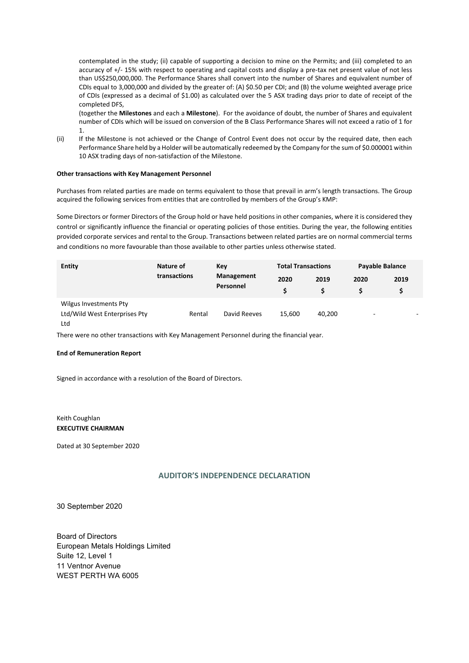contemplated in the study; (ii) capable of supporting a decision to mine on the Permits; and (iii) completed to an accuracy of +/- 15% with respect to operating and capital costs and display a pre-tax net present value of not less than US\$250,000,000. The Performance Shares shall convert into the number of Shares and equivalent number of CDIs equal to 3,000,000 and divided by the greater of: (A) \$0.50 per CDI; and (B) the volume weighted average price of CDIs (expressed as a decimal of \$1.00) as calculated over the 5 ASX trading days prior to date of receipt of the completed DFS,

(together the **Milestones** and each a **Milestone**). For the avoidance of doubt, the number of Shares and equivalent number of CDIs which will be issued on conversion of the B Class Performance Shares will not exceed a ratio of 1 for 1.

(ii) If the Milestone is not achieved or the Change of Control Event does not occur by the required date, then each Performance Share held by a Holder will be automatically redeemed by the Company for the sum of \$0.000001 within 10 ASX trading days of non-satisfaction of the Milestone.

### **Other transactions with Key Management Personnel**

Purchases from related parties are made on terms equivalent to those that prevail in arm's length transactions. The Group acquired the following services from entities that are controlled by members of the Group's KMP:

Some Directors or former Directors of the Group hold or have held positions in other companies, where it is considered they control or significantly influence the financial or operating policies of those entities. During the year, the following entities provided corporate services and rental to the Group. Transactions between related parties are on normal commercial terms and conditions no more favourable than those available to other parties unless otherwise stated.

| <b>Entity</b>                                                  | Nature of    | Key                     | <b>Total Transactions</b> |        | Payable Balance          |      |  |
|----------------------------------------------------------------|--------------|-------------------------|---------------------------|--------|--------------------------|------|--|
|                                                                | transactions | Management<br>Personnel | 2020<br>Ś                 | 2019   | 2020                     | 2019 |  |
| Wilgus Investments Pty<br>Ltd/Wild West Enterprises Pty<br>Ltd | Rental       | David Reeves            | 15.600                    | 40,200 | $\overline{\phantom{0}}$ |      |  |

There were no other transactions with Key Management Personnel during the financial year.

#### **End of Remuneration Report**

Signed in accordance with a resolution of the Board of Directors.

Keith Coughlan **EXECUTIVE CHAIRMAN**

Dated at 30 September 2020

# **AUDITOR'S INDEPENDENCE DECLARATION**

30 September 2020

Board of Directors European Metals Holdings Limited Suite 12, Level 1 11 Ventnor Avenue WEST PERTH WA 6005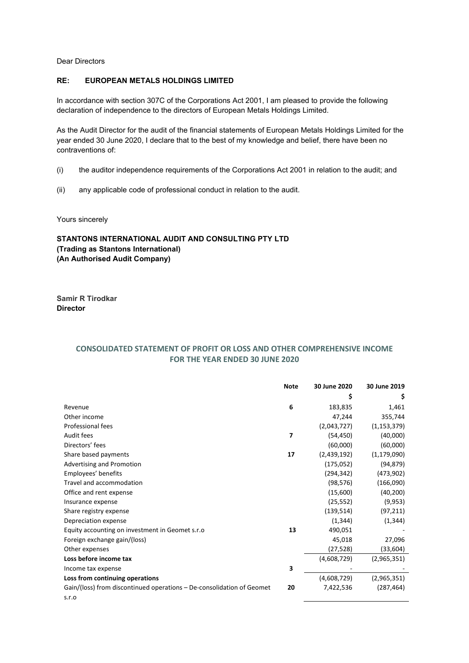Dear Directors

# **RE: EUROPEAN METALS HOLDINGS LIMITED**

In accordance with section 307C of the Corporations Act 2001, I am pleased to provide the following declaration of independence to the directors of European Metals Holdings Limited.

As the Audit Director for the audit of the financial statements of European Metals Holdings Limited for the year ended 30 June 2020, I declare that to the best of my knowledge and belief, there have been no contraventions of:

- (i) the auditor independence requirements of the Corporations Act 2001 in relation to the audit; and
- (ii) any applicable code of professional conduct in relation to the audit.

Yours sincerely

# **STANTONS INTERNATIONAL AUDIT AND CONSULTING PTY LTD (Trading as Stantons International) (An Authorised Audit Company)**

**Samir R Tirodkar Director**

# **CONSOLIDATED STATEMENT OF PROFIT OR LOSS AND OTHER COMPREHENSIVE INCOME FOR THE YEAR ENDED 30 JUNE 2020**

|                                                                       | <b>Note</b> | 30 June 2020 | 30 June 2019  |
|-----------------------------------------------------------------------|-------------|--------------|---------------|
|                                                                       |             | \$           | S             |
| Revenue                                                               | 6           | 183,835      | 1,461         |
| Other income                                                          |             | 47,244       | 355,744       |
| <b>Professional fees</b>                                              |             | (2,043,727)  | (1, 153, 379) |
| Audit fees                                                            | 7           | (54, 450)    | (40,000)      |
| Directors' fees                                                       |             | (60,000)     | (60,000)      |
| Share based payments                                                  | 17          | (2,439,192)  | (1, 179, 090) |
| Advertising and Promotion                                             |             | (175,052)    | (94, 879)     |
| Employees' benefits                                                   |             | (294,342)    | (473,902)     |
| Travel and accommodation                                              |             | (98, 576)    | (166,090)     |
| Office and rent expense                                               |             | (15,600)     | (40, 200)     |
| Insurance expense                                                     |             | (25, 552)    | (9,953)       |
| Share registry expense                                                |             | (139, 514)   | (97, 211)     |
| Depreciation expense                                                  |             | (1, 344)     | (1, 344)      |
| Equity accounting on investment in Geomet s.r.o.                      | 13          | 490,051      |               |
| Foreign exchange gain/(loss)                                          |             | 45,018       | 27,096        |
| Other expenses                                                        |             | (27,528)     | (33, 604)     |
| Loss before income tax                                                |             | (4,608,729)  | (2,965,351)   |
| Income tax expense                                                    | 3           |              |               |
| Loss from continuing operations                                       |             | (4,608,729)  | (2,965,351)   |
| Gain/(loss) from discontinued operations – De-consolidation of Geomet | 20          | 7,422,536    | (287, 464)    |
| S.T.O                                                                 |             |              |               |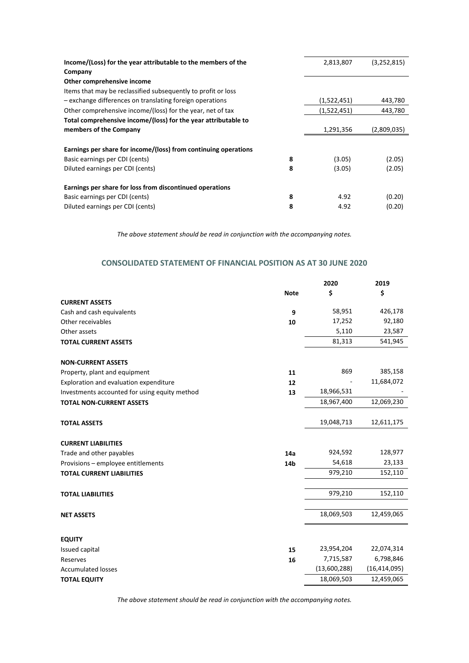|        | (3,252,815)                                          |
|--------|------------------------------------------------------|
|        |                                                      |
|        |                                                      |
|        |                                                      |
|        | 443,780                                              |
|        | 443,780                                              |
|        |                                                      |
|        | (2,809,035)                                          |
|        |                                                      |
|        |                                                      |
| (3.05) | (2.05)                                               |
| (3.05) | (2.05)                                               |
|        |                                                      |
| 4.92   | (0.20)                                               |
| 4.92   | (0.20)                                               |
|        | 2,813,807<br>(1,522,451)<br>(1,522,451)<br>1,291,356 |

*The above statement should be read in conjunction with the accompanying notes.*

# **CONSOLIDATED STATEMENT OF FINANCIAL POSITION AS AT 30 JUNE 2020**

|                                               |             | 2020         | 2019           |
|-----------------------------------------------|-------------|--------------|----------------|
|                                               | <b>Note</b> | \$           | \$             |
| <b>CURRENT ASSETS</b>                         |             |              |                |
| Cash and cash equivalents                     | 9           | 58,951       | 426,178        |
| Other receivables                             | 10          | 17,252       | 92,180         |
| Other assets                                  |             | 5,110        | 23,587         |
| <b>TOTAL CURRENT ASSETS</b>                   |             | 81,313       | 541,945        |
| <b>NON-CURRENT ASSETS</b>                     |             |              |                |
| Property, plant and equipment                 | 11          | 869          | 385,158        |
| Exploration and evaluation expenditure        | 12          |              | 11,684,072     |
| Investments accounted for using equity method | 13          | 18,966,531   |                |
| <b>TOTAL NON-CURRENT ASSETS</b>               |             | 18,967,400   | 12,069,230     |
| <b>TOTAL ASSETS</b>                           |             | 19,048,713   | 12,611,175     |
| <b>CURRENT LIABILITIES</b>                    |             |              |                |
| Trade and other payables                      | 14a         | 924,592      | 128,977        |
| Provisions - employee entitlements            | 14b         | 54,618       | 23,133         |
| <b>TOTAL CURRENT LIABILITIES</b>              |             | 979,210      | 152,110        |
| <b>TOTAL LIABILITIES</b>                      |             | 979,210      | 152,110        |
|                                               |             |              |                |
| <b>NET ASSETS</b>                             |             | 18,069,503   | 12,459,065     |
|                                               |             |              |                |
| <b>EQUITY</b><br>Issued capital               | 15          | 23,954,204   | 22,074,314     |
| Reserves                                      | 16          | 7,715,587    | 6,798,846      |
| <b>Accumulated losses</b>                     |             | (13,600,288) | (16, 414, 095) |
|                                               |             | 18,069,503   | 12,459,065     |
| <b>TOTAL EQUITY</b>                           |             |              |                |

*The above statement should be read in conjunction with the accompanying notes.*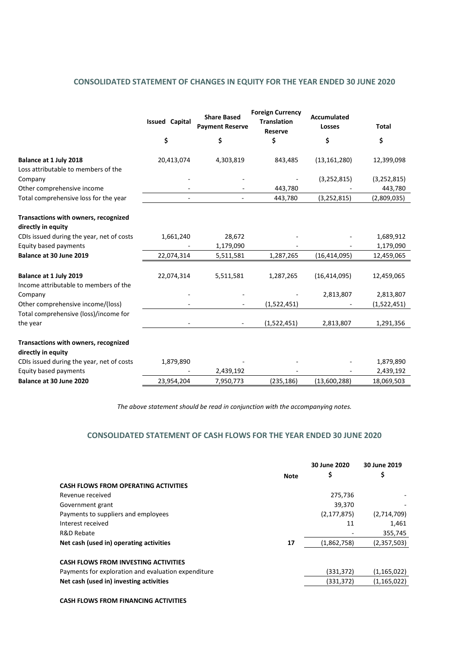# **CONSOLIDATED STATEMENT OF CHANGES IN EQUITY FOR THE YEAR ENDED 30 JUNE 2020**

| \$<br>\$<br>\$<br>\$<br>\$<br>Balance at 1 July 2018<br>20,413,074<br>4,303,819<br>843,485<br>(13, 161, 280)<br>12,399,098<br>Loss attributable to members of the<br>(3, 252, 815)<br>(3, 252, 815)<br>Company<br>Other comprehensive income<br>443,780<br>443,780<br>Total comprehensive loss for the year<br>443,780<br>(3, 252, 815)<br>(2,809,035) |  |
|--------------------------------------------------------------------------------------------------------------------------------------------------------------------------------------------------------------------------------------------------------------------------------------------------------------------------------------------------------|--|
|                                                                                                                                                                                                                                                                                                                                                        |  |
|                                                                                                                                                                                                                                                                                                                                                        |  |
|                                                                                                                                                                                                                                                                                                                                                        |  |
|                                                                                                                                                                                                                                                                                                                                                        |  |
|                                                                                                                                                                                                                                                                                                                                                        |  |
| Transactions with owners, recognized<br>directly in equity                                                                                                                                                                                                                                                                                             |  |
| CDIs issued during the year, net of costs<br>1,661,240<br>28,672<br>1,689,912                                                                                                                                                                                                                                                                          |  |
| Equity based payments<br>1,179,090<br>1,179,090                                                                                                                                                                                                                                                                                                        |  |
| Balance at 30 June 2019<br>22,074,314<br>(16, 414, 095)<br>1,287,265<br>12,459,065<br>5,511,581                                                                                                                                                                                                                                                        |  |
| Balance at 1 July 2019<br>22,074,314<br>5,511,581<br>1,287,265<br>(16, 414, 095)<br>12,459,065<br>Income attributable to members of the                                                                                                                                                                                                                |  |
| 2,813,807<br>2,813,807<br>Company                                                                                                                                                                                                                                                                                                                      |  |
| Other comprehensive income/(loss)<br>(1,522,451)<br>(1,522,451)                                                                                                                                                                                                                                                                                        |  |
| Total comprehensive (loss)/income for<br>(1,522,451)<br>2,813,807<br>1,291,356<br>the year                                                                                                                                                                                                                                                             |  |
| Transactions with owners, recognized<br>directly in equity                                                                                                                                                                                                                                                                                             |  |
| CDIs issued during the year, net of costs<br>1,879,890<br>1,879,890                                                                                                                                                                                                                                                                                    |  |
| Equity based payments<br>2,439,192<br>2,439,192                                                                                                                                                                                                                                                                                                        |  |
| Balance at 30 June 2020<br>23,954,204<br>7,950,773<br>(235, 186)<br>(13,600,288)<br>18,069,503                                                                                                                                                                                                                                                         |  |

*The above statement should be read in conjunction with the accompanying notes.*

# **CONSOLIDATED STATEMENT OF CASH FLOWS FOR THE YEAR ENDED 30 JUNE 2020**

|                                                     |      | 30 June 2020  | 30 June 2019  |
|-----------------------------------------------------|------|---------------|---------------|
|                                                     | Note | \$            | Ş             |
| <b>CASH FLOWS FROM OPERATING ACTIVITIES</b>         |      |               |               |
| Revenue received                                    |      | 275,736       |               |
| Government grant                                    |      | 39,370        |               |
| Payments to suppliers and employees                 |      | (2, 177, 875) | (2,714,709)   |
| Interest received                                   |      | 11            | 1,461         |
| R&D Rebate                                          |      |               | 355,745       |
| Net cash (used in) operating activities             | 17   | (1,862,758)   | (2,357,503)   |
|                                                     |      |               |               |
| <b>CASH FLOWS FROM INVESTING ACTIVITIES</b>         |      |               |               |
| Payments for exploration and evaluation expenditure |      | (331, 372)    | (1, 165, 022) |
| Net cash (used in) investing activities             |      | (331, 372)    | (1, 165, 022) |
|                                                     |      |               |               |

**CASH FLOWS FROM FINANCING ACTIVITIES**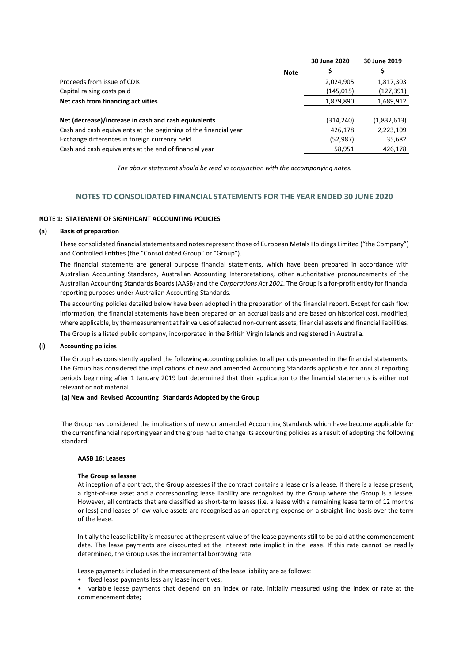|                                                                  | 30 June 2020 | 30 June 2019 |
|------------------------------------------------------------------|--------------|--------------|
| Note                                                             | Ş            |              |
| Proceeds from issue of CDIs                                      | 2,024,905    | 1,817,303    |
| Capital raising costs paid                                       | (145, 015)   | (127,391)    |
| Net cash from financing activities                               | 1,879,890    | 1,689,912    |
|                                                                  |              |              |
| Net (decrease)/increase in cash and cash equivalents             | (314, 240)   | (1,832,613)  |
| Cash and cash equivalents at the beginning of the financial year | 426,178      | 2,223,109    |
| Exchange differences in foreign currency held                    | (52, 987)    | 35,682       |
| Cash and cash equivalents at the end of financial year           | 58,951       | 426,178      |

*The above statement should be read in conjunction with the accompanying notes.*

# **NOTES TO CONSOLIDATED FINANCIAL STATEMENTS FOR THE YEAR ENDED 30 JUNE 2020**

# **NOTE 1: STATEMENT OF SIGNIFICANT ACCOUNTING POLICIES**

### **(a) Basis of preparation**

These consolidated financial statements and notes represent those of European Metals Holdings Limited ("the Company") and Controlled Entities (the "Consolidated Group" or "Group").

The financial statements are general purpose financial statements, which have been prepared in accordance with Australian Accounting Standards, Australian Accounting Interpretations, other authoritative pronouncements of the Australian Accounting Standards Boards (AASB) and the *Corporations Act 2001.* The Group is a for-profit entity for financial reporting purposes under Australian Accounting Standards.

The accounting policies detailed below have been adopted in the preparation of the financial report. Except for cash flow information, the financial statements have been prepared on an accrual basis and are based on historical cost, modified, where applicable, by the measurement at fair values of selected non-current assets, financial assets and financial liabilities. The Group is a listed public company, incorporated in the British Virgin Islands and registered in Australia.

#### **(i) Accounting policies**

The Group has consistently applied the following accounting policies to all periods presented in the financial statements. The Group has considered the implications of new and amended Accounting Standards applicable for annual reporting periods beginning after 1 January 2019 but determined that their application to the financial statements is either not relevant or not material.

#### **(a) New and Revised Accounting Standards Adopted by the Group**

The Group has considered the implications of new or amended Accounting Standards which have become applicable for the current financial reporting year and the group had to change its accounting policies as a result of adopting the following standard:

#### **AASB 16: Leases**

#### **The Group as lessee**

At inception of a contract, the Group assesses if the contract contains a lease or is a lease. If there is a lease present, a right-of-use asset and a corresponding lease liability are recognised by the Group where the Group is a lessee. However, all contracts that are classified as short-term leases (i.e. a lease with a remaining lease term of 12 months or less) and leases of low-value assets are recognised as an operating expense on a straight-line basis over the term of the lease.

Initially the lease liability is measured at the present value of the lease payments still to be paid at the commencement date. The lease payments are discounted at the interest rate implicit in the lease. If this rate cannot be readily determined, the Group uses the incremental borrowing rate.

Lease payments included in the measurement of the lease liability are as follows:

- fixed lease payments less any lease incentives;
- variable lease payments that depend on an index or rate, initially measured using the index or rate at the commencement date;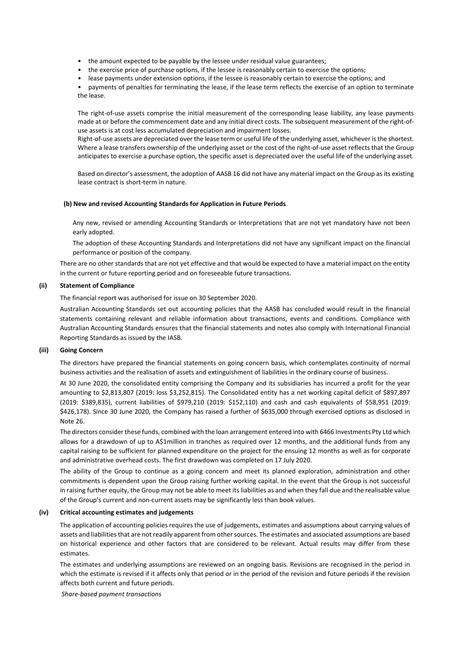- the amount expected to be payable by the lessee under residual value guarantees;
- the exercise price of purchase options, if the lessee is reasonably certain to exercise the options;
- lease payments under extension options, if the lessee is reasonably certain to exercise the options; and

• payments of penalties for terminating the lease, if the lease term reflects the exercise of an option to terminate the lease.

The right-of-use assets comprise the initial measurement of the corresponding lease liability, any lease payments made at or before the commencement date and any initial direct costs. The subsequent measurement of the right-ofuse assets is at cost less accumulated depreciation and impairment losses.

Right-of-use assets are depreciated over the lease term or useful life of the underlying asset, whichever is the shortest. Where a lease transfers ownership of the underlying asset or the cost of the right-of-use asset reflects that the Group anticipates to exercise a purchase option, the specific asset is depreciated over the useful life of the underlying asset.

Based on director's assessment, the adoption of AASB 16 did not have any material impact on the Group as its existing lease contract is short-term in nature.

#### **(b) New and revised Accounting Standards for Application in Future Periods**

Any new, revised or amending Accounting Standards or Interpretations that are not yet mandatory have not been early adopted.

The adoption of these Accounting Standards and Interpretations did not have any significant impact on the financial performance or position of the company.

There are no other standards that are not yet effective and that would be expected to have a material impact on the entity in the current or future reporting period and on foreseeable future transactions.

# **(ii) Statement of Compliance**

The financial report was authorised for issue on 30 September 2020.

Australian Accounting Standards set out accounting policies that the AASB has concluded would result in the financial statements containing relevant and reliable information about transactions, events and conditions. Compliance with Australian Accounting Standards ensures that the financial statements and notes also comply with International Financial Reporting Standards as issued by the IASB.

# **(iii) Going Concern**

The directors have prepared the financial statements on going concern basis, which contemplates continuity of normal business activities and the realisation of assets and extinguishment of liabilities in the ordinary course of business.

At 30 June 2020, the consolidated entity comprising the Company and its subsidiaries has incurred a profit for the year amounting to \$2,813,807 (2019: loss \$3,252,815). The Consolidated entity has a net working capital deficit of \$897,897 (2019: \$389,835), current liabilities of \$979,210 (2019: \$152,110) and cash and cash equivalents of \$58,951 (2019: \$426,178). Since 30 June 2020, the Company has raised a further of \$635,000 through exercised options as disclosed in Note 26.

The directors consider these funds, combined with the loan arrangement entered into with 6466 Investments Pty Ltd which allows for a drawdown of up to A\$1million in tranches as required over 12 months, and the additional funds from any capital raising to be sufficient for planned expenditure on the project for the ensuing 12 months as well as for corporate and administrative overhead costs. The first drawdown was completed on 17 July 2020.

The ability of the Group to continue as a going concern and meet its planned exploration, administration and other commitments is dependent upon the Group raising further working capital. In the event that the Group is not successful in raising further equity, the Group may not be able to meet its liabilities as and when they fall due and the realisable value of the Group's current and non-current assets may be significantly less than book values.

# **(iv) Critical accounting estimates and judgements**

The application of accounting policies requires the use of judgements, estimates and assumptions about carrying values of assets and liabilities that are not readily apparent from other sources. The estimates and associated assumptions are based on historical experience and other factors that are considered to be relevant. Actual results may differ from these estimates.

The estimates and underlying assumptions are reviewed on an ongoing basis. Revisions are recognised in the period in which the estimate is revised if it affects only that period or in the period of the revision and future periods if the revision affects both current and future periods.

*Share-based payment transactions*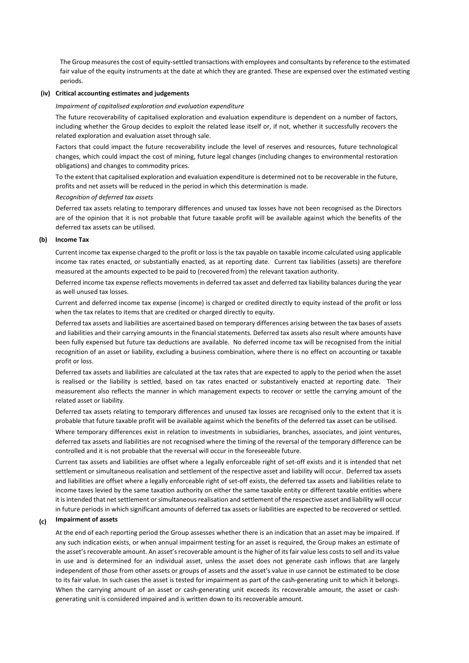The Group measures the cost of equity-settled transactions with employees and consultants by reference to the estimated fair value of the equity instruments at the date at which they are granted. These are expensed over the estimated vesting periods.

# **(iv) Critical accounting estimates and judgements**

#### *Impairment of capitalised exploration and evaluation expenditure*

The future recoverability of capitalised exploration and evaluation expenditure is dependent on a number of factors, including whether the Group decides to exploit the related lease itself or, if not, whether it successfully recovers the related exploration and evaluation asset through sale.

Factors that could impact the future recoverability include the level of reserves and resources, future technological changes, which could impact the cost of mining, future legal changes (including changes to environmental restoration obligations) and changes to commodity prices.

To the extent that capitalised exploration and evaluation expenditure is determined not to be recoverable in the future, profits and net assets will be reduced in the period in which this determination is made.

#### *Recognition of deferred tax assets*

Deferred tax assets relating to temporary differences and unused tax losses have not been recognised as the Directors are of the opinion that it is not probable that future taxable profit will be available against which the benefits of the deferred tax assets can be utilised.

# **(b) Income Tax**

Current income tax expense charged to the profit or loss is the tax payable on taxable income calculated using applicable income tax rates enacted, or substantially enacted, as at reporting date. Current tax liabilities (assets) are therefore measured at the amounts expected to be paid to (recovered from) the relevant taxation authority.

Deferred income tax expense reflects movements in deferred tax asset and deferred tax liability balances during the year as well unused tax losses.

Current and deferred income tax expense (income) is charged or credited directly to equity instead of the profit or loss when the tax relates to items that are credited or charged directly to equity.

Deferred tax assets and liabilities are ascertained based on temporary differences arising between the tax bases of assets and liabilities and their carrying amounts in the financial statements. Deferred tax assets also result where amounts have been fully expensed but future tax deductions are available. No deferred income tax will be recognised from the initial recognition of an asset or liability, excluding a business combination, where there is no effect on accounting or taxable profit or loss.

Deferred tax assets and liabilities are calculated at the tax rates that are expected to apply to the period when the asset is realised or the liability is settled, based on tax rates enacted or substantively enacted at reporting date. Their measurement also reflects the manner in which management expects to recover or settle the carrying amount of the related asset or liability.

Deferred tax assets relating to temporary differences and unused tax losses are recognised only to the extent that it is probable that future taxable profit will be available against which the benefits of the deferred tax asset can be utilised.

Where temporary differences exist in relation to investments in subsidiaries, branches, associates, and joint ventures, deferred tax assets and liabilities are not recognised where the timing of the reversal of the temporary difference can be controlled and it is not probable that the reversal will occur in the foreseeable future.

Current tax assets and liabilities are offset where a legally enforceable right of set-off exists and it is intended that net settlement or simultaneous realisation and settlement of the respective asset and liability will occur. Deferred tax assets and liabilities are offset where a legally enforceable right of set-off exists, the deferred tax assets and liabilities relate to income taxes levied by the same taxation authority on either the same taxable entity or different taxable entities where it is intended that net settlement or simultaneous realisation and settlement of the respective asset and liability will occur in future periods in which significant amounts of deferred tax assets or liabilities are expected to be recovered or settled.

# **(c) Impairment of assets**

At the end of each reporting period the Group assesses whether there is an indication that an asset may be impaired. If any such indication exists, or when annual impairment testing for an asset is required, the Group makes an estimate of the asset's recoverable amount. An asset's recoverable amount is the higher of its fair value less costs to sell and its value in use and is determined for an individual asset, unless the asset does not generate cash inflows that are largely independent of those from other assets or groups of assets and the asset's value in use cannot be estimated to be close to its fair value. In such cases the asset is tested for impairment as part of the cash-generating unit to which it belongs. When the carrying amount of an asset or cash-generating unit exceeds its recoverable amount, the asset or cashgenerating unit is considered impaired and is written down to its recoverable amount.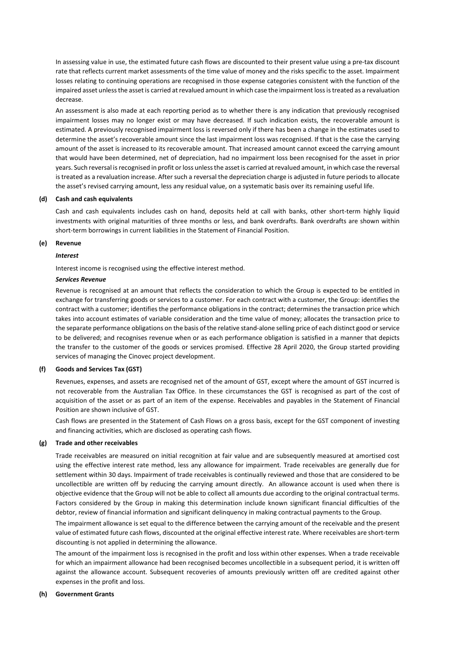In assessing value in use, the estimated future cash flows are discounted to their present value using a pre-tax discount rate that reflects current market assessments of the time value of money and the risks specific to the asset. Impairment losses relating to continuing operations are recognised in those expense categories consistent with the function of the impaired asset unless the asset is carried at revalued amount in which case the impairment loss is treated as a revaluation decrease.

An assessment is also made at each reporting period as to whether there is any indication that previously recognised impairment losses may no longer exist or may have decreased. If such indication exists, the recoverable amount is estimated. A previously recognised impairment loss is reversed only if there has been a change in the estimates used to determine the asset's recoverable amount since the last impairment loss was recognised. If that is the case the carrying amount of the asset is increased to its recoverable amount. That increased amount cannot exceed the carrying amount that would have been determined, net of depreciation, had no impairment loss been recognised for the asset in prior years. Such reversal is recognised in profit or loss unless the asset is carried at revalued amount, in which case the reversal is treated as a revaluation increase. After such a reversal the depreciation charge is adjusted in future periods to allocate the asset's revised carrying amount, less any residual value, on a systematic basis over its remaining useful life.

#### **(d) Cash and cash equivalents**

Cash and cash equivalents includes cash on hand, deposits held at call with banks, other short-term highly liquid investments with original maturities of three months or less, and bank overdrafts. Bank overdrafts are shown within short-term borrowings in current liabilities in the Statement of Financial Position.

#### **(e) Revenue**

#### *Interest*

Interest income is recognised using the effective interest method.

#### *Services Revenue*

Revenue is recognised at an amount that reflects the consideration to which the Group is expected to be entitled in exchange for transferring goods or services to a customer. For each contract with a customer, the Group: identifies the contract with a customer; identifies the performance obligations in the contract; determines the transaction price which takes into account estimates of variable consideration and the time value of money; allocates the transaction price to the separate performance obligations on the basis of the relative stand-alone selling price of each distinct good or service to be delivered; and recognises revenue when or as each performance obligation is satisfied in a manner that depicts the transfer to the customer of the goods or services promised. Effective 28 April 2020, the Group started providing services of managing the Cinovec project development.

#### **(f) Goods and Services Tax (GST)**

Revenues, expenses, and assets are recognised net of the amount of GST, except where the amount of GST incurred is not recoverable from the Australian Tax Office. In these circumstances the GST is recognised as part of the cost of acquisition of the asset or as part of an item of the expense. Receivables and payables in the Statement of Financial Position are shown inclusive of GST.

Cash flows are presented in the Statement of Cash Flows on a gross basis, except for the GST component of investing and financing activities, which are disclosed as operating cash flows.

# **(g) Trade and other receivables**

Trade receivables are measured on initial recognition at fair value and are subsequently measured at amortised cost using the effective interest rate method, less any allowance for impairment. Trade receivables are generally due for settlement within 30 days. Impairment of trade receivables is continually reviewed and those that are considered to be uncollectible are written off by reducing the carrying amount directly. An allowance account is used when there is objective evidence that the Group will not be able to collect all amounts due according to the original contractual terms. Factors considered by the Group in making this determination include known significant financial difficulties of the debtor, review of financial information and significant delinquency in making contractual payments to the Group.

The impairment allowance is set equal to the difference between the carrying amount of the receivable and the present value of estimated future cash flows, discounted at the original effective interest rate. Where receivables are short-term discounting is not applied in determining the allowance.

The amount of the impairment loss is recognised in the profit and loss within other expenses. When a trade receivable for which an impairment allowance had been recognised becomes uncollectible in a subsequent period, it is written off against the allowance account. Subsequent recoveries of amounts previously written off are credited against other expenses in the profit and loss.

#### **(h) Government Grants**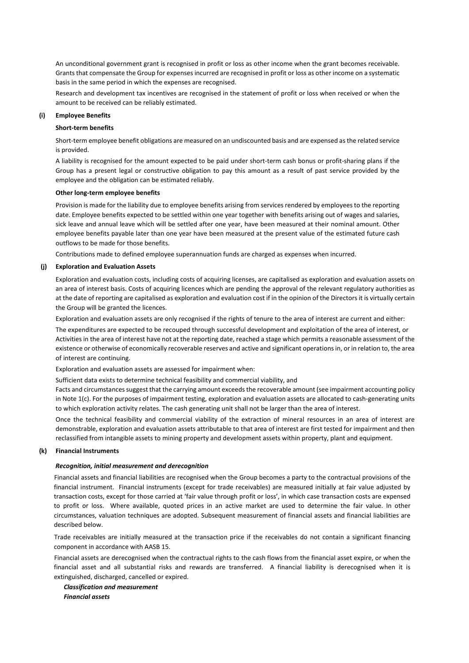An unconditional government grant is recognised in profit or loss as other income when the grant becomes receivable. Grants that compensate the Group for expenses incurred are recognised in profit or loss as other income on a systematic basis in the same period in which the expenses are recognised.

Research and development tax incentives are recognised in the statement of profit or loss when received or when the amount to be received can be reliably estimated.

# **(i) Employee Benefits**

#### **Short-term benefits**

Short-term employee benefit obligations are measured on an undiscounted basis and are expensed as the related service is provided.

A liability is recognised for the amount expected to be paid under short-term cash bonus or profit-sharing plans if the Group has a present legal or constructive obligation to pay this amount as a result of past service provided by the employee and the obligation can be estimated reliably.

# **Other long-term employee benefits**

Provision is made for the liability due to employee benefits arising from services rendered by employees to the reporting date. Employee benefits expected to be settled within one year together with benefits arising out of wages and salaries, sick leave and annual leave which will be settled after one year, have been measured at their nominal amount. Other employee benefits payable later than one year have been measured at the present value of the estimated future cash outflows to be made for those benefits.

Contributions made to defined employee superannuation funds are charged as expenses when incurred.

### **(j) Exploration and Evaluation Assets**

Exploration and evaluation costs, including costs of acquiring licenses, are capitalised as exploration and evaluation assets on an area of interest basis. Costs of acquiring licences which are pending the approval of the relevant regulatory authorities as at the date of reporting are capitalised as exploration and evaluation cost if in the opinion of the Directors it is virtually certain the Group will be granted the licences.

Exploration and evaluation assets are only recognised if the rights of tenure to the area of interest are current and either:

The expenditures are expected to be recouped through successful development and exploitation of the area of interest, or Activities in the area of interest have not at the reporting date, reached a stage which permits a reasonable assessment of the existence or otherwise of economically recoverable reserves and active and significant operations in, or in relation to, the area of interest are continuing.

Exploration and evaluation assets are assessed for impairment when:

Sufficient data exists to determine technical feasibility and commercial viability, and

Facts and circumstances suggest that the carrying amount exceeds the recoverable amount (see impairment accounting policy in Note 1(c). For the purposes of impairment testing, exploration and evaluation assets are allocated to cash-generating units to which exploration activity relates. The cash generating unit shall not be larger than the area of interest.

Once the technical feasibility and commercial viability of the extraction of mineral resources in an area of interest are demonstrable, exploration and evaluation assets attributable to that area of interest are first tested for impairment and then reclassified from intangible assets to mining property and development assets within property, plant and equipment.

# **(k) Financial Instruments**

#### *Recognition, initial measurement and derecognition*

Financial assets and financial liabilities are recognised when the Group becomes a party to the contractual provisions of the financial instrument. Financial instruments (except for trade receivables) are measured initially at fair value adjusted by transaction costs, except for those carried at 'fair value through profit or loss', in which case transaction costs are expensed to profit or loss. Where available, quoted prices in an active market are used to determine the fair value. In other circumstances, valuation techniques are adopted. Subsequent measurement of financial assets and financial liabilities are described below.

Trade receivables are initially measured at the transaction price if the receivables do not contain a significant financing component in accordance with AASB 15.

Financial assets are derecognised when the contractual rights to the cash flows from the financial asset expire, or when the financial asset and all substantial risks and rewards are transferred. A financial liability is derecognised when it is extinguished, discharged, cancelled or expired.

*Classification and measurement Financial assets*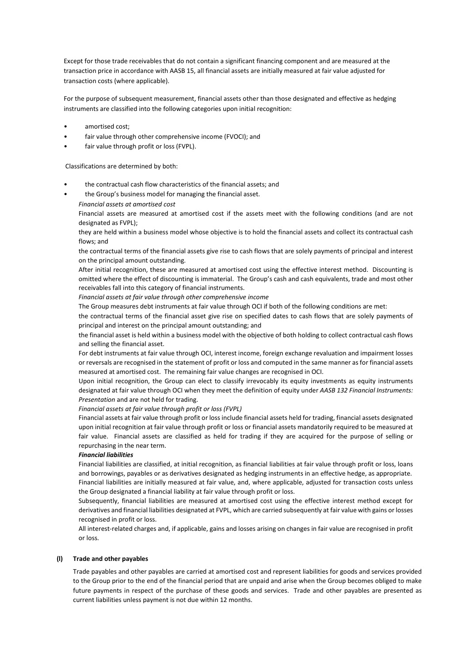Except for those trade receivables that do not contain a significant financing component and are measured at the transaction price in accordance with AASB 15, all financial assets are initially measured at fair value adjusted for transaction costs (where applicable).

For the purpose of subsequent measurement, financial assets other than those designated and effective as hedging instruments are classified into the following categories upon initial recognition:

- amortised cost:
- fair value through other comprehensive income (FVOCI); and
- fair value through profit or loss (FVPL).

Classifications are determined by both:

- the contractual cash flow characteristics of the financial assets; and
- the Group's business model for managing the financial asset.
	- *Financial assets at amortised cost*

Financial assets are measured at amortised cost if the assets meet with the following conditions (and are not designated as FVPL);

they are held within a business model whose objective is to hold the financial assets and collect its contractual cash flows; and

the contractual terms of the financial assets give rise to cash flows that are solely payments of principal and interest on the principal amount outstanding.

After initial recognition, these are measured at amortised cost using the effective interest method. Discounting is omitted where the effect of discounting is immaterial. The Group's cash and cash equivalents, trade and most other receivables fall into this category of financial instruments.

*Financial assets at fair value through other comprehensive income* 

The Group measures debt instruments at fair value through OCI if both of the following conditions are met:

the contractual terms of the financial asset give rise on specified dates to cash flows that are solely payments of principal and interest on the principal amount outstanding; and

the financial asset is held within a business model with the objective of both holding to collect contractual cash flows and selling the financial asset.

For debt instruments at fair value through OCI, interest income, foreign exchange revaluation and impairment losses or reversals are recognised in the statement of profit or loss and computed in the same manner as for financial assets measured at amortised cost. The remaining fair value changes are recognised in OCI.

Upon initial recognition, the Group can elect to classify irrevocably its equity investments as equity instruments designated at fair value through OCI when they meet the definition of equity under *AASB 132 Financial Instruments: Presentation* and are not held for trading.

*Financial assets at fair value through profit or loss (FVPL)*

Financial assets at fair value through profit or loss include financial assets held for trading, financial assets designated upon initial recognition at fair value through profit or loss or financial assets mandatorily required to be measured at fair value. Financial assets are classified as held for trading if they are acquired for the purpose of selling or repurchasing in the near term.

#### *Financial liabilities*

Financial liabilities are classified, at initial recognition, as financial liabilities at fair value through profit or loss, loans and borrowings, payables or as derivatives designated as hedging instruments in an effective hedge, as appropriate. Financial liabilities are initially measured at fair value, and, where applicable, adjusted for transaction costs unless the Group designated a financial liability at fair value through profit or loss.

Subsequently, financial liabilities are measured at amortised cost using the effective interest method except for derivatives and financial liabilities designated at FVPL, which are carried subsequently at fair value with gains or losses recognised in profit or loss.

All interest-related charges and, if applicable, gains and losses arising on changes in fair value are recognised in profit or loss.

#### **(l) Trade and other payables**

Trade payables and other payables are carried at amortised cost and represent liabilities for goods and services provided to the Group prior to the end of the financial period that are unpaid and arise when the Group becomes obliged to make future payments in respect of the purchase of these goods and services. Trade and other payables are presented as current liabilities unless payment is not due within 12 months.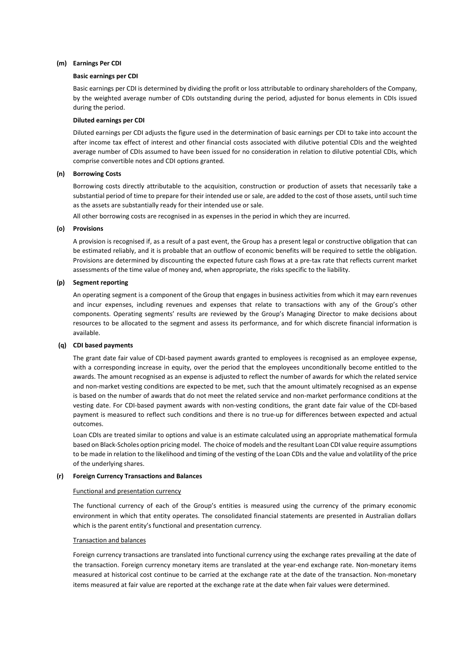#### **(m) Earnings Per CDI**

#### **Basic earnings per CDI**

Basic earnings per CDI is determined by dividing the profit or loss attributable to ordinary shareholders of the Company, by the weighted average number of CDIs outstanding during the period, adjusted for bonus elements in CDIs issued during the period.

# **Diluted earnings per CDI**

Diluted earnings per CDI adjusts the figure used in the determination of basic earnings per CDI to take into account the after income tax effect of interest and other financial costs associated with dilutive potential CDIs and the weighted average number of CDIs assumed to have been issued for no consideration in relation to dilutive potential CDIs, which comprise convertible notes and CDI options granted.

#### **(n) Borrowing Costs**

Borrowing costs directly attributable to the acquisition, construction or production of assets that necessarily take a substantial period of time to prepare for their intended use or sale, are added to the cost of those assets, until such time as the assets are substantially ready for their intended use or sale.

All other borrowing costs are recognised in as expenses in the period in which they are incurred.

#### **(o) Provisions**

A provision is recognised if, as a result of a past event, the Group has a present legal or constructive obligation that can be estimated reliably, and it is probable that an outflow of economic benefits will be required to settle the obligation. Provisions are determined by discounting the expected future cash flows at a pre-tax rate that reflects current market assessments of the time value of money and, when appropriate, the risks specific to the liability.

#### **(p) Segment reporting**

An operating segment is a component of the Group that engages in business activities from which it may earn revenues and incur expenses, including revenues and expenses that relate to transactions with any of the Group's other components. Operating segments' results are reviewed by the Group's Managing Director to make decisions about resources to be allocated to the segment and assess its performance, and for which discrete financial information is available.

#### **(q) CDI based payments**

The grant date fair value of CDI-based payment awards granted to employees is recognised as an employee expense, with a corresponding increase in equity, over the period that the employees unconditionally become entitled to the awards. The amount recognised as an expense is adjusted to reflect the number of awards for which the related service and non-market vesting conditions are expected to be met, such that the amount ultimately recognised as an expense is based on the number of awards that do not meet the related service and non-market performance conditions at the vesting date. For CDI-based payment awards with non-vesting conditions, the grant date fair value of the CDI-based payment is measured to reflect such conditions and there is no true-up for differences between expected and actual outcomes.

Loan CDIs are treated similar to options and value is an estimate calculated using an appropriate mathematical formula based on Black-Scholes option pricing model. The choice of models and the resultant Loan CDI value require assumptions to be made in relation to the likelihood and timing of the vesting of the Loan CDIs and the value and volatility of the price of the underlying shares.

#### **(r) Foreign Currency Transactions and Balances**

#### Functional and presentation currency

The functional currency of each of the Group's entities is measured using the currency of the primary economic environment in which that entity operates. The consolidated financial statements are presented in Australian dollars which is the parent entity's functional and presentation currency.

#### Transaction and balances

Foreign currency transactions are translated into functional currency using the exchange rates prevailing at the date of the transaction. Foreign currency monetary items are translated at the year-end exchange rate. Non-monetary items measured at historical cost continue to be carried at the exchange rate at the date of the transaction. Non-monetary items measured at fair value are reported at the exchange rate at the date when fair values were determined.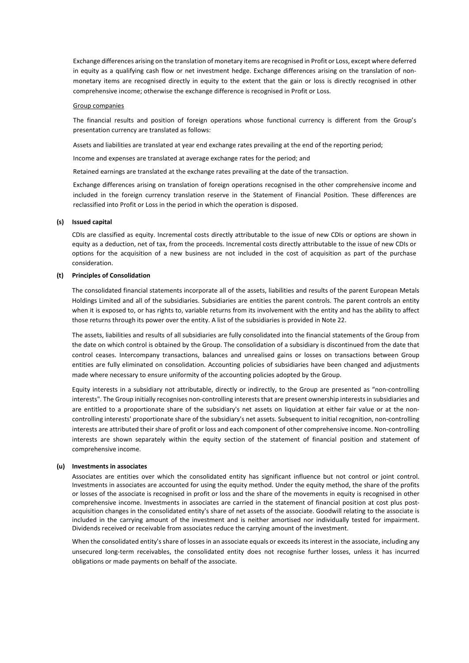Exchange differences arising on the translation of monetary items are recognised in Profit or Loss, except where deferred in equity as a qualifying cash flow or net investment hedge. Exchange differences arising on the translation of nonmonetary items are recognised directly in equity to the extent that the gain or loss is directly recognised in other comprehensive income; otherwise the exchange difference is recognised in Profit or Loss.

#### Group companies

The financial results and position of foreign operations whose functional currency is different from the Group's presentation currency are translated as follows:

Assets and liabilities are translated at year end exchange rates prevailing at the end of the reporting period;

Income and expenses are translated at average exchange rates for the period; and

Retained earnings are translated at the exchange rates prevailing at the date of the transaction.

Exchange differences arising on translation of foreign operations recognised in the other comprehensive income and included in the foreign currency translation reserve in the Statement of Financial Position. These differences are reclassified into Profit or Loss in the period in which the operation is disposed.

#### **(s) Issued capital**

CDIs are classified as equity. Incremental costs directly attributable to the issue of new CDIs or options are shown in equity as a deduction, net of tax, from the proceeds. Incremental costs directly attributable to the issue of new CDIs or options for the acquisition of a new business are not included in the cost of acquisition as part of the purchase consideration.

#### **(t) Principles of Consolidation**

The consolidated financial statements incorporate all of the assets, liabilities and results of the parent European Metals Holdings Limited and all of the subsidiaries. Subsidiaries are entities the parent controls. The parent controls an entity when it is exposed to, or has rights to, variable returns from its involvement with the entity and has the ability to affect those returns through its power over the entity. A list of the subsidiaries is provided in Note 22.

The assets, liabilities and results of all subsidiaries are fully consolidated into the financial statements of the Group from the date on which control is obtained by the Group. The consolidation of a subsidiary is discontinued from the date that control ceases. Intercompany transactions, balances and unrealised gains or losses on transactions between Group entities are fully eliminated on consolidation. Accounting policies of subsidiaries have been changed and adjustments made where necessary to ensure uniformity of the accounting policies adopted by the Group.

Equity interests in a subsidiary not attributable, directly or indirectly, to the Group are presented as "non-controlling interests". The Group initially recognises non-controlling interests that are present ownership interests in subsidiaries and are entitled to a proportionate share of the subsidiary's net assets on liquidation at either fair value or at the noncontrolling interests' proportionate share of the subsidiary's net assets. Subsequent to initial recognition, non-controlling interests are attributed their share of profit or loss and each component of other comprehensive income. Non-controlling interests are shown separately within the equity section of the statement of financial position and statement of comprehensive income.

#### **(u) Investments in associates**

Associates are entities over which the consolidated entity has significant influence but not control or joint control. Investments in associates are accounted for using the equity method. Under the equity method, the share of the profits or losses of the associate is recognised in profit or loss and the share of the movements in equity is recognised in other comprehensive income. Investments in associates are carried in the statement of financial position at cost plus postacquisition changes in the consolidated entity's share of net assets of the associate. Goodwill relating to the associate is included in the carrying amount of the investment and is neither amortised nor individually tested for impairment. Dividends received or receivable from associates reduce the carrying amount of the investment.

When the consolidated entity's share of losses in an associate equals or exceeds its interest in the associate, including any unsecured long-term receivables, the consolidated entity does not recognise further losses, unless it has incurred obligations or made payments on behalf of the associate.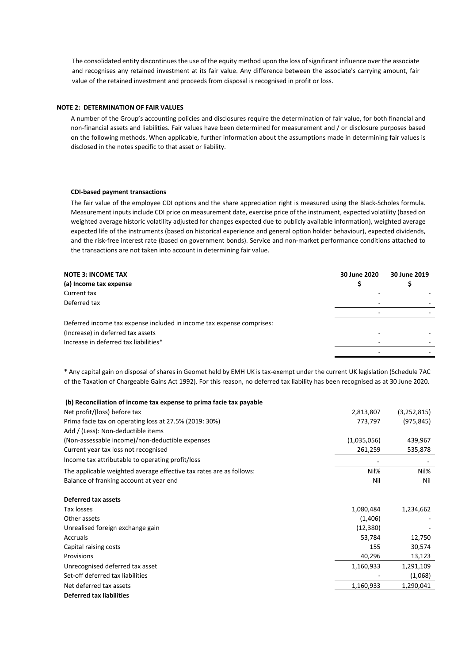The consolidated entity discontinues the use of the equity method upon the loss of significant influence over the associate and recognises any retained investment at its fair value. Any difference between the associate's carrying amount, fair value of the retained investment and proceeds from disposal is recognised in profit or loss.

#### **NOTE 2: DETERMINATION OF FAIR VALUES**

A number of the Group's accounting policies and disclosures require the determination of fair value, for both financial and non-financial assets and liabilities. Fair values have been determined for measurement and / or disclosure purposes based on the following methods. When applicable, further information about the assumptions made in determining fair values is disclosed in the notes specific to that asset or liability.

#### **CDI-based payment transactions**

The fair value of the employee CDI options and the share appreciation right is measured using the Black-Scholes formula. Measurement inputs include CDI price on measurement date, exercise price of the instrument, expected volatility (based on weighted average historic volatility adjusted for changes expected due to publicly available information), weighted average expected life of the instruments (based on historical experience and general option holder behaviour), expected dividends, and the risk-free interest rate (based on government bonds). Service and non-market performance conditions attached to the transactions are not taken into account in determining fair value.

| <b>NOTE 3: INCOME TAX</b>                                             | 30 June 2020 | 30 June 2019 |
|-----------------------------------------------------------------------|--------------|--------------|
| (a) Income tax expense                                                |              |              |
| Current tax                                                           |              |              |
| Deferred tax                                                          |              |              |
|                                                                       |              |              |
| Deferred income tax expense included in income tax expense comprises: |              |              |
| (Increase) in deferred tax assets                                     |              |              |
| Increase in deferred tax liabilities*                                 |              |              |
|                                                                       |              |              |

\* Any capital gain on disposal of shares in Geomet held by EMH UK is tax-exempt under the current UK legislation (Schedule 7AC of the Taxation of Chargeable Gains Act 1992). For this reason, no deferred tax liability has been recognised as at 30 June 2020.

| (b) Reconciliation of income tax expense to prima facie tax payable |             |             |
|---------------------------------------------------------------------|-------------|-------------|
| Net profit/(loss) before tax                                        | 2,813,807   | (3,252,815) |
| Prima facie tax on operating loss at 27.5% (2019: 30%)              | 773,797     | (975, 845)  |
| Add / (Less): Non-deductible items                                  |             |             |
| (Non-assessable income)/non-deductible expenses                     | (1,035,056) | 439,967     |
| Current year tax loss not recognised                                | 261,259     | 535,878     |
| Income tax attributable to operating profit/loss                    |             |             |
| The applicable weighted average effective tax rates are as follows: | Nil%        | Nil%        |
| Balance of franking account at year end                             | Nil         | Nil         |
| Deferred tax assets                                                 |             |             |
| Tax losses                                                          | 1,080,484   | 1,234,662   |
| Other assets                                                        | (1,406)     |             |
| Unrealised foreign exchange gain                                    | (12, 380)   |             |
| Accruals                                                            | 53,784      | 12,750      |
| Capital raising costs                                               | 155         | 30,574      |
| Provisions                                                          | 40,296      | 13,123      |
| Unrecognised deferred tax asset                                     | 1,160,933   | 1,291,109   |
| Set-off deferred tax liabilities                                    |             | (1,068)     |
| Net deferred tax assets                                             | 1,160,933   | 1,290,041   |
| <b>Deferred tax liabilities</b>                                     |             |             |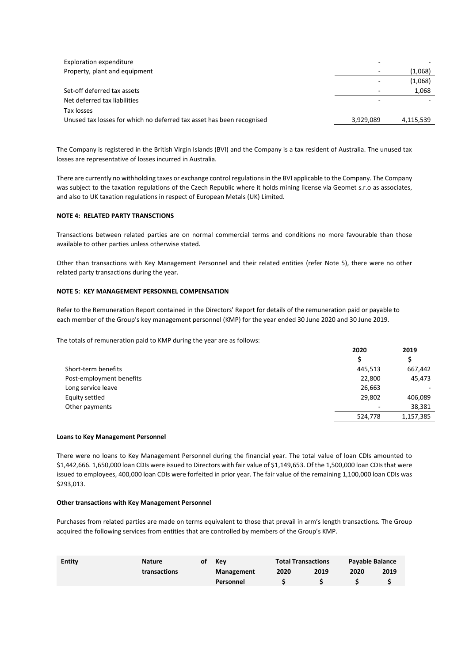| Exploration expenditure                                               |                          |           |
|-----------------------------------------------------------------------|--------------------------|-----------|
| Property, plant and equipment                                         | $\overline{\phantom{0}}$ | (1,068)   |
|                                                                       |                          | (1,068)   |
| Set-off deferred tax assets                                           |                          | 1,068     |
| Net deferred tax liabilities                                          |                          |           |
| Tax losses                                                            |                          |           |
| Unused tax losses for which no deferred tax asset has been recognised | 3,929,089                | 4,115,539 |

The Company is registered in the British Virgin Islands (BVI) and the Company is a tax resident of Australia. The unused tax losses are representative of losses incurred in Australia.

There are currently no withholding taxes or exchange control regulations in the BVI applicable to the Company. The Company was subject to the taxation regulations of the Czech Republic where it holds mining license via Geomet s.r.o as associates, and also to UK taxation regulations in respect of European Metals (UK) Limited.

### **NOTE 4: RELATED PARTY TRANSCTIONS**

Transactions between related parties are on normal commercial terms and conditions no more favourable than those available to other parties unless otherwise stated.

Other than transactions with Key Management Personnel and their related entities (refer Note 5), there were no other related party transactions during the year.

#### **NOTE 5: KEY MANAGEMENT PERSONNEL COMPENSATION**

Refer to the Remuneration Report contained in the Directors' Report for details of the remuneration paid or payable to each member of the Group's key management personnel (KMP) for the year ended 30 June 2020 and 30 June 2019.

The totals of remuneration paid to KMP during the year are as follows:

|                          | 2020    | 2019      |
|--------------------------|---------|-----------|
|                          |         | \$        |
| Short-term benefits      | 445,513 | 667,442   |
| Post-employment benefits | 22,800  | 45,473    |
| Long service leave       | 26,663  |           |
| Equity settled           | 29,802  | 406,089   |
| Other payments           | ۰       | 38,381    |
|                          | 524,778 | 1,157,385 |

#### **Loans to Key Management Personnel**

There were no loans to Key Management Personnel during the financial year. The total value of loan CDIs amounted to \$1,442,666. 1,650,000 loan CDIs were issued to Directors with fair value of \$1,149,653. Of the 1,500,000 loan CDIs that were issued to employees, 400,000 loan CDIs were forfeited in prior year. The fair value of the remaining 1,100,000 loan CDIs was \$293,013.

#### **Other transactions with Key Management Personnel**

Purchases from related parties are made on terms equivalent to those that prevail in arm's length transactions. The Group acquired the following services from entities that are controlled by members of the Group's KMP.

| <b>Entity</b> | <b>Nature</b> | οt | Kev        | <b>Total Transactions</b> |      | <b>Payable Balance</b> |      |
|---------------|---------------|----|------------|---------------------------|------|------------------------|------|
|               | transactions  |    | Management | 2020                      | 2019 | 2020                   | 2019 |
|               |               |    | Personnel  |                           |      |                        |      |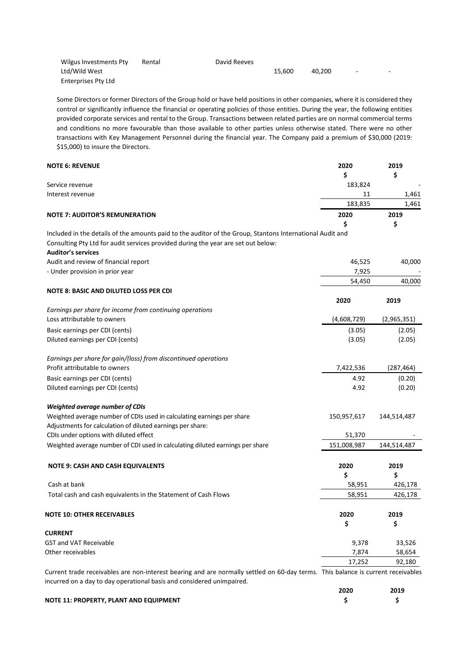| Wilgus Investments Pty | Rental | David Reeves |        |        |                          |        |
|------------------------|--------|--------------|--------|--------|--------------------------|--------|
| Ltd/Wild West          |        |              | 15.600 | 40.200 | $\overline{\phantom{0}}$ | $\sim$ |
| Enterprises Pty Ltd    |        |              |        |        |                          |        |

Some Directors or former Directors of the Group hold or have held positions in other companies, where it is considered they control or significantly influence the financial or operating policies of those entities. During the year, the following entities provided corporate services and rental to the Group. Transactions between related parties are on normal commercial terms and conditions no more favourable than those available to other parties unless otherwise stated. There were no other transactions with Key Management Personnel during the financial year. The Company paid a premium of \$30,000 (2019: \$15,000) to insure the Directors.

| <b>NOTE 6: REVENUE</b>                                                                                                           | 2020        | 2019        |
|----------------------------------------------------------------------------------------------------------------------------------|-------------|-------------|
|                                                                                                                                  | \$          | \$          |
| Service revenue                                                                                                                  | 183,824     |             |
| Interest revenue                                                                                                                 | 11          | 1,461       |
|                                                                                                                                  | 183,835     | 1,461       |
| <b>NOTE 7: AUDITOR'S REMUNERATION</b>                                                                                            | 2020        | 2019        |
|                                                                                                                                  | \$          | \$          |
| Included in the details of the amounts paid to the auditor of the Group, Stantons International Audit and                        |             |             |
| Consulting Pty Ltd for audit services provided during the year are set out below:                                                |             |             |
| <b>Auditor's services</b>                                                                                                        |             |             |
| Audit and review of financial report                                                                                             | 46,525      | 40,000      |
| - Under provision in prior year                                                                                                  | 7,925       |             |
|                                                                                                                                  | 54,450      | 40,000      |
| <b>NOTE 8: BASIC AND DILUTED LOSS PER CDI</b>                                                                                    |             |             |
|                                                                                                                                  | 2020        | 2019        |
| Earnings per share for income from continuing operations                                                                         |             |             |
| Loss attributable to owners                                                                                                      | (4,608,729) | (2,965,351) |
| Basic earnings per CDI (cents)                                                                                                   | (3.05)      | (2.05)      |
| Diluted earnings per CDI (cents)                                                                                                 | (3.05)      | (2.05)      |
|                                                                                                                                  |             |             |
| Earnings per share for gain/(loss) from discontinued operations                                                                  |             |             |
| Profit attributable to owners                                                                                                    | 7,422,536   | (287, 464)  |
| Basic earnings per CDI (cents)                                                                                                   | 4.92        | (0.20)      |
| Diluted earnings per CDI (cents)                                                                                                 | 4.92        | (0.20)      |
|                                                                                                                                  |             |             |
| <b>Weighted average number of CDIs</b>                                                                                           |             |             |
| Weighted average number of CDIs used in calculating earnings per share                                                           | 150,957,617 | 144,514,487 |
| Adjustments for calculation of diluted earnings per share:                                                                       |             |             |
| CDIs under options with diluted effect                                                                                           | 51,370      |             |
| Weighted average number of CDI used in calculating diluted earnings per share                                                    | 151,008,987 | 144,514,487 |
| <b>NOTE 9: CASH AND CASH EQUIVALENTS</b>                                                                                         | 2020        | 2019        |
|                                                                                                                                  | \$          | \$          |
| Cash at bank                                                                                                                     | 58,951      | 426,178     |
| Total cash and cash equivalents in the Statement of Cash Flows                                                                   | 58,951      | 426,178     |
|                                                                                                                                  |             |             |
| <b>NOTE 10: OTHER RECEIVABLES</b>                                                                                                | 2020        | 2019        |
|                                                                                                                                  | \$          | \$          |
| <b>CURRENT</b>                                                                                                                   |             |             |
| <b>GST and VAT Receivable</b>                                                                                                    | 9,378       | 33,526      |
| Other receivables                                                                                                                | 7,874       | 58,654      |
|                                                                                                                                  | 17,252      | 92,180      |
| Current trade receivables are non-interest bearing and are normally settled on 60-day terms. This balance is current receivables |             |             |
| incurred on a day to day operational basis and considered unimpaired.                                                            |             |             |
|                                                                                                                                  |             |             |

|                                        | 2020 | 2019 |
|----------------------------------------|------|------|
| NOTE 11: PROPERTY, PLANT AND EQUIPMENT |      |      |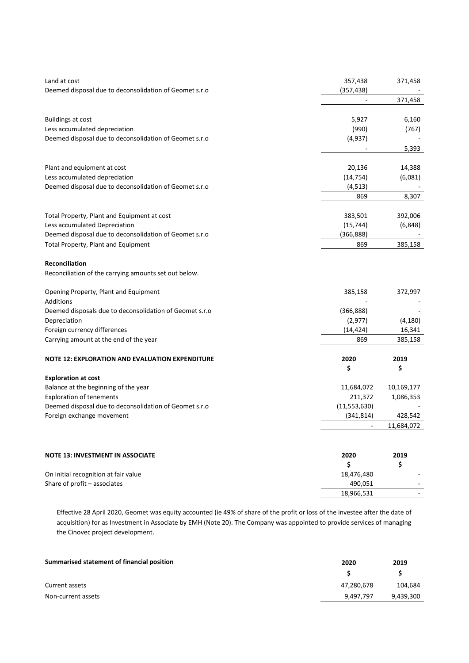| Land at cost                                            | 357,438        | 371,458    |
|---------------------------------------------------------|----------------|------------|
| Deemed disposal due to deconsolidation of Geomet s.r.o  | (357, 438)     | 371,458    |
|                                                         |                |            |
| <b>Buildings at cost</b>                                | 5,927          | 6,160      |
| Less accumulated depreciation                           | (990)          | (767)      |
| Deemed disposal due to deconsolidation of Geomet s.r.o  | (4, 937)       |            |
|                                                         |                | 5,393      |
|                                                         |                |            |
| Plant and equipment at cost                             | 20,136         | 14,388     |
| Less accumulated depreciation                           | (14, 754)      | (6,081)    |
| Deemed disposal due to deconsolidation of Geomet s.r.o  | (4, 513)       |            |
|                                                         | 869            | 8,307      |
|                                                         |                |            |
| Total Property, Plant and Equipment at cost             | 383,501        | 392,006    |
| Less accumulated Depreciation                           | (15, 744)      | (6, 848)   |
| Deemed disposal due to deconsolidation of Geomet s.r.o  | (366, 888)     |            |
| Total Property, Plant and Equipment                     | 869            | 385,158    |
|                                                         |                |            |
| Reconciliation                                          |                |            |
| Reconciliation of the carrying amounts set out below.   |                |            |
| Opening Property, Plant and Equipment                   | 385,158        | 372,997    |
| Additions                                               |                |            |
| Deemed disposals due to deconsolidation of Geomet s.r.o | (366, 888)     |            |
| Depreciation                                            | (2, 977)       | (4, 180)   |
| Foreign currency differences                            | (14, 424)      | 16,341     |
| Carrying amount at the end of the year                  | 869            | 385,158    |
|                                                         |                |            |
| <b>NOTE 12: EXPLORATION AND EVALUATION EXPENDITURE</b>  | 2020           | 2019       |
|                                                         | \$             | \$         |
| <b>Exploration at cost</b>                              |                |            |
| Balance at the beginning of the year                    | 11,684,072     | 10,169,177 |
| <b>Exploration of tenements</b>                         | 211,372        | 1,086,353  |
| Deemed disposal due to deconsolidation of Geomet s.r.o  | (11, 553, 630) |            |
| Foreign exchange movement                               | (341, 814)     | 428,542    |
|                                                         |                | 11,684,072 |
|                                                         |                |            |
| <b>NOTE 13: INVESTMENT IN ASSOCIATE</b>                 | 2020           | 2019       |
|                                                         | \$             | \$         |
| On initial recognition at fair value                    | 18,476,480     |            |
| Share of profit - associates                            | 490,051        |            |
|                                                         | 18,966,531     |            |
|                                                         |                |            |

Effective 28 April 2020, Geomet was equity accounted (ie 49% of share of the profit or loss of the investee after the date of acquisition) for as Investment in Associate by EMH (Note 20). The Company was appointed to provide services of managing the Cinovec project development.

| Summarised statement of financial position | 2020       | 2019      |
|--------------------------------------------|------------|-----------|
|                                            |            |           |
| Current assets                             | 47,280,678 | 104.684   |
| Non-current assets                         | 9.497.797  | 9,439,300 |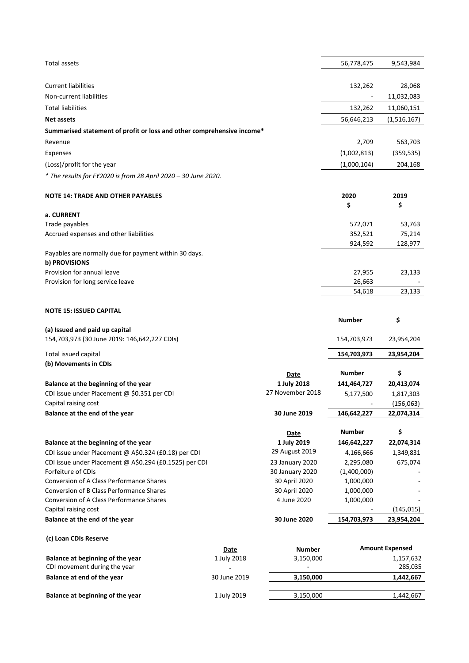| <b>Total assets</b>                                                    |              |                  | 56,778,475    | 9,543,984              |
|------------------------------------------------------------------------|--------------|------------------|---------------|------------------------|
|                                                                        |              |                  |               |                        |
| <b>Current liabilities</b>                                             |              |                  | 132,262       | 28,068                 |
| Non-current liabilities                                                |              |                  |               | 11,032,083             |
| <b>Total liabilities</b>                                               |              |                  | 132,262       | 11,060,151             |
| <b>Net assets</b>                                                      |              |                  | 56,646,213    | (1,516,167)            |
| Summarised statement of profit or loss and other comprehensive income* |              |                  |               |                        |
| Revenue                                                                |              |                  | 2,709         | 563,703                |
| Expenses                                                               |              |                  | (1,002,813)   | (359, 535)             |
| (Loss)/profit for the year                                             |              |                  | (1,000,104)   | 204,168                |
| * The results for FY2020 is from 28 April 2020 - 30 June 2020.         |              |                  |               |                        |
| <b>NOTE 14: TRADE AND OTHER PAYABLES</b>                               |              |                  | 2020          | 2019                   |
|                                                                        |              |                  | \$            | \$                     |
| a. CURRENT                                                             |              |                  |               |                        |
| Trade payables                                                         |              |                  | 572,071       | 53,763                 |
| Accrued expenses and other liabilities                                 |              |                  | 352,521       | 75,214                 |
|                                                                        |              |                  | 924,592       | 128,977                |
| Payables are normally due for payment within 30 days.<br>b) PROVISIONS |              |                  |               |                        |
| Provision for annual leave                                             |              |                  | 27,955        | 23,133                 |
| Provision for long service leave                                       |              |                  | 26,663        |                        |
|                                                                        |              |                  | 54,618        | 23,133                 |
|                                                                        |              |                  |               |                        |
| <b>NOTE 15: ISSUED CAPITAL</b>                                         |              |                  |               |                        |
|                                                                        |              |                  | <b>Number</b> | \$                     |
| (a) Issued and paid up capital                                         |              |                  |               |                        |
| 154,703,973 (30 June 2019: 146,642,227 CDIs)                           |              |                  | 154,703,973   | 23,954,204             |
| Total issued capital                                                   |              |                  | 154,703,973   | 23,954,204             |
| (b) Movements in CDIs                                                  |              |                  |               |                        |
|                                                                        |              | Date             | <b>Number</b> | \$                     |
| Balance at the beginning of the year                                   |              | 1 July 2018      | 141,464,727   | 20,413,074             |
| CDI issue under Placement @ \$0.351 per CDI                            |              | 27 November 2018 | 5,177,500     | 1,817,303              |
| Capital raising cost                                                   |              |                  |               | (156,063)              |
| Balance at the end of the year                                         |              | 30 June 2019     | 146,642,227   | 22,074,314             |
|                                                                        |              | <u>Date</u>      | <b>Number</b> | \$                     |
| Balance at the beginning of the year                                   |              | 1 July 2019      | 146,642,227   | 22,074,314             |
| CDI issue under Placement @ A\$0.324 (£0.18) per CDI                   |              | 29 August 2019   | 4,166,666     | 1,349,831              |
| CDI issue under Placement @ A\$0.294 (£0.1525) per CDI                 |              | 23 January 2020  | 2,295,080     | 675,074                |
| Forfeiture of CDIs                                                     |              | 30 January 2020  | (1,400,000)   |                        |
| <b>Conversion of A Class Performance Shares</b>                        |              | 30 April 2020    | 1,000,000     |                        |
| Conversion of B Class Performance Shares                               |              | 30 April 2020    | 1,000,000     |                        |
| <b>Conversion of A Class Performance Shares</b>                        |              | 4 June 2020      | 1,000,000     |                        |
| Capital raising cost                                                   |              |                  |               | (145, 015)             |
| Balance at the end of the year                                         |              | 30 June 2020     | 154,703,973   | 23,954,204             |
| (c) Loan CDIs Reserve                                                  |              |                  |               |                        |
|                                                                        | <b>Date</b>  | <b>Number</b>    |               | <b>Amount Expensed</b> |
| Balance at beginning of the year                                       | 1 July 2018  | 3,150,000        |               | 1,157,632              |
| CDI movement during the year                                           |              |                  |               | 285,035                |
| Balance at end of the year                                             | 30 June 2019 | 3,150,000        |               | 1,442,667              |
| Balance at beginning of the year                                       | 1 July 2019  | 3,150,000        |               | 1,442,667              |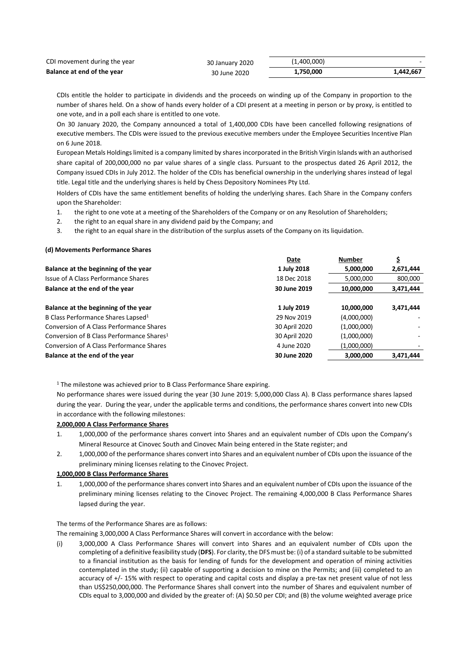| CDI movement during the year | 30 January 2020 | (1,400,000) |           |
|------------------------------|-----------------|-------------|-----------|
| Balance at end of the year   | 30 June 2020    | 1,750,000   | 1.442.667 |

CDIs entitle the holder to participate in dividends and the proceeds on winding up of the Company in proportion to the number of shares held. On a show of hands every holder of a CDI present at a meeting in person or by proxy, is entitled to one vote, and in a poll each share is entitled to one vote.

On 30 January 2020, the Company announced a total of 1,400,000 CDIs have been cancelled following resignations of executive members. The CDIs were issued to the previous executive members under the Employee Securities Incentive Plan on 6 June 2018.

European Metals Holdings limited is a company limited by shares incorporated in the British Virgin Islands with an authorised share capital of 200,000,000 no par value shares of a single class. Pursuant to the prospectus dated 26 April 2012, the Company issued CDIs in July 2012. The holder of the CDIs has beneficial ownership in the underlying shares instead of legal title. Legal title and the underlying shares is held by Chess Depository Nominees Pty Ltd.

Holders of CDIs have the same entitlement benefits of holding the underlying shares. Each Share in the Company confers upon the Shareholder:

- 1. the right to one vote at a meeting of the Shareholders of the Company or on any Resolution of Shareholders;
- 2. the right to an equal share in any dividend paid by the Company; and
- 3. the right to an equal share in the distribution of the surplus assets of the Company on its liquidation.

### **(d) Movements Performance Shares**

|                                                       | Date          | <b>Number</b> | Ş         |
|-------------------------------------------------------|---------------|---------------|-----------|
| Balance at the beginning of the year                  | 1 July 2018   | 5,000,000     | 2,671,444 |
| Issue of A Class Performance Shares                   | 18 Dec 2018   | 5,000,000     | 800,000   |
| Balance at the end of the year                        | 30 June 2019  | 10,000,000    | 3,471,444 |
|                                                       |               |               |           |
| Balance at the beginning of the year                  | 1 July 2019   | 10,000,000    | 3,471,444 |
| B Class Performance Shares Lapsed <sup>1</sup>        | 29 Nov 2019   | (4,000,000)   |           |
| <b>Conversion of A Class Performance Shares</b>       | 30 April 2020 | (1,000,000)   |           |
| Conversion of B Class Performance Shares <sup>1</sup> | 30 April 2020 | (1,000,000)   |           |
| Conversion of A Class Performance Shares              | 4 June 2020   | (1,000,000)   |           |
| Balance at the end of the year                        | 30 June 2020  | 3,000,000     | 3,471,444 |

<sup>1</sup> The milestone was achieved prior to B Class Performance Share expiring.

No performance shares were issued during the year (30 June 2019: 5,000,000 Class A). B Class performance shares lapsed during the year. During the year, under the applicable terms and conditions, the performance shares convert into new CDIs in accordance with the following milestones:

# **2,000,000 A Class Performance Shares**

- 1. 1,000,000 of the performance shares convert into Shares and an equivalent number of CDIs upon the Company's Mineral Resource at Cinovec South and Cinovec Main being entered in the State register; and
- 2. 1,000,000 of the performance shares convert into Shares and an equivalent number of CDIs upon the issuance of the preliminary mining licenses relating to the Cinovec Project.

#### **1,000,000 B Class Performance Shares**

1. 1,000,000 of the performance shares convert into Shares and an equivalent number of CDIs upon the issuance of the preliminary mining licenses relating to the Cinovec Project. The remaining 4,000,000 B Class Performance Shares lapsed during the year.

The terms of the Performance Shares are as follows:

The remaining 3,000,000 A Class Performance Shares will convert in accordance with the below:

(i) 3,000,000 A Class Performance Shares will convert into Shares and an equivalent number of CDIs upon the completing of a definitive feasibility study (**DFS**). For clarity, the DFS must be: (i) of a standard suitable to be submitted to a financial institution as the basis for lending of funds for the development and operation of mining activities contemplated in the study; (ii) capable of supporting a decision to mine on the Permits; and (iii) completed to an accuracy of +/- 15% with respect to operating and capital costs and display a pre-tax net present value of not less than US\$250,000,000. The Performance Shares shall convert into the number of Shares and equivalent number of CDIs equal to 3,000,000 and divided by the greater of: (A) \$0.50 per CDI; and (B) the volume weighted average price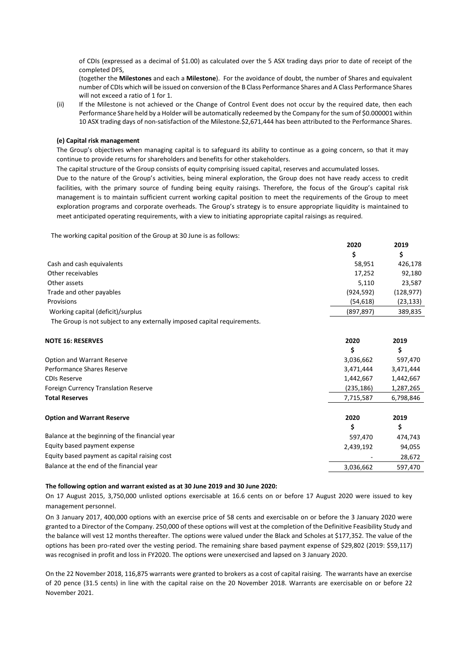of CDIs (expressed as a decimal of \$1.00) as calculated over the 5 ASX trading days prior to date of receipt of the completed DFS,

(together the **Milestones** and each a **Milestone**). For the avoidance of doubt, the number of Shares and equivalent number of CDIs which will be issued on conversion of the B Class Performance Shares and A Class Performance Shares will not exceed a ratio of 1 for 1.

(ii) If the Milestone is not achieved or the Change of Control Event does not occur by the required date, then each Performance Share held by a Holder will be automatically redeemed by the Company for the sum of \$0.000001 within 10 ASX trading days of non-satisfaction of the Milestone.\$2,671,444 has been attributed to the Performance Shares.

#### **(e) Capital risk management**

The Group's objectives when managing capital is to safeguard its ability to continue as a going concern, so that it may continue to provide returns for shareholders and benefits for other stakeholders.

The capital structure of the Group consists of equity comprising issued capital, reserves and accumulated losses.

Due to the nature of the Group's activities, being mineral exploration, the Group does not have ready access to credit facilities, with the primary source of funding being equity raisings. Therefore, the focus of the Group's capital risk management is to maintain sufficient current working capital position to meet the requirements of the Group to meet exploration programs and corporate overheads. The Group's strategy is to ensure appropriate liquidity is maintained to meet anticipated operating requirements, with a view to initiating appropriate capital raisings as required.

The working capital position of the Group at 30 June is as follows:

|                                   | 2020       | 2019       |
|-----------------------------------|------------|------------|
|                                   |            |            |
| Cash and cash equivalents         | 58,951     | 426,178    |
| Other receivables                 | 17,252     | 92,180     |
| Other assets                      | 5.110      | 23,587     |
| Trade and other payables          | (924, 592) | (128, 977) |
| Provisions                        | (54, 618)  | (23, 133)  |
| Working capital (deficit)/surplus | (897, 897) | 389,835    |

The Group is not subject to any externally imposed capital requirements.

| <b>NOTE 16: RESERVES</b>                       | 2020       | 2019      |  |
|------------------------------------------------|------------|-----------|--|
|                                                | \$         | \$        |  |
| Option and Warrant Reserve                     | 3,036,662  | 597,470   |  |
| Performance Shares Reserve                     | 3,471,444  | 3,471,444 |  |
| <b>CDIs Reserve</b>                            | 1,442,667  | 1,442,667 |  |
| <b>Foreign Currency Translation Reserve</b>    | (235, 186) | 1,287,265 |  |
| <b>Total Reserves</b>                          | 7,715,587  | 6,798,846 |  |
| <b>Option and Warrant Reserve</b>              | 2020       | 2019      |  |
|                                                | \$         | \$        |  |
| Balance at the beginning of the financial year | 597,470    | 474,743   |  |
| Equity based payment expense                   | 2,439,192  | 94,055    |  |
| Equity based payment as capital raising cost   |            | 28,672    |  |
| Balance at the end of the financial year       | 3,036,662  | 597,470   |  |

## **The following option and warrant existed as at 30 June 2019 and 30 June 2020:**

On 17 August 2015, 3,750,000 unlisted options exercisable at 16.6 cents on or before 17 August 2020 were issued to key management personnel.

On 3 January 2017, 400,000 options with an exercise price of 58 cents and exercisable on or before the 3 January 2020 were granted to a Director of the Company. 250,000 of these options will vest at the completion of the Definitive Feasibility Study and the balance will vest 12 months thereafter. The options were valued under the Black and Scholes at \$177,352. The value of the options has been pro-rated over the vesting period. The remaining share based payment expense of \$29,802 (2019: \$59,117) was recognised in profit and loss in FY2020. The options were unexercised and lapsed on 3 January 2020.

On the 22 November 2018, 116,875 warrants were granted to brokers as a cost of capital raising. The warrants have an exercise of 20 pence (31.5 cents) in line with the capital raise on the 20 November 2018. Warrants are exercisable on or before 22 November 2021.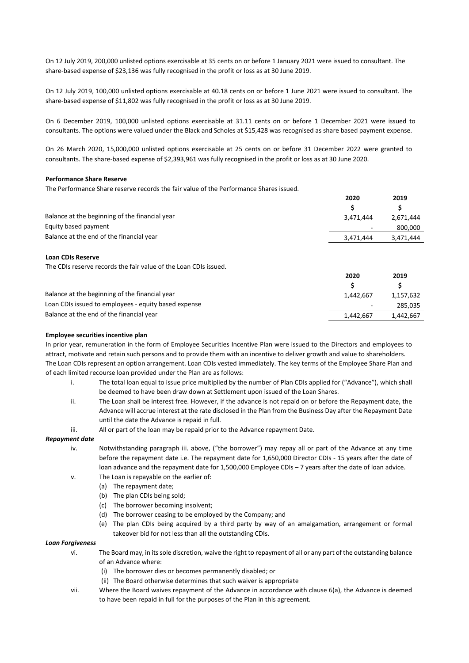On 12 July 2019, 200,000 unlisted options exercisable at 35 cents on or before 1 January 2021 were issued to consultant. The share-based expense of \$23,136 was fully recognised in the profit or loss as at 30 June 2019.

On 12 July 2019, 100,000 unlisted options exercisable at 40.18 cents on or before 1 June 2021 were issued to consultant. The share-based expense of \$11,802 was fully recognised in the profit or loss as at 30 June 2019.

On 6 December 2019, 100,000 unlisted options exercisable at 31.11 cents on or before 1 December 2021 were issued to consultants. The options were valued under the Black and Scholes at \$15,428 was recognised as share based payment expense.

On 26 March 2020, 15,000,000 unlisted options exercisable at 25 cents on or before 31 December 2022 were granted to consultants. The share-based expense of \$2,393,961 was fully recognised in the profit or loss as at 30 June 2020.

# **Performance Share Reserve**

The Performance Share reserve records the fair value of the Performance Shares issued.

|                                                | 2020      | 2019      |
|------------------------------------------------|-----------|-----------|
|                                                |           |           |
| Balance at the beginning of the financial year | 3.471.444 | 2,671,444 |
| Equity based payment                           | $\sim$    | 800,000   |
| Balance at the end of the financial year       | 3,471,444 | 3,471,444 |
|                                                |           |           |

## **Loan CDIs Reserve**

The CDIs reserve records the fair value of the Loan CDIs issued.

|                                                      | 2020      | 2019      |
|------------------------------------------------------|-----------|-----------|
|                                                      |           |           |
| Balance at the beginning of the financial year       | 1.442.667 | 1,157,632 |
| Loan CDIs issued to employees - equity based expense | $\sim$    | 285.035   |
| Balance at the end of the financial year             | 1.442.667 | 1.442.667 |

#### **Employee securities incentive plan**

In prior year, remuneration in the form of Employee Securities Incentive Plan were issued to the Directors and employees to attract, motivate and retain such persons and to provide them with an incentive to deliver growth and value to shareholders. The Loan CDIs represent an option arrangement. Loan CDIs vested immediately. The key terms of the Employee Share Plan and of each limited recourse loan provided under the Plan are as follows:

- i. The total loan equal to issue price multiplied by the number of Plan CDIs applied for ("Advance"), which shall be deemed to have been draw down at Settlement upon issued of the Loan Shares.
- ii. The Loan shall be interest free. However, if the advance is not repaid on or before the Repayment date, the Advance will accrue interest at the rate disclosed in the Plan from the Business Day after the Repayment Date until the date the Advance is repaid in full.
- iii. All or part of the loan may be repaid prior to the Advance repayment Date.

#### *Repayment date*

- iv. Notwithstanding paragraph iii. above, ("the borrower") may repay all or part of the Advance at any time before the repayment date i.e. The repayment date for 1,650,000 Director CDIs - 15 years after the date of loan advance and the repayment date for 1,500,000 Employee CDIs – 7 years after the date of loan advice.
- v. The Loan is repayable on the earlier of:
	- (a) The repayment date;
	- (b) The plan CDIs being sold;
	- (c) The borrower becoming insolvent;
	- (d) The borrower ceasing to be employed by the Company; and
	- (e) The plan CDIs being acquired by a third party by way of an amalgamation, arrangement or formal takeover bid for not less than all the outstanding CDIs.

#### *Loan Forgiveness*

- vi. The Board may, in its sole discretion, waive the right to repayment of all or any part of the outstanding balance of an Advance where:
	- (i) The borrower dies or becomes permanently disabled; or
	- (ii) The Board otherwise determines that such waiver is appropriate
- vii. Where the Board waives repayment of the Advance in accordance with clause 6(a), the Advance is deemed to have been repaid in full for the purposes of the Plan in this agreement.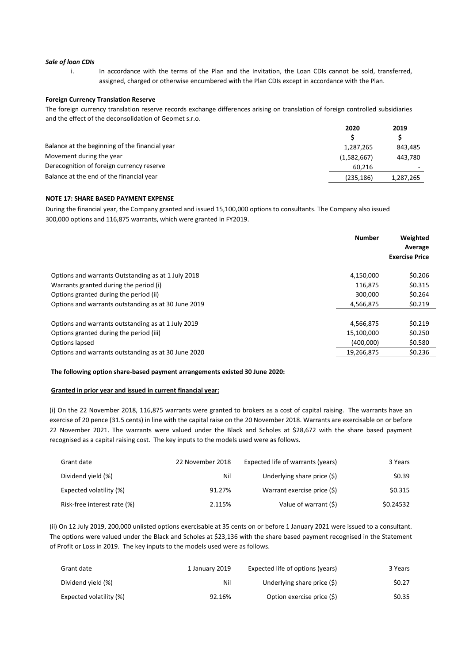#### *Sale of loan CDIs*

i. In accordance with the terms of the Plan and the Invitation, the Loan CDIs cannot be sold, transferred, assigned, charged or otherwise encumbered with the Plan CDIs except in accordance with the Plan.

#### **Foreign Currency Translation Reserve**

The foreign currency translation reserve records exchange differences arising on translation of foreign controlled subsidiaries and the effect of the deconsolidation of Geomet s.r.o.

|                                                | 2020        | 2019      |
|------------------------------------------------|-------------|-----------|
|                                                |             |           |
| Balance at the beginning of the financial year | 1,287,265   | 843.485   |
| Movement during the year                       | (1,582,667) | 443.780   |
| Derecognition of foreign currency reserve      | 60.216      |           |
| Balance at the end of the financial year       | (235, 186)  | 1,287,265 |
|                                                |             |           |

### **NOTE 17: SHARE BASED PAYMENT EXPENSE**

During the financial year, the Company granted and issued 15,100,000 options to consultants. The Company also issued 300,000 options and 116,875 warrants, which were granted in FY2019.

|                                                     | <b>Number</b> | Weighted<br>Average<br><b>Exercise Price</b> |
|-----------------------------------------------------|---------------|----------------------------------------------|
| Options and warrants Outstanding as at 1 July 2018  | 4,150,000     | \$0.206                                      |
| Warrants granted during the period (i)              | 116.875       | \$0.315                                      |
| Options granted during the period (ii)              | 300,000       | \$0.264                                      |
| Options and warrants outstanding as at 30 June 2019 | 4,566,875     | \$0.219                                      |
| Options and warrants outstanding as at 1 July 2019  | 4,566,875     | \$0.219                                      |
| Options granted during the period (iii)             | 15,100,000    | \$0.250                                      |
| Options lapsed                                      | (400,000)     | \$0.580                                      |
| Options and warrants outstanding as at 30 June 2020 | 19,266,875    | \$0.236                                      |

#### **The following option share-based payment arrangements existed 30 June 2020:**

# **Granted in prior year and issued in current financial year:**

(i) On the 22 November 2018, 116,875 warrants were granted to brokers as a cost of capital raising. The warrants have an exercise of 20 pence (31.5 cents) in line with the capital raise on the 20 November 2018. Warrants are exercisable on or before 22 November 2021. The warrants were valued under the Black and Scholes at \$28,672 with the share based payment recognised as a capital raising cost. The key inputs to the models used were as follows.

| Grant date                  | 22 November 2018 | Expected life of warrants (years) | 3 Years   |
|-----------------------------|------------------|-----------------------------------|-----------|
| Dividend yield (%)          | Nil              | Underlying share price $(\xi)$    | \$0.39    |
| Expected volatility (%)     | 91.27%           | Warrant exercise price (\$)       | \$0.315   |
| Risk-free interest rate (%) | 2.115%           | Value of warrant (\$)             | \$0.24532 |

(ii) On 12 July 2019, 200,000 unlisted options exercisable at 35 cents on or before 1 January 2021 were issued to a consultant. The options were valued under the Black and Scholes at \$23,136 with the share based payment recognised in the Statement of Profit or Loss in 2019. The key inputs to the models used were as follows.

| Grant date              | 1 January 2019 | Expected life of options (years) | 3 Years |
|-------------------------|----------------|----------------------------------|---------|
| Dividend yield (%)      | Nil            | Underlying share price (\$)      | \$0.27  |
| Expected volatility (%) | 92.16%         | Option exercise price (\$)       | \$0.35  |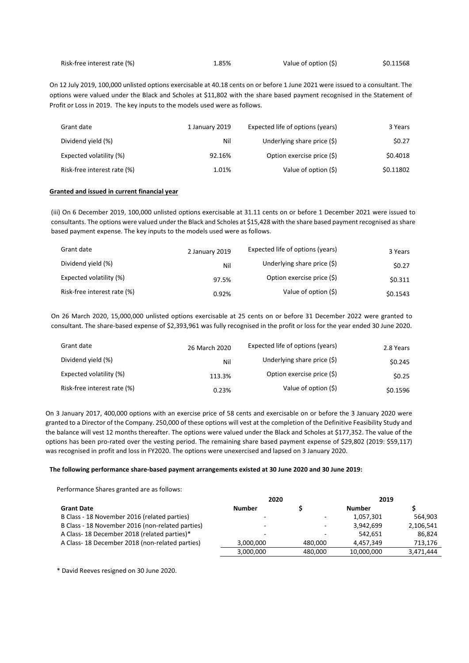| Risk-free interest rate (%) | 1.85% | Value of option (\$) | \$0.11568 |
|-----------------------------|-------|----------------------|-----------|
|-----------------------------|-------|----------------------|-----------|

On 12 July 2019, 100,000 unlisted options exercisable at 40.18 cents on or before 1 June 2021 were issued to a consultant. The options were valued under the Black and Scholes at \$11,802 with the share based payment recognised in the Statement of Profit or Loss in 2019. The key inputs to the models used were as follows.

| Grant date                  | 1 January 2019 | Expected life of options (years) | 3 Years   |
|-----------------------------|----------------|----------------------------------|-----------|
| Dividend yield (%)          | Nil            | Underlying share price (\$)      | \$0.27    |
| Expected volatility (%)     | 92.16%         | Option exercise price (\$)       | \$0.4018  |
| Risk-free interest rate (%) | 1.01%          | Value of option (\$)             | \$0.11802 |

### **Granted and issued in current financial year**

(iii) On 6 December 2019, 100,000 unlisted options exercisable at 31.11 cents on or before 1 December 2021 were issued to consultants. The options were valued under the Black and Scholes at \$15,428 with the share based payment recognised as share based payment expense. The key inputs to the models used were as follows.

| Grant date                  | 2 January 2019 | Expected life of options (years) | 3 Years  |
|-----------------------------|----------------|----------------------------------|----------|
| Dividend yield (%)          | Nil            | Underlying share price (\$)      | \$0.27   |
| Expected volatility (%)     | 97.5%          | Option exercise price (\$)       | \$0.311  |
| Risk-free interest rate (%) | 0.92%          | Value of option (\$)             | \$0.1543 |

On 26 March 2020, 15,000,000 unlisted options exercisable at 25 cents on or before 31 December 2022 were granted to consultant. The share-based expense of \$2,393,961 was fully recognised in the profit or loss for the year ended 30 June 2020.

| Grant date                  | 26 March 2020 | Expected life of options (years) | 2.8 Years |
|-----------------------------|---------------|----------------------------------|-----------|
| Dividend yield (%)          | Nil           | Underlying share price $(\xi)$   | \$0.245   |
| Expected volatility (%)     | 113.3%        | Option exercise price (\$)       | \$0.25    |
| Risk-free interest rate (%) | 0.23%         | Value of option (\$)             | \$0.1596  |

On 3 January 2017, 400,000 options with an exercise price of 58 cents and exercisable on or before the 3 January 2020 were granted to a Director of the Company. 250,000 of these options will vest at the completion of the Definitive Feasibility Study and the balance will vest 12 months thereafter. The options were valued under the Black and Scholes at \$177,352. The value of the options has been pro-rated over the vesting period. The remaining share based payment expense of \$29,802 (2019: \$59,117) was recognised in profit and loss in FY2020. The options were unexercised and lapsed on 3 January 2020.

# **The following performance share-based payment arrangements existed at 30 June 2020 and 30 June 2019:**

Performance Shares granted are as follows:

|                                                  | 2020          |                          | 2019          |           |
|--------------------------------------------------|---------------|--------------------------|---------------|-----------|
| <b>Grant Date</b>                                | <b>Number</b> |                          | <b>Number</b> |           |
| B Class - 18 November 2016 (related parties)     | ۰             | ٠                        | 1,057,301     | 564.903   |
| B Class - 18 November 2016 (non-related parties) | -             |                          | 3.942.699     | 2,106,541 |
| A Class-18 December 2018 (related parties)*      | ۰             | $\overline{\phantom{a}}$ | 542.651       | 86.824    |
| A Class-18 December 2018 (non-related parties)   | 3.000.000     | 480.000                  | 4.457.349     | 713.176   |
|                                                  | 3,000,000     | 480.000                  | 10,000,000    | 3,471,444 |

\* David Reeves resigned on 30 June 2020.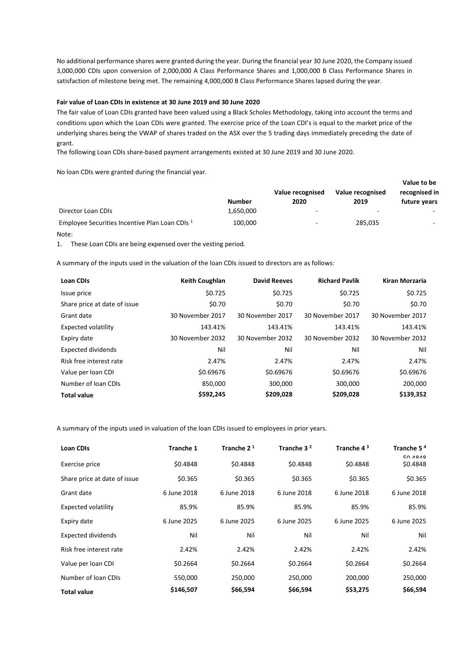No additional performance shares were granted during the year. During the financial year 30 June 2020, the Company issued 3,000,000 CDIs upon conversion of 2,000,000 A Class Performance Shares and 1,000,000 B Class Performance Shares in satisfaction of milestone being met. The remaining 4,000,000 B Class Performance Shares lapsed during the year.

# **Fair value of Loan CDIs in existence at 30 June 2019 and 30 June 2020**

The fair value of Loan CDIs granted have been valued using a Black Scholes Methodology, taking into account the terms and conditions upon which the Loan CDIs were granted. The exercise price of the Loan CDI's is equal to the market price of the underlying shares being the VWAP of shares traded on the ASX over the 5 trading days immediately preceding the date of grant.

The following Loan CDIs share-based payment arrangements existed at 30 June 2019 and 30 June 2020.

No loan CDIs were granted during the financial year.

|                                                |               |                          |                  | Value to be   |
|------------------------------------------------|---------------|--------------------------|------------------|---------------|
|                                                |               | Value recognised         | Value recognised | recognised in |
|                                                | <b>Number</b> | 2020                     | 2019             | future years  |
| Director Loan CDIs                             | 1.650.000     | $\overline{\phantom{a}}$ | -                | -             |
| Employee Securities Incentive Plan Loan CDIs 1 | 100,000       | $\sim$                   | 285,035          | $\sim$        |

#### Note:

1. These Loan CDIs are being expensed over the vesting period.

A summary of the inputs used in the valuation of the loan CDIs issued to directors are as follows:

| <b>Loan CDIs</b>             | <b>Keith Coughlan</b> | <b>David Reeves</b> | <b>Richard Pavlik</b> | Kiran Morzaria   |
|------------------------------|-----------------------|---------------------|-----------------------|------------------|
| Issue price                  | \$0.725               | \$0.725             | \$0.725               | \$0.725          |
| Share price at date of issue | \$0.70                | \$0.70              | \$0.70                | \$0.70           |
| Grant date                   | 30 November 2017      | 30 November 2017    | 30 November 2017      | 30 November 2017 |
| Expected volatility          | 143.41%               | 143.41%             | 143.41%               | 143.41%          |
| Expiry date                  | 30 November 2032      | 30 November 2032    | 30 November 2032      | 30 November 2032 |
| <b>Expected dividends</b>    | Nil                   | Nil                 | Nil                   | Nil              |
| Risk free interest rate      | 2.47%                 | 2.47%               | 2.47%                 | 2.47%            |
| Value per loan CDI           | \$0.69676             | \$0.69676           | \$0.69676             | \$0.69676        |
| Number of Joan CDIs          | 850,000               | 300,000             | 300,000               | 200,000          |
| <b>Total value</b>           | \$592,245             | \$209,028           | \$209,028             | \$139,352        |

A summary of the inputs used in valuation of the loan CDIs issued to employees in prior years.

| <b>Loan CDIs</b>             | Tranche 1   | Tranche $21$ | Tranche 3 <sup>2</sup> | Tranche 4 <sup>3</sup> | Tranche 5 <sup>4</sup> |
|------------------------------|-------------|--------------|------------------------|------------------------|------------------------|
| Exercise price               | \$0.4848    | \$0.4848     | \$0.4848               | \$0.4848               | 60,000<br>\$0.4848     |
| Share price at date of issue | \$0.365     | \$0.365      | \$0.365                | \$0.365                | \$0.365                |
| Grant date                   | 6 June 2018 | 6 June 2018  | 6 June 2018            | 6 June 2018            | 6 June 2018            |
| <b>Expected volatility</b>   | 85.9%       | 85.9%        | 85.9%                  | 85.9%                  | 85.9%                  |
| Expiry date                  | 6 June 2025 | 6 June 2025  | 6 June 2025            | 6 June 2025            | 6 June 2025            |
| Expected dividends           | Nil         | Nil          | Nil                    | Nil                    | Nil                    |
| Risk free interest rate      | 2.42%       | 2.42%        | 2.42%                  | 2.42%                  | 2.42%                  |
| Value per loan CDI           | \$0.2664    | \$0.2664     | \$0.2664               | \$0.2664               | \$0.2664               |
| Number of loan CDIs          | 550,000     | 250,000      | 250,000                | 200,000                | 250,000                |
| <b>Total value</b>           | \$146,507   | \$66,594     | \$66,594               | \$53,275               | \$66,594               |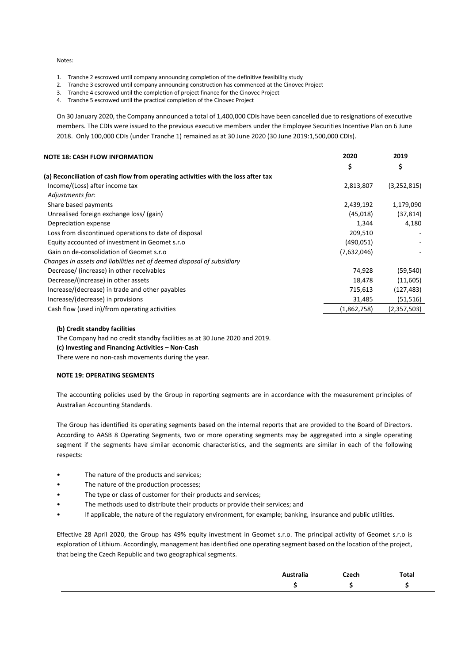Notes:

- 1. Tranche 2 escrowed until company announcing completion of the definitive feasibility study
- 2. Tranche 3 escrowed until company announcing construction has commenced at the Cinovec Project
- 3. Tranche 4 escrowed until the completion of project finance for the Cinovec Project
- 4. Tranche 5 escrowed until the practical completion of the Cinovec Project

On 30 January 2020, the Company announced a total of 1,400,000 CDIs have been cancelled due to resignations of executive members. The CDIs were issued to the previous executive members under the Employee Securities Incentive Plan on 6 June 2018. Only 100,000 CDIs (under Tranche 1) remained as at 30 June 2020 (30 June 2019:1,500,000 CDIs).

| <b>NOTE 18: CASH FLOW INFORMATION</b>                                             | 2020        | 2019        |
|-----------------------------------------------------------------------------------|-------------|-------------|
|                                                                                   | \$          | \$          |
| (a) Reconciliation of cash flow from operating activities with the loss after tax |             |             |
| Income/(Loss) after income tax                                                    | 2,813,807   | (3,252,815) |
| Adjustments for:                                                                  |             |             |
| Share based payments                                                              | 2,439,192   | 1,179,090   |
| Unrealised foreign exchange loss/ (gain)                                          | (45,018)    | (37, 814)   |
| Depreciation expense                                                              | 1,344       | 4,180       |
| Loss from discontinued operations to date of disposal                             | 209,510     |             |
| Equity accounted of investment in Geomet s.r.o                                    | (490, 051)  |             |
| Gain on de-consolidation of Geomet s.r.o                                          | (7,632,046) |             |
| Changes in assets and liabilities net of deemed disposal of subsidiary            |             |             |
| Decrease/ (increase) in other receivables                                         | 74,928      | (59, 540)   |
| Decrease/(increase) in other assets                                               | 18,478      | (11,605)    |
| Increase/(decrease) in trade and other payables                                   | 715,613     | (127, 483)  |
| Increase/(decrease) in provisions                                                 | 31,485      | (51, 516)   |
| Cash flow (used in)/from operating activities                                     | (1,862,758) | (2,357,503) |

#### **(b) Credit standby facilities**

The Company had no credit standby facilities as at 30 June 2020 and 2019.

**(c) Investing and Financing Activities – Non-Cash**

There were no non-cash movements during the year.

# **NOTE 19: OPERATING SEGMENTS**

The accounting policies used by the Group in reporting segments are in accordance with the measurement principles of Australian Accounting Standards.

The Group has identified its operating segments based on the internal reports that are provided to the Board of Directors. According to AASB 8 Operating Segments, two or more operating segments may be aggregated into a single operating segment if the segments have similar economic characteristics, and the segments are similar in each of the following respects:

- The nature of the products and services;
- The nature of the production processes;
- The type or class of customer for their products and services;
- The methods used to distribute their products or provide their services; and
- If applicable, the nature of the regulatory environment, for example; banking, insurance and public utilities.

Effective 28 April 2020, the Group has 49% equity investment in Geomet s.r.o. The principal activity of Geomet s.r.o is exploration of Lithium. Accordingly, management has identified one operating segment based on the location of the project, that being the Czech Republic and two geographical segments.

| $\cdot$<br>Australia | Czech | Total |
|----------------------|-------|-------|
|                      |       |       |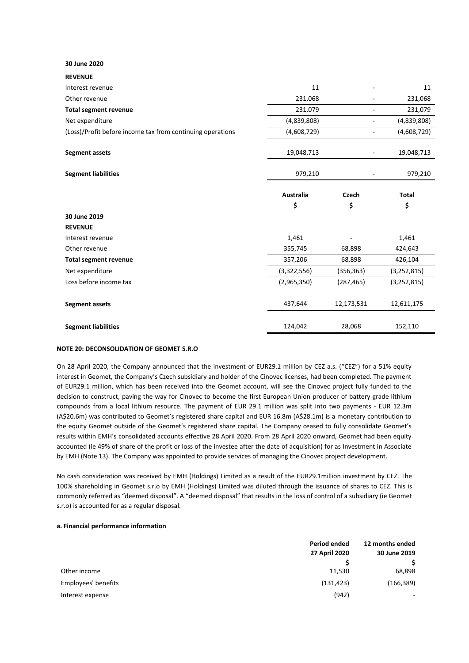## **30 June 2020**

**REVENUE**

| Interest revenue                                           | 11                     |             | 11            |
|------------------------------------------------------------|------------------------|-------------|---------------|
| Other revenue                                              | 231,068                |             | 231,068       |
| <b>Total segment revenue</b>                               | 231,079                | ۰           | 231,079       |
| Net expenditure                                            | (4,839,808)            | ۰           | (4,839,808)   |
| (Loss)/Profit before income tax from continuing operations | (4,608,729)            |             | (4,608,729)   |
| <b>Segment assets</b>                                      | 19,048,713             |             | 19,048,713    |
| <b>Segment liabilities</b>                                 | 979,210                |             | 979,210       |
|                                                            | <b>Australia</b><br>\$ | Czech<br>\$ | Total<br>\$   |
| 30 June 2019                                               |                        |             |               |
| <b>REVENUE</b>                                             |                        |             |               |
| Interest revenue                                           | 1,461                  |             | 1,461         |
| Other revenue                                              | 355,745                | 68,898      | 424,643       |
| <b>Total segment revenue</b>                               | 357,206                | 68,898      | 426,104       |
| Net expenditure                                            | (3,322,556)            | (356, 363)  | (3,252,815)   |
| Loss before income tax                                     | (2,965,350)            | (287, 465)  | (3, 252, 815) |
| <b>Segment assets</b>                                      | 437,644                | 12,173,531  | 12,611,175    |
| <b>Segment liabilities</b>                                 | 124,042                | 28,068      | 152,110       |

#### **NOTE 20: DECONSOLIDATION OF GEOMET S.R.O**

On 28 April 2020, the Company announced that the investment of EUR29.1 million by CEZ a.s. ("CEZ") for a 51% equity interest in Geomet, the Company's Czech subsidiary and holder of the Cinovec licenses, had been completed. The payment of EUR29.1 million, which has been received into the Geomet account, will see the Cinovec project fully funded to the decision to construct, paving the way for Cinovec to become the first European Union producer of battery grade lithium compounds from a local lithium resource. The payment of EUR 29.1 million was split into two payments - EUR 12.3m (A\$20.6m) was contributed to Geomet's registered share capital and EUR 16.8m (A\$28.1m) is a monetary contribution to the equity Geomet outside of the Geomet's registered share capital. The Company ceased to fully consolidate Geomet's results within EMH's consolidated accounts effective 28 April 2020. From 28 April 2020 onward, Geomet had been equity accounted (ie 49% of share of the profit or loss of the investee after the date of acquisition) for as Investment in Associate by EMH (Note 13). The Company was appointed to provide services of managing the Cinovec project development.

No cash consideration was received by EMH (Holdings) Limited as a result of the EUR29.1million investment by CEZ. The 100% shareholding in Geomet s.r.o by EMH (Holdings) Limited was diluted through the issuance of shares to CEZ. This is commonly referred as "deemed disposal". A "deemed disposal" that results in the loss of control of a subsidiary (ie Geomet s.r.o) is accounted for as a regular disposal.

#### **a. Financial performance information**

|                     | Period ended  | 12 months ended |  |
|---------------------|---------------|-----------------|--|
|                     | 27 April 2020 | 30 June 2019    |  |
|                     |               |                 |  |
| Other income        | 11,530        | 68,898          |  |
| Employees' benefits | (131, 423)    | (166, 389)      |  |
| Interest expense    | (942)         | ٠               |  |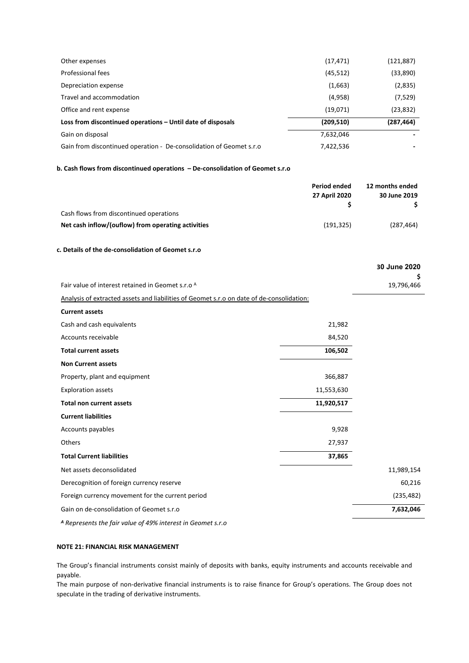| Other expenses                                                      | (17, 471)  | (121,887)  |
|---------------------------------------------------------------------|------------|------------|
| Professional fees                                                   | (45, 512)  | (33,890)   |
| Depreciation expense                                                | (1,663)    | (2,835)    |
| Travel and accommodation                                            | (4,958)    | (7,529)    |
| Office and rent expense                                             | (19,071)   | (23, 832)  |
| Loss from discontinued operations – Until date of disposals         | (209, 510) | (287, 464) |
| Gain on disposal                                                    | 7,632,046  |            |
| Gain from discontinued operation - De-consolidation of Geomet s.r.o | 7,422,536  |            |

# **b. Cash flows from discontinued operations – De-consolidation of Geomet s.r.o**

|                                                                                           | <b>Period ended</b> | 12 months ended    |
|-------------------------------------------------------------------------------------------|---------------------|--------------------|
|                                                                                           | 27 April 2020<br>\$ | 30 June 2019<br>\$ |
| Cash flows from discontinued operations                                                   |                     |                    |
| Net cash inflow/(ouflow) from operating activities                                        | (191, 325)          | (287, 464)         |
|                                                                                           |                     |                    |
| c. Details of the de-consolidation of Geomet s.r.o                                        |                     |                    |
|                                                                                           |                     | 30 June 2020       |
| Fair value of interest retained in Geomet s.r.o A                                         |                     | 19,796,466         |
| Analysis of extracted assets and liabilities of Geomet s.r.o on date of de-consolidation: |                     |                    |
| <b>Current assets</b>                                                                     |                     |                    |
| Cash and cash equivalents                                                                 | 21,982              |                    |
| Accounts receivable                                                                       | 84,520              |                    |
| <b>Total current assets</b>                                                               | 106,502             |                    |
| <b>Non Current assets</b>                                                                 |                     |                    |
| Property, plant and equipment                                                             | 366,887             |                    |
| <b>Exploration assets</b>                                                                 | 11,553,630          |                    |
| <b>Total non current assets</b>                                                           | 11,920,517          |                    |
| <b>Current liabilities</b>                                                                |                     |                    |
| Accounts payables                                                                         | 9,928               |                    |
| Others                                                                                    | 27,937              |                    |
| <b>Total Current liabilities</b>                                                          | 37,865              |                    |
| Net assets deconsolidated                                                                 |                     | 11,989,154         |
| Derecognition of foreign currency reserve                                                 |                     | 60,216             |
| Foreign currency movement for the current period                                          |                     | (235, 482)         |
| Gain on de-consolidation of Geomet s.r.o                                                  |                     | 7,632,046          |
|                                                                                           |                     |                    |

*<sup>A</sup> Represents the fair value of 49% interest in Geomet s.r.o* 

# **NOTE 21: FINANCIAL RISK MANAGEMENT**

The Group's financial instruments consist mainly of deposits with banks, equity instruments and accounts receivable and payable.

The main purpose of non-derivative financial instruments is to raise finance for Group's operations. The Group does not speculate in the trading of derivative instruments.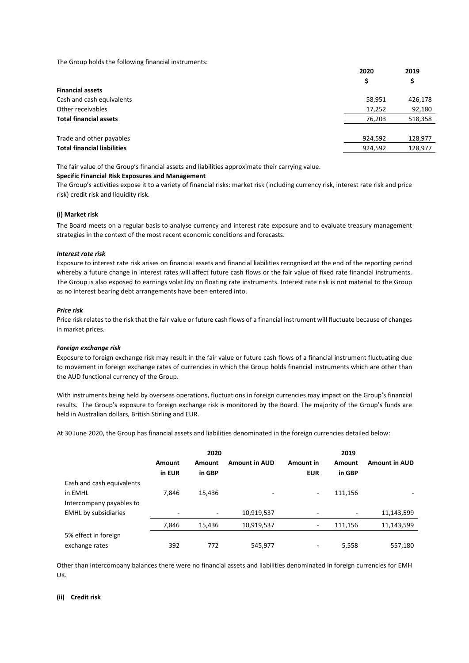The Group holds the following financial instruments:

|                                    | 2020    | 2019    |
|------------------------------------|---------|---------|
|                                    | \$      | Ş       |
| <b>Financial assets</b>            |         |         |
| Cash and cash equivalents          | 58,951  | 426,178 |
| Other receivables                  | 17,252  | 92,180  |
| <b>Total financial assets</b>      | 76,203  | 518,358 |
| Trade and other payables           | 924,592 | 128,977 |
| <b>Total financial liabilities</b> | 924,592 | 128,977 |
|                                    |         |         |

The fair value of the Group's financial assets and liabilities approximate their carrying value.

#### **Specific Financial Risk Exposures and Management**

The Group's activities expose it to a variety of financial risks: market risk (including currency risk, interest rate risk and price risk) credit risk and liquidity risk.

#### **(i) Market risk**

The Board meets on a regular basis to analyse currency and interest rate exposure and to evaluate treasury management strategies in the context of the most recent economic conditions and forecasts.

# *Interest rate risk*

Exposure to interest rate risk arises on financial assets and financial liabilities recognised at the end of the reporting period whereby a future change in interest rates will affect future cash flows or the fair value of fixed rate financial instruments. The Group is also exposed to earnings volatility on floating rate instruments. Interest rate risk is not material to the Group as no interest bearing debt arrangements have been entered into.

### *Price risk*

Price risk relates to the risk that the fair value or future cash flows of a financial instrument will fluctuate because of changes in market prices.

#### *Foreign exchange risk*

Exposure to foreign exchange risk may result in the fair value or future cash flows of a financial instrument fluctuating due to movement in foreign exchange rates of currencies in which the Group holds financial instruments which are other than the AUD functional currency of the Group.

With instruments being held by overseas operations, fluctuations in foreign currencies may impact on the Group's financial results. The Group's exposure to foreign exchange risk is monitored by the Board. The majority of the Group's funds are held in Australian dollars, British Stirling and EUR.

At 30 June 2020, the Group has financial assets and liabilities denominated in the foreign currencies detailed below:

|                             |               | 2020   |                      |            | 2019    |                      |
|-----------------------------|---------------|--------|----------------------|------------|---------|----------------------|
|                             | <b>Amount</b> | Amount | <b>Amount in AUD</b> | Amount in  | Amount  | <b>Amount in AUD</b> |
| Cash and cash equivalents   | in EUR        | in GBP |                      | <b>EUR</b> | in GBP  |                      |
|                             |               |        |                      |            |         |                      |
| in EMHL                     | 7.846         | 15,436 | ٠                    | ٠          | 111,156 |                      |
| Intercompany payables to    |               |        |                      |            |         |                      |
| <b>EMHL</b> by subsidiaries | ٠             | ٠      | 10,919,537           |            |         | 11,143,599           |
|                             | 7,846         | 15,436 | 10,919,537           |            | 111,156 | 11,143,599           |
| 5% effect in foreign        |               |        |                      |            |         |                      |
| exchange rates              | 392           | 772    | 545,977              | -          | 5,558   | 557,180              |

Other than intercompany balances there were no financial assets and liabilities denominated in foreign currencies for EMH UK.

#### **(ii) Credit risk**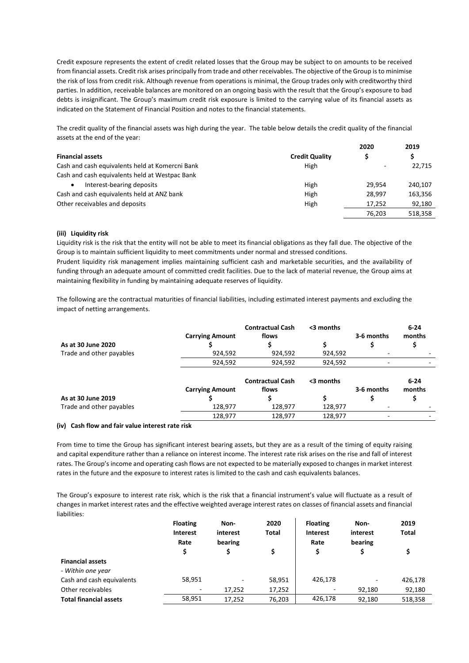Credit exposure represents the extent of credit related losses that the Group may be subject to on amounts to be received from financial assets. Credit risk arises principally from trade and other receivables. The objective of the Group is to minimise the risk of loss from credit risk. Although revenue from operations is minimal, the Group trades only with creditworthy third parties. In addition, receivable balances are monitored on an ongoing basis with the result that the Group's exposure to bad debts is insignificant. The Group's maximum credit risk exposure is limited to the carrying value of its financial assets as indicated on the Statement of Financial Position and notes to the financial statements.

The credit quality of the financial assets was high during the year. The table below details the credit quality of the financial assets at the end of the year:

|                                                 |                       | 2020   | 2019    |
|-------------------------------------------------|-----------------------|--------|---------|
| <b>Financial assets</b>                         | <b>Credit Quality</b> |        |         |
| Cash and cash equivalents held at Komercni Bank | High                  |        | 22,715  |
| Cash and cash equivalents held at Westpac Bank  |                       |        |         |
| Interest-bearing deposits                       | High                  | 29.954 | 240.107 |
| Cash and cash equivalents held at ANZ bank      | High                  | 28.997 | 163,356 |
| Other receivables and deposits                  | High                  | 17.252 | 92,180  |
|                                                 |                       | 76.203 | 518,358 |

# **(iii) Liquidity risk**

Liquidity risk is the risk that the entity will not be able to meet its financial obligations as they fall due. The objective of the Group is to maintain sufficient liquidity to meet commitments under normal and stressed conditions.

Prudent liquidity risk management implies maintaining sufficient cash and marketable securities, and the availability of funding through an adequate amount of committed credit facilities. Due to the lack of material revenue, the Group aims at maintaining flexibility in funding by maintaining adequate reserves of liquidity.

The following are the contractual maturities of financial liabilities, including estimated interest payments and excluding the impact of netting arrangements.

| As at 30 June 2020       | <b>Carrying Amount</b><br>924,592 | <b>Contractual Cash</b><br>flows<br>924,592 | <3 months<br>924,592 | 3-6 months                                           | $6 - 24$<br>months |
|--------------------------|-----------------------------------|---------------------------------------------|----------------------|------------------------------------------------------|--------------------|
| Trade and other payables | 924,592                           | 924,592                                     | 924,592              | $\overline{\phantom{a}}$<br>$\overline{\phantom{0}}$ |                    |
|                          | <b>Carrying Amount</b>            | <b>Contractual Cash</b><br>flows            | <3 months            | 3-6 months                                           | $6 - 24$<br>months |
| As at 30 June 2019       |                                   |                                             |                      |                                                      |                    |
| Trade and other payables | 128,977                           | 128,977                                     | 128,977              | ۰                                                    |                    |
|                          | 128,977                           | 128,977                                     | 128,977              | ٠                                                    |                    |

#### **(iv) Cash flow and fair value interest rate risk**

From time to time the Group has significant interest bearing assets, but they are as a result of the timing of equity raising and capital expenditure rather than a reliance on interest income. The interest rate risk arises on the rise and fall of interest rates. The Group's income and operating cash flows are not expected to be materially exposed to changes in market interest rates in the future and the exposure to interest rates is limited to the cash and cash equivalents balances.

The Group's exposure to interest rate risk, which is the risk that a financial instrument's value will fluctuate as a result of changes in market interest rates and the effective weighted average interest rates on classes of financial assets and financial liabilities:

|                               | <b>Floating</b> | Non-     | 2020   | <b>Floating</b> | Non-     | 2019         |
|-------------------------------|-----------------|----------|--------|-----------------|----------|--------------|
|                               | <b>Interest</b> | interest | Total  | <b>Interest</b> | interest | <b>Total</b> |
|                               | Rate            | bearing  |        | Rate            | bearing  |              |
|                               |                 |          | \$     | \$              |          |              |
| <b>Financial assets</b>       |                 |          |        |                 |          |              |
| - Within one year             |                 |          |        |                 |          |              |
| Cash and cash equivalents     | 58,951          |          | 58,951 | 426,178         |          | 426,178      |
| Other receivables             | $\sim$          | 17.252   | 17,252 |                 | 92.180   | 92,180       |
| <b>Total financial assets</b> | 58,951          | 17.252   | 76,203 | 426,178         | 92.180   | 518,358      |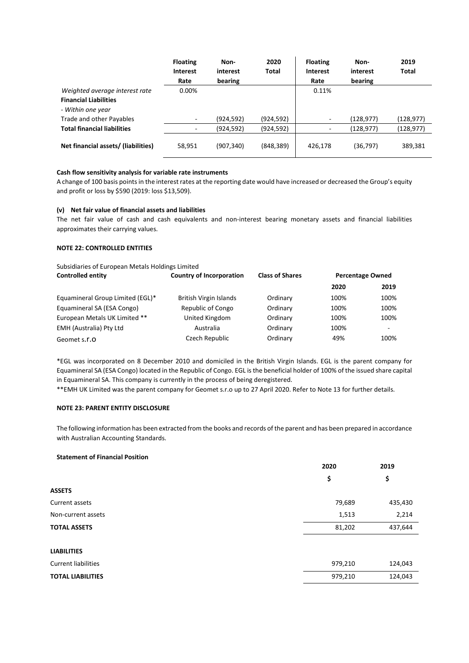|                                     | <b>Floating</b> | Non-       | 2020       | <b>Floating</b> | Non-      | 2019      |
|-------------------------------------|-----------------|------------|------------|-----------------|-----------|-----------|
|                                     | <b>Interest</b> | interest   | Total      | <b>Interest</b> | interest  | Total     |
|                                     | Rate            | bearing    |            | Rate            | bearing   |           |
| Weighted average interest rate      | 0.00%           |            |            | 0.11%           |           |           |
| <b>Financial Liabilities</b>        |                 |            |            |                 |           |           |
| - Within one year                   |                 |            |            |                 |           |           |
| Trade and other Payables            |                 | (924, 592) | (924, 592) | -               | (128,977) | (128,977) |
| <b>Total financial liabilities</b>  |                 | (924, 592) | (924, 592) | -               | (128,977) | (128,977) |
| Net financial assets/ (liabilities) | 58,951          | (907, 340) | (848, 389) | 426,178         | (36, 797) | 389,381   |

### **Cash flow sensitivity analysis for variable rate instruments**

A change of 100 basis points in the interest rates at the reporting date would have increased or decreased the Group's equity and profit or loss by \$590 (2019: loss \$13,509).

#### **(v) Net fair value of financial assets and liabilities**

The net fair value of cash and cash equivalents and non-interest bearing monetary assets and financial liabilities approximates their carrying values.

# **NOTE 22: CONTROLLED ENTITIES**

| Subsidiaries of European Metals Holdings Limited |                                                           |          |      |                         |
|--------------------------------------------------|-----------------------------------------------------------|----------|------|-------------------------|
| <b>Controlled entity</b>                         | <b>Country of Incorporation</b><br><b>Class of Shares</b> |          |      | <b>Percentage Owned</b> |
|                                                  |                                                           |          | 2020 | 2019                    |
| Equamineral Group Limited (EGL)*                 | British Virgin Islands                                    | Ordinary | 100% | 100%                    |
| Equamineral SA (ESA Congo)                       | Republic of Congo                                         | Ordinary | 100% | 100%                    |
| European Metals UK Limited **                    | United Kingdom                                            | Ordinary | 100% | 100%                    |
| EMH (Australia) Pty Ltd                          | Australia                                                 | Ordinary | 100% | -                       |
| Geomet s.r.o                                     | Czech Republic                                            | Ordinary | 49%  | 100%                    |

\*EGL was incorporated on 8 December 2010 and domiciled in the British Virgin Islands. EGL is the parent company for Equamineral SA (ESA Congo) located in the Republic of Congo. EGL is the beneficial holder of 100% of the issued share capital in Equamineral SA. This company is currently in the process of being deregistered.

\*\*EMH UK Limited was the parent company for Geomet s.r.o up to 27 April 2020. Refer to Note 13 for further details.

#### **NOTE 23: PARENT ENTITY DISCLOSURE**

The following information has been extracted from the books and records of the parent and has been prepared in accordance with Australian Accounting Standards.

#### **Statement of Financial Position**

|                            | 2020    | 2019    |  |
|----------------------------|---------|---------|--|
|                            | \$      | \$      |  |
| <b>ASSETS</b>              |         |         |  |
| Current assets             | 79,689  | 435,430 |  |
| Non-current assets         | 1,513   | 2,214   |  |
| <b>TOTAL ASSETS</b>        | 81,202  | 437,644 |  |
| <b>LIABILITIES</b>         |         |         |  |
| <b>Current liabilities</b> | 979,210 | 124,043 |  |
| <b>TOTAL LIABILITIES</b>   | 979,210 | 124,043 |  |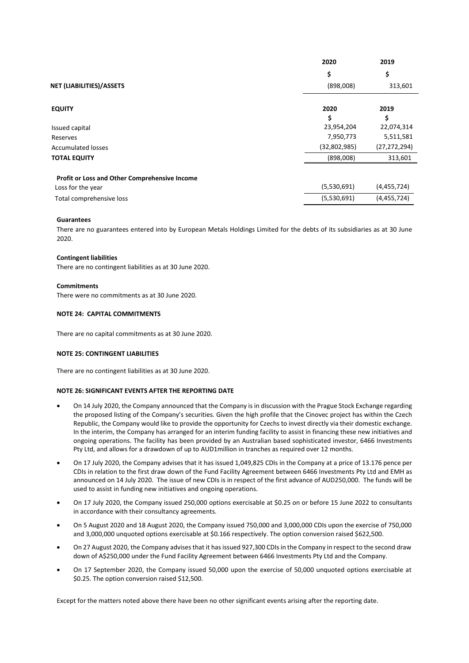|                                                      | 2020         | 2019           |
|------------------------------------------------------|--------------|----------------|
|                                                      | \$           | \$             |
| NET (LIABILITIES)/ASSETS                             | (898,008)    | 313,601        |
| <b>EQUITY</b>                                        | 2020         | 2019           |
|                                                      | \$           | \$             |
| Issued capital                                       | 23,954,204   | 22,074,314     |
| Reserves                                             | 7,950,773    | 5,511,581      |
| <b>Accumulated losses</b>                            | (32,802,985) | (27, 272, 294) |
| <b>TOTAL EQUITY</b>                                  | (898,008)    | 313,601        |
| <b>Profit or Loss and Other Comprehensive Income</b> |              |                |
| Loss for the year                                    | (5,530,691)  | (4,455,724)    |
| Total comprehensive loss                             | (5,530,691)  | (4,455,724)    |

#### **Guarantees**

There are no guarantees entered into by European Metals Holdings Limited for the debts of its subsidiaries as at 30 June 2020.

#### **Contingent liabilities**

There are no contingent liabilities as at 30 June 2020.

### **Commitments**

There were no commitments as at 30 June 2020.

### **NOTE 24: CAPITAL COMMITMENTS**

There are no capital commitments as at 30 June 2020.

#### **NOTE 25: CONTINGENT LIABILITIES**

There are no contingent liabilities as at 30 June 2020.

# **NOTE 26: SIGNIFICANT EVENTS AFTER THE REPORTING DATE**

- On 14 July 2020, the Company announced that the Company is in discussion with the Prague Stock Exchange regarding the proposed listing of the Company's securities. Given the high profile that the Cinovec project has within the Czech Republic, the Company would like to provide the opportunity for Czechs to invest directly via their domestic exchange. In the interim, the Company has arranged for an interim funding facility to assist in financing these new initiatives and ongoing operations. The facility has been provided by an Australian based sophisticated investor, 6466 Investments Pty Ltd, and allows for a drawdown of up to AUD1million in tranches as required over 12 months.
- On 17 July 2020, the Company advises that it has issued 1,049,825 CDIs in the Company at a price of 13.176 pence per CDIs in relation to the first draw down of the Fund Facility Agreement between 6466 Investments Pty Ltd and EMH as announced on 14 July 2020. The issue of new CDIs is in respect of the first advance of AUD250,000. The funds will be used to assist in funding new initiatives and ongoing operations.
- On 17 July 2020, the Company issued 250,000 options exercisable at \$0.25 on or before 15 June 2022 to consultants in accordance with their consultancy agreements.
- On 5 August 2020 and 18 August 2020, the Company issued 750,000 and 3,000,000 CDIs upon the exercise of 750,000 and 3,000,000 unquoted options exercisable at \$0.166 respectively. The option conversion raised \$622,500.
- On 27 August 2020, the Company advises that it has issued 927,300 CDIs in the Company in respect to the second draw down of A\$250,000 under the Fund Facility Agreement between 6466 Investments Pty Ltd and the Company.
- On 17 September 2020, the Company issued 50,000 upon the exercise of 50,000 unquoted options exercisable at \$0.25. The option conversion raised \$12,500.

Except for the matters noted above there have been no other significant events arising after the reporting date.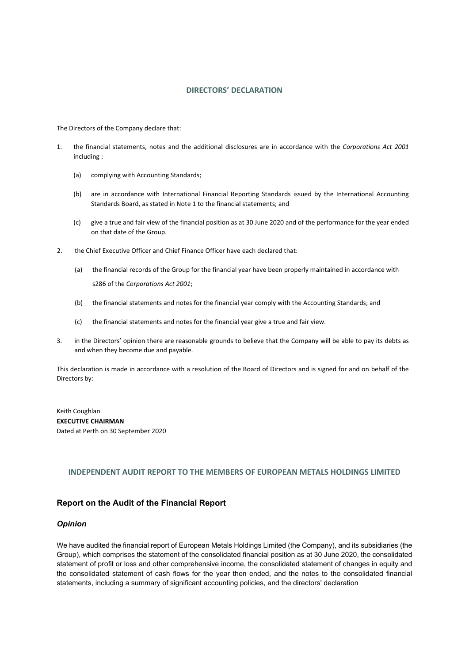# **DIRECTORS' DECLARATION**

The Directors of the Company declare that:

- 1. the financial statements, notes and the additional disclosures are in accordance with the *Corporations Act 2001* including :
	- (a) complying with Accounting Standards;
	- (b) are in accordance with International Financial Reporting Standards issued by the International Accounting Standards Board, as stated in Note 1 to the financial statements; and
	- (c) give a true and fair view of the financial position as at 30 June 2020 and of the performance for the year ended on that date of the Group.
- 2. the Chief Executive Officer and Chief Finance Officer have each declared that:
	- (a) the financial records of the Group for the financial year have been properly maintained in accordance with s286 of the *Corporations Act 2001*;
	- (b) the financial statements and notes for the financial year comply with the Accounting Standards; and
	- (c) the financial statements and notes for the financial year give a true and fair view.
- 3. in the Directors' opinion there are reasonable grounds to believe that the Company will be able to pay its debts as and when they become due and payable.

This declaration is made in accordance with a resolution of the Board of Directors and is signed for and on behalf of the Directors by:

Keith Coughlan **EXECUTIVE CHAIRMAN** Dated at Perth on 30 September 2020

# **INDEPENDENT AUDIT REPORT TO THE MEMBERS OF EUROPEAN METALS HOLDINGS LIMITED**

# **Report on the Audit of the Financial Report**

# *Opinion*

We have audited the financial report of European Metals Holdings Limited (the Company), and its subsidiaries (the Group), which comprises the statement of the consolidated financial position as at 30 June 2020, the consolidated statement of profit or loss and other comprehensive income, the consolidated statement of changes in equity and the consolidated statement of cash flows for the year then ended, and the notes to the consolidated financial statements, including a summary of significant accounting policies, and the directors' declaration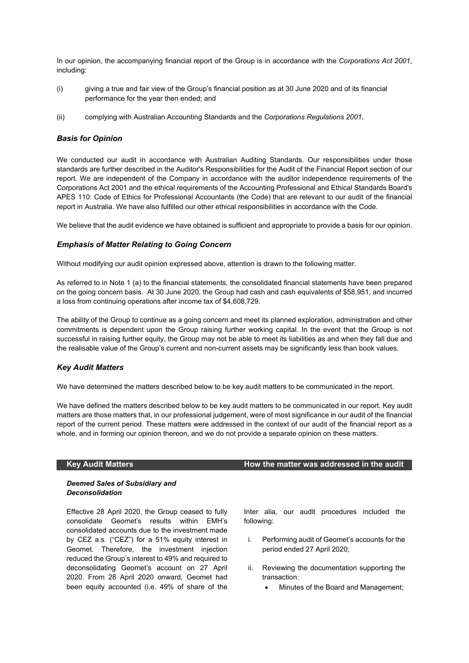In our opinion, the accompanying financial report of the Group is in accordance with the *Corporations Act 2001*, including:

- (i) giving a true and fair view of the Group's financial position as at 30 June 2020 and of its financial performance for the year then ended; and
- (ii) complying with Australian Accounting Standards and the *Corporations Regulations 2001***.**

# *Basis for Opinion*

We conducted our audit in accordance with Australian Auditing Standards. Our responsibilities under those standards are further described in the Auditor's Responsibilities for the Audit of the Financial Report section of our report. We are independent of the Company in accordance with the auditor independence requirements of the Corporations Act 2001 and the ethical requirements of the Accounting Professional and Ethical Standards Board's APES 110: Code of Ethics for Professional Accountants (the Code) that are relevant to our audit of the financial report in Australia. We have also fulfilled our other ethical responsibilities in accordance with the Code.

We believe that the audit evidence we have obtained is sufficient and appropriate to provide a basis for our opinion.

# *Emphasis of Matter Relating to Going Concern*

Without modifying our audit opinion expressed above, attention is drawn to the following matter.

As referred to in Note 1 (a) to the financial statements, the consolidated financial statements have been prepared on the going concern basis. At 30 June 2020, the Group had cash and cash equivalents of \$58,951, and incurred a loss from continuing operations after income tax of \$4,608,729.

The ability of the Group to continue as a going concern and meet its planned exploration, administration and other commitments is dependent upon the Group raising further working capital. In the event that the Group is not successful in raising further equity, the Group may not be able to meet its liabilities as and when they fall due and the realisable value of the Group's current and non-current assets may be significantly less than book values.

# *Key Audit Matters*

We have determined the matters described below to be key audit matters to be communicated in the report.

We have defined the matters described below to be key audit matters to be communicated in our report. Key audit matters are those matters that, in our professional judgement, were of most significance in our audit of the financial report of the current period. These matters were addressed in the context of our audit of the financial report as a whole, and in forming our opinion thereon, and we do not provide a separate opinion on these matters.

# **Key Audit Matters How the matter was addressed in the audit**

# *Deemed Sales of Subsidiary and Deconsolidation*

Effective 28 April 2020, the Group ceased to fully consolidate Geomet's results within EMH's consolidated accounts due to the investment made by CEZ a.s. ("CEZ") for a 51% equity interest in Geomet. Therefore, the investment injection reduced the Group's interest to 49% and required to deconsolidating Geomet's account on 27 April 2020. From 28 April 2020 onward, Geomet had been equity accounted (i.e. 49% of share of the Inter alia, our audit procedures included the following:

- i. Performing audit of Geomet's accounts for the period ended 27 April 2020;
- ii. Reviewing the documentation supporting the transaction:
	- Minutes of the Board and Management;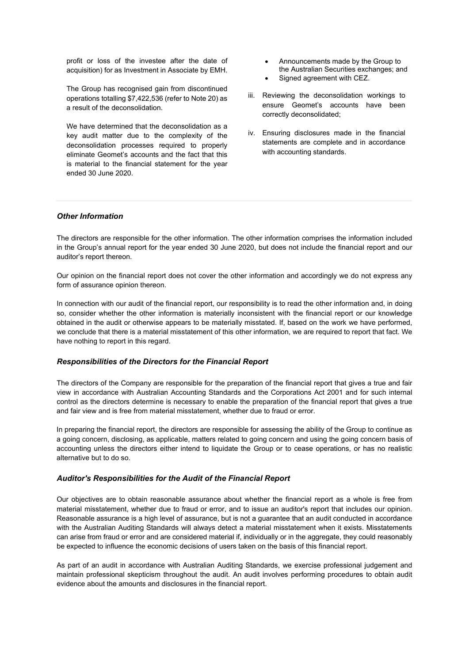profit or loss of the investee after the date of acquisition) for as Investment in Associate by EMH.

The Group has recognised gain from discontinued operations totalling \$7,422,536 (refer to Note 20) as a result of the deconsolidation.

We have determined that the deconsolidation as a key audit matter due to the complexity of the deconsolidation processes required to properly eliminate Geomet's accounts and the fact that this is material to the financial statement for the year ended 30 June 2020.

- Announcements made by the Group to the Australian Securities exchanges; and
- Signed agreement with CEZ.
- iii. Reviewing the deconsolidation workings to ensure Geomet's accounts have been correctly deconsolidated;
- iv. Ensuring disclosures made in the financial statements are complete and in accordance with accounting standards.

# *Other Information*

The directors are responsible for the other information. The other information comprises the information included in the Group's annual report for the year ended 30 June 2020, but does not include the financial report and our auditor's report thereon.

Our opinion on the financial report does not cover the other information and accordingly we do not express any form of assurance opinion thereon.

In connection with our audit of the financial report, our responsibility is to read the other information and, in doing so, consider whether the other information is materially inconsistent with the financial report or our knowledge obtained in the audit or otherwise appears to be materially misstated. If, based on the work we have performed, we conclude that there is a material misstatement of this other information, we are required to report that fact. We have nothing to report in this regard.

# *Responsibilities of the Directors for the Financial Report*

The directors of the Company are responsible for the preparation of the financial report that gives a true and fair view in accordance with Australian Accounting Standards and the Corporations Act 2001 and for such internal control as the directors determine is necessary to enable the preparation of the financial report that gives a true and fair view and is free from material misstatement, whether due to fraud or error.

In preparing the financial report, the directors are responsible for assessing the ability of the Group to continue as a going concern, disclosing, as applicable, matters related to going concern and using the going concern basis of accounting unless the directors either intend to liquidate the Group or to cease operations, or has no realistic alternative but to do so.

# *Auditor's Responsibilities for the Audit of the Financial Report*

Our objectives are to obtain reasonable assurance about whether the financial report as a whole is free from material misstatement, whether due to fraud or error, and to issue an auditor's report that includes our opinion. Reasonable assurance is a high level of assurance, but is not a guarantee that an audit conducted in accordance with the Australian Auditing Standards will always detect a material misstatement when it exists. Misstatements can arise from fraud or error and are considered material if, individually or in the aggregate, they could reasonably be expected to influence the economic decisions of users taken on the basis of this financial report.

As part of an audit in accordance with Australian Auditing Standards, we exercise professional judgement and maintain professional skepticism throughout the audit. An audit involves performing procedures to obtain audit evidence about the amounts and disclosures in the financial report.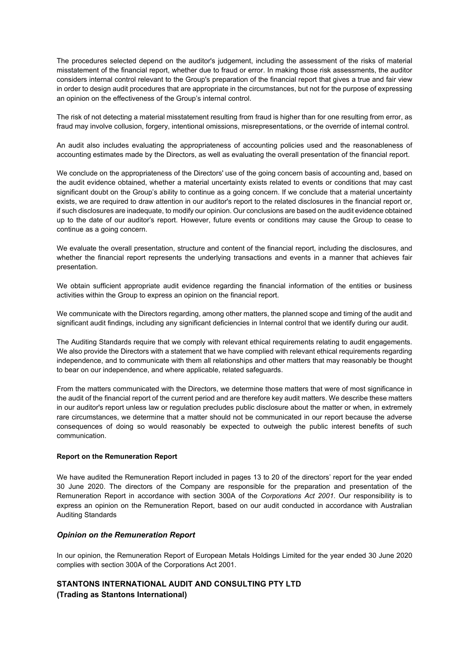The procedures selected depend on the auditor's judgement, including the assessment of the risks of material misstatement of the financial report, whether due to fraud or error. In making those risk assessments, the auditor considers internal control relevant to the Group's preparation of the financial report that gives a true and fair view in order to design audit procedures that are appropriate in the circumstances, but not for the purpose of expressing an opinion on the effectiveness of the Group's internal control.

The risk of not detecting a material misstatement resulting from fraud is higher than for one resulting from error, as fraud may involve collusion, forgery, intentional omissions, misrepresentations, or the override of internal control.

An audit also includes evaluating the appropriateness of accounting policies used and the reasonableness of accounting estimates made by the Directors, as well as evaluating the overall presentation of the financial report.

We conclude on the appropriateness of the Directors' use of the going concern basis of accounting and, based on the audit evidence obtained, whether a material uncertainty exists related to events or conditions that may cast significant doubt on the Group's ability to continue as a going concern. If we conclude that a material uncertainty exists, we are required to draw attention in our auditor's report to the related disclosures in the financial report or, if such disclosures are inadequate, to modify our opinion. Our conclusions are based on the audit evidence obtained up to the date of our auditor's report. However, future events or conditions may cause the Group to cease to continue as a going concern.

We evaluate the overall presentation, structure and content of the financial report, including the disclosures, and whether the financial report represents the underlying transactions and events in a manner that achieves fair presentation.

We obtain sufficient appropriate audit evidence regarding the financial information of the entities or business activities within the Group to express an opinion on the financial report.

We communicate with the Directors regarding, among other matters, the planned scope and timing of the audit and significant audit findings, including any significant deficiencies in Internal control that we identify during our audit.

The Auditing Standards require that we comply with relevant ethical requirements relating to audit engagements. We also provide the Directors with a statement that we have complied with relevant ethical requirements regarding independence, and to communicate with them all relationships and other matters that may reasonably be thought to bear on our independence, and where applicable, related safeguards.

From the matters communicated with the Directors, we determine those matters that were of most significance in the audit of the financial report of the current period and are therefore key audit matters. We describe these matters in our auditor's report unless law or regulation precludes public disclosure about the matter or when, in extremely rare circumstances, we determine that a matter should not be communicated in our report because the adverse consequences of doing so would reasonably be expected to outweigh the public interest benefits of such communication.

# **Report on the Remuneration Report**

We have audited the Remuneration Report included in pages 13 to 20 of the directors' report for the year ended 30 June 2020. The directors of the Company are responsible for the preparation and presentation of the Remuneration Report in accordance with section 300A of the *Corporations Act 2001.* Our responsibility is to express an opinion on the Remuneration Report, based on our audit conducted in accordance with Australian Auditing Standards

# *Opinion on the Remuneration Report*

In our opinion, the Remuneration Report of European Metals Holdings Limited for the year ended 30 June 2020 complies with section 300A of the Corporations Act 2001.

# **STANTONS INTERNATIONAL AUDIT AND CONSULTING PTY LTD (Trading as Stantons International)**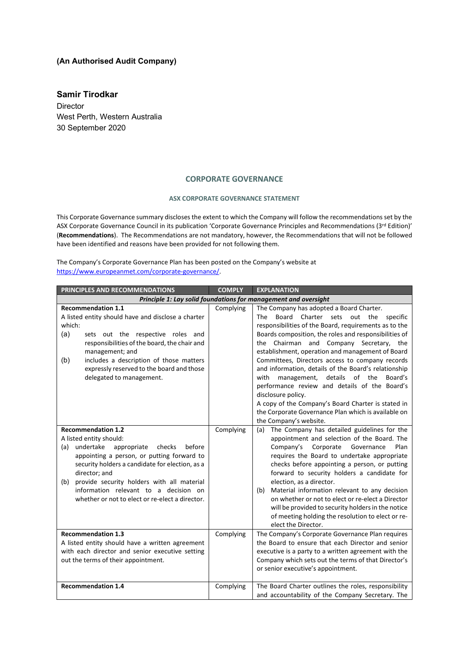# **(An Authorised Audit Company)**

**Samir Tirodkar** Director West Perth, Western Australia 30 September 2020

# **CORPORATE GOVERNANCE**

#### **ASX CORPORATE GOVERNANCE STATEMENT**

This Corporate Governance summary discloses the extent to which the Company will follow the recommendations set by the ASX Corporate Governance Council in its publication 'Corporate Governance Principles and Recommendations (3rd Edition)' (**Recommendations**). The Recommendations are not mandatory, however, the Recommendations that will not be followed have been identified and reasons have been provided for not following them.

The Company's Corporate Governance Plan has been posted on the Company's website at [https://www.europeanmet.com/corporate-governance/.](https://www.europeanmet.com/corporate-governance/) 

| PRINCIPLES AND RECOMMENDATIONS                                                                                                                                                                                                                                                                                                                                              | <b>COMPLY</b> | <b>EXPLANATION</b>                                                                                                                                                                                                                                                                                                                                                                                                                                                                                                                                                                                                                                                                          |
|-----------------------------------------------------------------------------------------------------------------------------------------------------------------------------------------------------------------------------------------------------------------------------------------------------------------------------------------------------------------------------|---------------|---------------------------------------------------------------------------------------------------------------------------------------------------------------------------------------------------------------------------------------------------------------------------------------------------------------------------------------------------------------------------------------------------------------------------------------------------------------------------------------------------------------------------------------------------------------------------------------------------------------------------------------------------------------------------------------------|
|                                                                                                                                                                                                                                                                                                                                                                             |               | Principle 1: Lay solid foundations for management and oversight                                                                                                                                                                                                                                                                                                                                                                                                                                                                                                                                                                                                                             |
| <b>Recommendation 1.1</b><br>A listed entity should have and disclose a charter<br>which:<br>(a)<br>sets out the respective roles and<br>responsibilities of the board, the chair and<br>management; and<br>includes a description of those matters<br>(b)<br>expressly reserved to the board and those<br>delegated to management.                                         | Complying     | The Company has adopted a Board Charter.<br>Board Charter sets out the<br><b>The</b><br>specific<br>responsibilities of the Board, requirements as to the<br>Boards composition, the roles and responsibilities of<br>the Chairman and Company Secretary, the<br>establishment, operation and management of Board<br>Committees, Directors access to company records<br>and information, details of the Board's relationship<br>management, details of the<br>with<br>Board's<br>performance review and details of the Board's<br>disclosure policy.<br>A copy of the Company's Board Charter is stated in<br>the Corporate Governance Plan which is available on<br>the Company's website. |
| <b>Recommendation 1.2</b><br>A listed entity should:<br>before<br>undertake<br>appropriate checks<br>(a)<br>appointing a person, or putting forward to<br>security holders a candidate for election, as a<br>director; and<br>provide security holders with all material<br>(b)<br>information relevant to a decision on<br>whether or not to elect or re-elect a director. | Complying     | The Company has detailed guidelines for the<br>(a)<br>appointment and selection of the Board. The<br>Company's<br>Corporate<br>Governance<br>Plan<br>requires the Board to undertake appropriate<br>checks before appointing a person, or putting<br>forward to security holders a candidate for<br>election, as a director.<br>(b) Material information relevant to any decision<br>on whether or not to elect or re-elect a Director<br>will be provided to security holders in the notice<br>of meeting holding the resolution to elect or re-<br>elect the Director.                                                                                                                    |
| <b>Recommendation 1.3</b><br>A listed entity should have a written agreement<br>with each director and senior executive setting<br>out the terms of their appointment.                                                                                                                                                                                                      | Complying     | The Company's Corporate Governance Plan requires<br>the Board to ensure that each Director and senior<br>executive is a party to a written agreement with the<br>Company which sets out the terms of that Director's<br>or senior executive's appointment.                                                                                                                                                                                                                                                                                                                                                                                                                                  |
| <b>Recommendation 1.4</b>                                                                                                                                                                                                                                                                                                                                                   | Complying     | The Board Charter outlines the roles, responsibility<br>and accountability of the Company Secretary. The                                                                                                                                                                                                                                                                                                                                                                                                                                                                                                                                                                                    |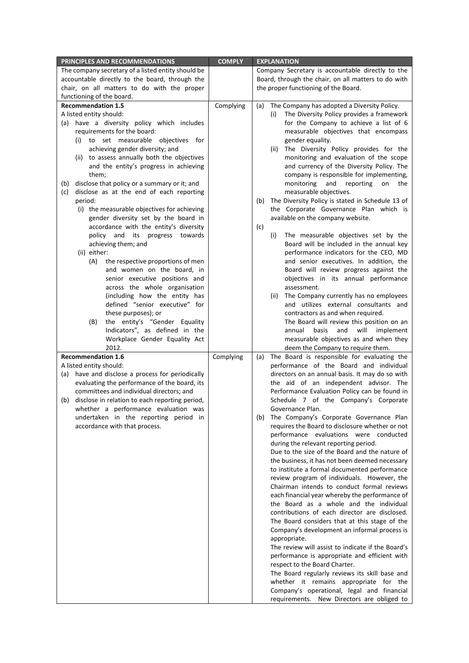| PRINCIPLES AND RECOMMENDATIONS                                                | <b>COMPLY</b> | <b>EXPLANATION</b>                                                                                |  |  |
|-------------------------------------------------------------------------------|---------------|---------------------------------------------------------------------------------------------------|--|--|
| The company secretary of a listed entity should be                            |               | Company Secretary is accountable directly to the                                                  |  |  |
| accountable directly to the board, through the                                |               | Board, through the chair, on all matters to do with                                               |  |  |
| chair, on all matters to do with the proper                                   |               | the proper functioning of the Board.                                                              |  |  |
| functioning of the board.                                                     |               |                                                                                                   |  |  |
| <b>Recommendation 1.5</b>                                                     | Complying     | The Company has adopted a Diversity Policy.<br>(a)                                                |  |  |
| A listed entity should:                                                       |               | The Diversity Policy provides a framework<br>(i)                                                  |  |  |
| (a) have a diversity policy which includes                                    |               | for the Company to achieve a list of 6                                                            |  |  |
| requirements for the board:                                                   |               | measurable objectives that encompass                                                              |  |  |
| (i) to set measurable objectives for                                          |               | gender equality.                                                                                  |  |  |
| achieving gender diversity; and                                               |               | The Diversity Policy provides for the<br>(ii)                                                     |  |  |
| to assess annually both the objectives<br>(ii)                                |               | monitoring and evaluation of the scope                                                            |  |  |
| and the entity's progress in achieving                                        |               | and currency of the Diversity Policy. The                                                         |  |  |
| them;                                                                         |               | company is responsible for implementing,                                                          |  |  |
| disclose that policy or a summary or it; and<br>(b)                           |               | monitoring<br>and reporting<br>on<br>the                                                          |  |  |
| disclose as at the end of each reporting<br>(c)                               |               | measurable objectives.                                                                            |  |  |
| period:<br>(i) the measurable objectives for achieving                        |               | The Diversity Policy is stated in Schedule 13 of<br>(b)<br>the Corporate Governance Plan which is |  |  |
| gender diversity set by the board in                                          |               | available on the company website.                                                                 |  |  |
| accordance with the entity's diversity                                        |               |                                                                                                   |  |  |
| policy and its progress towards                                               |               | (c)<br>The measurable objectives set by the<br>(i)                                                |  |  |
| achieving them; and                                                           |               | Board will be included in the annual key                                                          |  |  |
| (ii) either:                                                                  |               | performance indicators for the CEO, MD                                                            |  |  |
| (A)<br>the respective proportions of men                                      |               | and senior executives. In addition, the                                                           |  |  |
| and women on the board, in                                                    |               | Board will review progress against the                                                            |  |  |
| senior executive positions and                                                |               | objectives in its annual performance                                                              |  |  |
| across the whole organisation                                                 |               | assessment.                                                                                       |  |  |
| (including how the entity has                                                 |               | (ii)<br>The Company currently has no employees                                                    |  |  |
| defined "senior executive" for                                                |               | and utilizes external consultants and                                                             |  |  |
| these purposes); or                                                           |               | contractors as and when required.                                                                 |  |  |
| (B)<br>the entity's "Gender Equality                                          |               | The Board will review this position on an                                                         |  |  |
| Indicators", as defined in the                                                |               | annual<br>basis<br>and<br>will<br>implement                                                       |  |  |
| Workplace Gender Equality Act                                                 |               | measurable objectives as and when they                                                            |  |  |
| 2012.                                                                         |               | deem the Company to require them.                                                                 |  |  |
| <b>Recommendation 1.6</b>                                                     | Complying     | The Board is responsible for evaluating the<br>(a)                                                |  |  |
| A listed entity should:                                                       |               | performance of the Board and individual                                                           |  |  |
| (a) have and disclose a process for periodically                              |               | directors on an annual basis. It may do so with                                                   |  |  |
| evaluating the performance of the board, its                                  |               | the aid of an independent advisor. The                                                            |  |  |
| committees and individual directors; and                                      |               | Performance Evaluation Policy can be found in                                                     |  |  |
| (b) disclose in relation to each reporting period,                            |               | Schedule 7 of the Company's Corporate<br>Governance Plan.                                         |  |  |
| whether a performance evaluation was<br>undertaken in the reporting period in |               | The Company's Corporate Governance Plan<br>(b)                                                    |  |  |
| accordance with that process.                                                 |               | requires the Board to disclosure whether or not                                                   |  |  |
|                                                                               |               | performance evaluations were conducted                                                            |  |  |
|                                                                               |               | during the relevant reporting period.                                                             |  |  |
|                                                                               |               | Due to the size of the Board and the nature of                                                    |  |  |
|                                                                               |               | the business, it has not been deemed necessary                                                    |  |  |
|                                                                               |               | to institute a formal documented performance                                                      |  |  |
|                                                                               |               | review program of individuals. However, the                                                       |  |  |
|                                                                               |               | Chairman intends to conduct formal reviews                                                        |  |  |
|                                                                               |               | each financial year whereby the performance of                                                    |  |  |
|                                                                               |               | the Board as a whole and the individual                                                           |  |  |
|                                                                               |               | contributions of each director are disclosed.                                                     |  |  |
|                                                                               |               | The Board considers that at this stage of the                                                     |  |  |
|                                                                               |               | Company's development an informal process is                                                      |  |  |
|                                                                               |               | appropriate.                                                                                      |  |  |
|                                                                               |               | The review will assist to indicate if the Board's                                                 |  |  |
|                                                                               |               | performance is appropriate and efficient with                                                     |  |  |
|                                                                               |               | respect to the Board Charter.                                                                     |  |  |
|                                                                               |               | The Board regularly reviews its skill base and                                                    |  |  |
|                                                                               |               | whether it remains appropriate for the                                                            |  |  |
|                                                                               |               | Company's operational, legal and financial                                                        |  |  |
|                                                                               |               | requirements. New Directors are obliged to                                                        |  |  |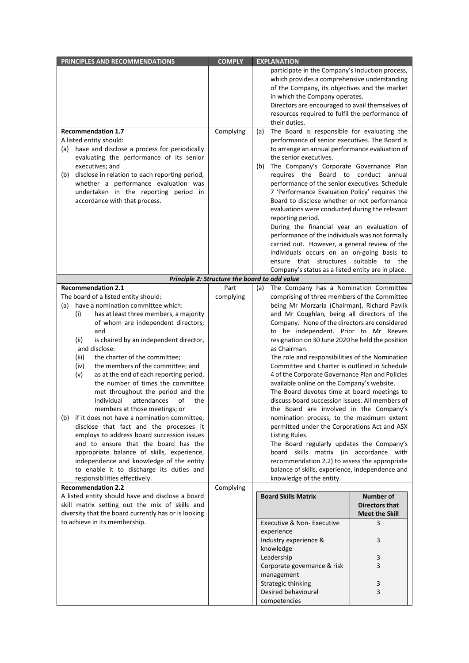| PRINCIPLES AND RECOMMENDATIONS                                                                         | <b>COMPLY</b> | <b>EXPLANATION</b>                                                                             |                       |  |  |
|--------------------------------------------------------------------------------------------------------|---------------|------------------------------------------------------------------------------------------------|-----------------------|--|--|
|                                                                                                        |               | participate in the Company's induction process,                                                |                       |  |  |
|                                                                                                        |               | which provides a comprehensive understanding                                                   |                       |  |  |
|                                                                                                        |               | of the Company, its objectives and the market                                                  |                       |  |  |
|                                                                                                        |               | in which the Company operates.                                                                 |                       |  |  |
|                                                                                                        |               | Directors are encouraged to avail themselves of                                                |                       |  |  |
|                                                                                                        |               | resources required to fulfil the performance of                                                |                       |  |  |
| <b>Recommendation 1.7</b>                                                                              | Complying     | their duties.<br>The Board is responsible for evaluating the                                   |                       |  |  |
| A listed entity should:                                                                                |               | (a)<br>performance of senior executives. The Board is                                          |                       |  |  |
| (a) have and disclose a process for periodically                                                       |               | to arrange an annual performance evaluation of                                                 |                       |  |  |
| evaluating the performance of its senior                                                               |               | the senior executives.                                                                         |                       |  |  |
| executives; and                                                                                        |               | The Company's Corporate Governance Plan<br>(b)                                                 |                       |  |  |
| disclose in relation to each reporting period,<br>(b)                                                  |               | requires the Board to conduct annual                                                           |                       |  |  |
| whether a performance evaluation was                                                                   |               | performance of the senior executives. Schedule                                                 |                       |  |  |
| undertaken in the reporting period in                                                                  |               | 7 'Performance Evaluation Policy' requires the                                                 |                       |  |  |
| accordance with that process.                                                                          |               | Board to disclose whether or not performance                                                   |                       |  |  |
|                                                                                                        |               | evaluations were conducted during the relevant                                                 |                       |  |  |
|                                                                                                        |               | reporting period.                                                                              |                       |  |  |
|                                                                                                        |               | During the financial year an evaluation of                                                     |                       |  |  |
|                                                                                                        |               | performance of the individuals was not formally                                                |                       |  |  |
|                                                                                                        |               | carried out. However, a general review of the                                                  |                       |  |  |
|                                                                                                        |               | individuals occurs on an on-going basis to                                                     |                       |  |  |
|                                                                                                        |               | ensure that structures suitable to the                                                         |                       |  |  |
|                                                                                                        |               | Company's status as a listed entity are in place.                                              |                       |  |  |
| <b>Recommendation 2.1</b>                                                                              | Part          | Principle 2: Structure the board to add value<br>The Company has a Nomination Committee<br>(a) |                       |  |  |
| The board of a listed entity should:                                                                   | complying     | comprising of three members of the Committee                                                   |                       |  |  |
| (a) have a nomination committee which:                                                                 |               | being Mr Morzaria (Chairman), Richard Pavlik                                                   |                       |  |  |
| (i)<br>has at least three members, a majority                                                          |               | and Mr Coughlan, being all directors of the                                                    |                       |  |  |
| of whom are independent directors;                                                                     |               | Company. None of the directors are considered                                                  |                       |  |  |
| and                                                                                                    |               | to be independent. Prior to Mr Reeves                                                          |                       |  |  |
| is chaired by an independent director,<br>(ii)                                                         |               | resignation on 30 June 2020 he held the position                                               |                       |  |  |
| and disclose:                                                                                          |               | as Chairman.                                                                                   |                       |  |  |
| (iii)<br>the charter of the committee;                                                                 |               | The role and responsibilities of the Nomination                                                |                       |  |  |
| the members of the committee; and<br>(iv)                                                              |               | Committee and Charter is outlined in Schedule                                                  |                       |  |  |
| (v)<br>as at the end of each reporting period,                                                         |               | 4 of the Corporate Governance Plan and Policies                                                |                       |  |  |
| the number of times the committee                                                                      |               | available online on the Company's website.                                                     |                       |  |  |
| met throughout the period and the<br>individual attendances<br>of<br>the                               |               | The Board devotes time at board meetings to<br>discuss board succession issues. All members of |                       |  |  |
| members at those meetings; or                                                                          |               | the Board are involved in the Company's                                                        |                       |  |  |
| if it does not have a nomination committee,<br>(b)                                                     |               | nomination process, to the maximum extent                                                      |                       |  |  |
| disclose that fact and the processes it                                                                |               | permitted under the Corporations Act and ASX                                                   |                       |  |  |
| employs to address board succession issues                                                             |               | Listing Rules.                                                                                 |                       |  |  |
| and to ensure that the board has the                                                                   |               | The Board regularly updates the Company's                                                      |                       |  |  |
| appropriate balance of skills, experience,                                                             |               | board skills matrix (in accordance with                                                        |                       |  |  |
| independence and knowledge of the entity                                                               |               | recommendation 2.2) to assess the appropriate                                                  |                       |  |  |
| to enable it to discharge its duties and                                                               |               | balance of skills, experience, independence and                                                |                       |  |  |
| responsibilities effectively.                                                                          |               | knowledge of the entity.                                                                       |                       |  |  |
| <b>Recommendation 2.2</b>                                                                              | Complying     |                                                                                                |                       |  |  |
| A listed entity should have and disclose a board                                                       |               | <b>Board Skills Matrix</b>                                                                     | <b>Number of</b>      |  |  |
| skill matrix setting out the mix of skills and<br>diversity that the board currently has or is looking |               |                                                                                                | <b>Directors that</b> |  |  |
| to achieve in its membership.                                                                          |               | Executive & Non- Executive                                                                     | <b>Meet the Skill</b> |  |  |
|                                                                                                        |               | experience                                                                                     | 3                     |  |  |
|                                                                                                        |               | Industry experience &                                                                          | 3                     |  |  |
|                                                                                                        |               | knowledge                                                                                      |                       |  |  |
|                                                                                                        |               | Leadership                                                                                     | 3                     |  |  |
|                                                                                                        |               | Corporate governance & risk                                                                    | 3                     |  |  |
|                                                                                                        |               | management                                                                                     |                       |  |  |
|                                                                                                        |               | Strategic thinking                                                                             | 3                     |  |  |
|                                                                                                        |               | Desired behavioural                                                                            | 3                     |  |  |
|                                                                                                        |               | competencies                                                                                   |                       |  |  |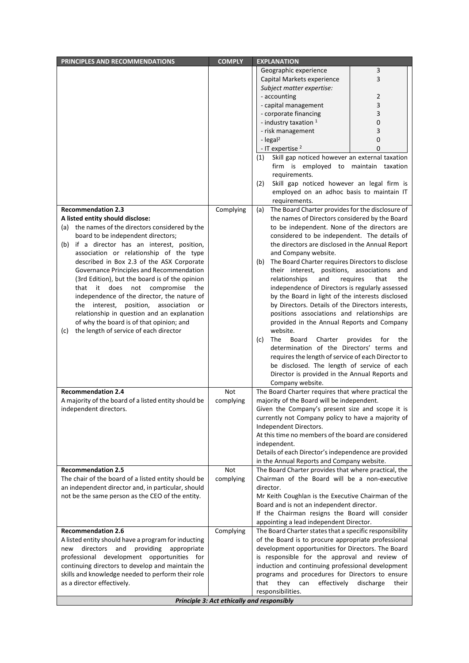| PRINCIPLES AND RECOMMENDATIONS                                                                        | <b>COMPLY</b>                              | <b>EXPLANATION</b>                                      |                                |  |  |
|-------------------------------------------------------------------------------------------------------|--------------------------------------------|---------------------------------------------------------|--------------------------------|--|--|
|                                                                                                       |                                            | Geographic experience                                   | 3                              |  |  |
|                                                                                                       |                                            | Capital Markets experience                              | 3                              |  |  |
|                                                                                                       |                                            | Subject matter expertise:                               |                                |  |  |
|                                                                                                       |                                            | - accounting                                            | $\overline{2}$                 |  |  |
|                                                                                                       |                                            | - capital management                                    | 3                              |  |  |
|                                                                                                       |                                            | - corporate financing                                   | 3                              |  |  |
|                                                                                                       |                                            | - industry taxation 1                                   | 0                              |  |  |
|                                                                                                       |                                            | - risk management                                       | 3                              |  |  |
|                                                                                                       |                                            | - legal <sup>2</sup>                                    | 0                              |  |  |
|                                                                                                       |                                            | - IT expertise <sup>2</sup>                             | 0                              |  |  |
|                                                                                                       |                                            | Skill gap noticed however an external taxation<br>(1)   |                                |  |  |
|                                                                                                       |                                            | firm is employed to maintain taxation                   |                                |  |  |
|                                                                                                       |                                            | requirements.                                           |                                |  |  |
|                                                                                                       |                                            | Skill gap noticed however an legal firm is<br>(2)       |                                |  |  |
|                                                                                                       |                                            | employed on an adhoc basis to maintain IT               |                                |  |  |
|                                                                                                       |                                            | requirements.                                           |                                |  |  |
| <b>Recommendation 2.3</b>                                                                             | Complying                                  | The Board Charter provides for the disclosure of<br>(a) |                                |  |  |
| A listed entity should disclose:                                                                      |                                            | the names of Directors considered by the Board          |                                |  |  |
| the names of the directors considered by the<br>(a)                                                   |                                            | to be independent. None of the directors are            |                                |  |  |
| board to be independent directors;                                                                    |                                            | considered to be independent. The details of            |                                |  |  |
| (b) if a director has an interest, position,                                                          |                                            | the directors are disclosed in the Annual Report        |                                |  |  |
| association or relationship of the type                                                               |                                            | and Company website.                                    |                                |  |  |
| described in Box 2.3 of the ASX Corporate                                                             |                                            | The Board Charter requires Directors to disclose<br>(b) |                                |  |  |
| Governance Principles and Recommendation                                                              |                                            | their interest, positions, associations and             |                                |  |  |
| (3rd Edition), but the board is of the opinion                                                        |                                            | relationships<br>and                                    | that<br>requires<br>the        |  |  |
| it does not compromise<br>that<br>the                                                                 |                                            | independence of Directors is regularly assessed         |                                |  |  |
| independence of the director, the nature of                                                           |                                            | by the Board in light of the interests disclosed        |                                |  |  |
| the interest, position, association<br>or                                                             |                                            | by Directors. Details of the Directors interests,       |                                |  |  |
| relationship in question and an explanation                                                           |                                            | positions associations and relationships are            |                                |  |  |
| of why the board is of that opinion; and                                                              |                                            | provided in the Annual Reports and Company              |                                |  |  |
| the length of service of each director<br>(c)                                                         |                                            | website.                                                |                                |  |  |
|                                                                                                       |                                            | Board<br>Charter<br>(c)<br><b>The</b>                   | provides<br>for<br>the         |  |  |
|                                                                                                       |                                            | determination of the Directors' terms and               |                                |  |  |
|                                                                                                       |                                            | requires the length of service of each Director to      |                                |  |  |
|                                                                                                       |                                            | be disclosed. The length of service of each             |                                |  |  |
|                                                                                                       |                                            | Director is provided in the Annual Reports and          |                                |  |  |
|                                                                                                       |                                            | Company website.                                        |                                |  |  |
| <b>Recommendation 2.4</b>                                                                             | Not                                        | The Board Charter requires that where practical the     |                                |  |  |
| A majority of the board of a listed entity should be                                                  | complying                                  | majority of the Board will be independent.              |                                |  |  |
| independent directors.                                                                                |                                            | Given the Company's present size and scope it is        |                                |  |  |
|                                                                                                       |                                            | currently not Company policy to have a majority of      |                                |  |  |
|                                                                                                       |                                            | Independent Directors.                                  |                                |  |  |
|                                                                                                       |                                            | At this time no members of the board are considered     |                                |  |  |
|                                                                                                       |                                            | independent.                                            |                                |  |  |
|                                                                                                       |                                            | Details of each Director's independence are provided    |                                |  |  |
|                                                                                                       |                                            | in the Annual Reports and Company website.              |                                |  |  |
| <b>Recommendation 2.5</b>                                                                             | <b>Not</b>                                 | The Board Charter provides that where practical, the    |                                |  |  |
| The chair of the board of a listed entity should be                                                   | complying                                  | Chairman of the Board will be a non-executive           |                                |  |  |
| an independent director and, in particular, should                                                    |                                            | director.                                               |                                |  |  |
| not be the same person as the CEO of the entity.                                                      |                                            | Mr Keith Coughlan is the Executive Chairman of the      |                                |  |  |
|                                                                                                       |                                            | Board and is not an independent director.               |                                |  |  |
|                                                                                                       |                                            | If the Chairman resigns the Board will consider         |                                |  |  |
|                                                                                                       |                                            | appointing a lead independent Director.                 |                                |  |  |
| <b>Recommendation 2.6</b>                                                                             | Complying                                  | The Board Charter states that a specific responsibility |                                |  |  |
| A listed entity should have a program for inducting                                                   |                                            | of the Board is to procure appropriate professional     |                                |  |  |
| directors<br>and<br>providing appropriate<br>new                                                      |                                            | development opportunities for Directors. The Board      |                                |  |  |
| professional development opportunities for                                                            |                                            | is responsible for the approval and review of           |                                |  |  |
| continuing directors to develop and maintain the<br>induction and continuing professional development |                                            |                                                         |                                |  |  |
| skills and knowledge needed to perform their role                                                     |                                            | programs and procedures for Directors to ensure         |                                |  |  |
| as a director effectively.                                                                            |                                            | that they<br>can                                        | effectively discharge<br>their |  |  |
|                                                                                                       |                                            | responsibilities.                                       |                                |  |  |
|                                                                                                       | Principle 3: Act ethically and responsibly |                                                         |                                |  |  |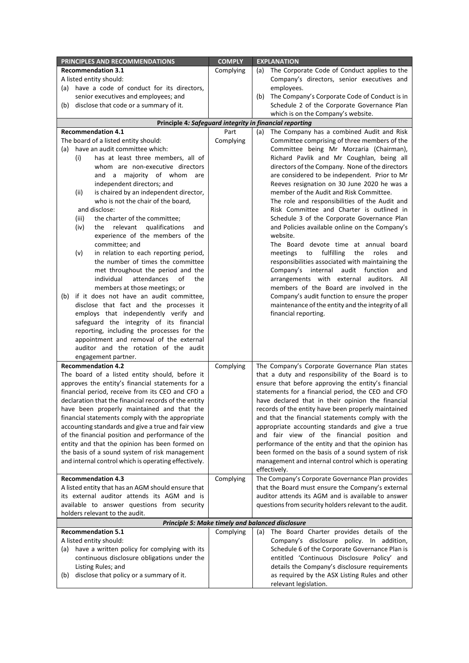| PRINCIPLES AND RECOMMENDATIONS                                                                       | <b>COMPLY</b> | <b>EXPLANATION</b>                                                                                        |  |
|------------------------------------------------------------------------------------------------------|---------------|-----------------------------------------------------------------------------------------------------------|--|
| <b>Recommendation 3.1</b>                                                                            | Complying     | The Corporate Code of Conduct applies to the<br>(a)                                                       |  |
| A listed entity should:                                                                              |               | Company's directors, senior executives and                                                                |  |
| (a) have a code of conduct for its directors,                                                        |               | employees.                                                                                                |  |
| senior executives and employees; and                                                                 |               | The Company's Corporate Code of Conduct is in<br>(b)                                                      |  |
| disclose that code or a summary of it.<br>(b)                                                        |               | Schedule 2 of the Corporate Governance Plan                                                               |  |
|                                                                                                      |               | which is on the Company's website.                                                                        |  |
|                                                                                                      |               | Principle 4: Safeguard integrity in financial reporting                                                   |  |
| <b>Recommendation 4.1</b>                                                                            | Part          | The Company has a combined Audit and Risk<br>(a)                                                          |  |
| The board of a listed entity should:                                                                 | Complying     | Committee comprising of three members of the                                                              |  |
| (a) have an audit committee which:                                                                   |               | Committee being Mr Morzaria (Chairman),                                                                   |  |
| has at least three members, all of<br>(i)                                                            |               | Richard Pavlik and Mr Coughlan, being all                                                                 |  |
| whom are non-executive directors                                                                     |               | directors of the Company. None of the directors                                                           |  |
| and a majority of whom are                                                                           |               | are considered to be independent. Prior to Mr                                                             |  |
| independent directors; and                                                                           |               | Reeves resignation on 30 June 2020 he was a                                                               |  |
| is chaired by an independent director,<br>(ii)                                                       |               | member of the Audit and Risk Committee.                                                                   |  |
| who is not the chair of the board,                                                                   |               | The role and responsibilities of the Audit and                                                            |  |
| and disclose:                                                                                        |               | Risk Committee and Charter is outlined in                                                                 |  |
| the charter of the committee;<br>(iii)                                                               |               | Schedule 3 of the Corporate Governance Plan                                                               |  |
| the relevant<br>qualifications<br>(iv)<br>and                                                        |               | and Policies available online on the Company's                                                            |  |
| experience of the members of the                                                                     |               | website.                                                                                                  |  |
| committee; and                                                                                       |               | The Board devote time at annual board                                                                     |  |
| in relation to each reporting period,<br>(v)                                                         |               | meetings<br>fulfilling<br>the<br>roles<br>to<br>and                                                       |  |
| the number of times the committee                                                                    |               | responsibilities associated with maintaining the                                                          |  |
| met throughout the period and the                                                                    |               | Company's internal<br>audit function<br>and                                                               |  |
| individual<br>attendances<br>of<br>the                                                               |               | arrangements with external auditors. All                                                                  |  |
| members at those meetings; or                                                                        |               | members of the Board are involved in the                                                                  |  |
| if it does not have an audit committee,<br>(b)                                                       |               | Company's audit function to ensure the proper                                                             |  |
| disclose that fact and the processes it                                                              |               | maintenance of the entity and the integrity of all                                                        |  |
| employs that independently verify and                                                                |               | financial reporting.                                                                                      |  |
| safeguard the integrity of its financial                                                             |               |                                                                                                           |  |
| reporting, including the processes for the                                                           |               |                                                                                                           |  |
| appointment and removal of the external<br>auditor and the rotation of the audit                     |               |                                                                                                           |  |
|                                                                                                      |               |                                                                                                           |  |
| engagement partner.                                                                                  |               |                                                                                                           |  |
| <b>Recommendation 4.2</b>                                                                            | Complying     | The Company's Corporate Governance Plan states                                                            |  |
| The board of a listed entity should, before it                                                       |               | that a duty and responsibility of the Board is to                                                         |  |
| approves the entity's financial statements for a<br>financial period, receive from its CEO and CFO a |               | ensure that before approving the entity's financial<br>statements for a financial period, the CEO and CFO |  |
| declaration that the financial records of the entity                                                 |               | have declared that in their opinion the financial                                                         |  |
| have been properly maintained and that the                                                           |               | records of the entity have been properly maintained                                                       |  |
| financial statements comply with the appropriate                                                     |               | and that the financial statements comply with the                                                         |  |
| accounting standards and give a true and fair view                                                   |               | appropriate accounting standards and give a true                                                          |  |
| of the financial position and performance of the                                                     |               | and fair view of the financial position and                                                               |  |
| entity and that the opinion has been formed on                                                       |               | performance of the entity and that the opinion has                                                        |  |
| the basis of a sound system of risk management                                                       |               | been formed on the basis of a sound system of risk                                                        |  |
| and internal control which is operating effectively.                                                 |               | management and internal control which is operating                                                        |  |
|                                                                                                      |               | effectively.                                                                                              |  |
| <b>Recommendation 4.3</b>                                                                            | Complying     | The Company's Corporate Governance Plan provides                                                          |  |
| A listed entity that has an AGM should ensure that                                                   |               | that the Board must ensure the Company's external                                                         |  |
| its external auditor attends its AGM and is                                                          |               | auditor attends its AGM and is available to answer                                                        |  |
| available to answer questions from security                                                          |               | questions from security holders relevant to the audit.                                                    |  |
| holders relevant to the audit.                                                                       |               |                                                                                                           |  |
| Principle 5: Make timely and balanced disclosure                                                     |               |                                                                                                           |  |
| <b>Recommendation 5.1</b>                                                                            | Complying     | The Board Charter provides details of the<br>(a)                                                          |  |
| A listed entity should:                                                                              |               | Company's disclosure policy. In addition,                                                                 |  |
| have a written policy for complying with its<br>(a)                                                  |               | Schedule 6 of the Corporate Governance Plan is                                                            |  |
| continuous disclosure obligations under the                                                          |               | entitled 'Continuous Disclosure Policy' and                                                               |  |
| Listing Rules; and                                                                                   |               | details the Company's disclosure requirements                                                             |  |
| disclose that policy or a summary of it.<br>(b)                                                      |               | as required by the ASX Listing Rules and other                                                            |  |
|                                                                                                      |               | relevant legislation.                                                                                     |  |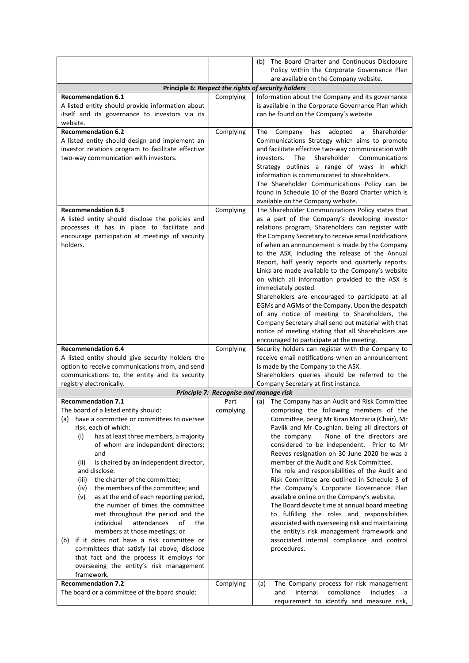|                                                                 |                                        | The Board Charter and Continuous Disclosure<br>(b)                                               |  |  |  |
|-----------------------------------------------------------------|----------------------------------------|--------------------------------------------------------------------------------------------------|--|--|--|
|                                                                 |                                        | Policy within the Corporate Governance Plan                                                      |  |  |  |
|                                                                 |                                        | are available on the Company website.                                                            |  |  |  |
|                                                                 |                                        | Principle 6: Respect the rights of security holders                                              |  |  |  |
| <b>Recommendation 6.1</b>                                       | Complying                              | Information about the Company and its governance                                                 |  |  |  |
| A listed entity should provide information about                |                                        | is available in the Corporate Governance Plan which                                              |  |  |  |
| itself and its governance to investors via its                  |                                        | can be found on the Company's website.                                                           |  |  |  |
| website.                                                        |                                        |                                                                                                  |  |  |  |
| <b>Recommendation 6.2</b>                                       | Complying                              | adopted<br>Shareholder<br>The<br>Company<br>has<br>a                                             |  |  |  |
| A listed entity should design and implement an                  |                                        | Communications Strategy which aims to promote                                                    |  |  |  |
| investor relations program to facilitate effective              |                                        | and facilitate effective two-way communication with                                              |  |  |  |
| two-way communication with investors.                           |                                        | Shareholder<br>investors.<br>The<br>Communications                                               |  |  |  |
|                                                                 |                                        | Strategy outlines a range of ways in which<br>information is communicated to shareholders.       |  |  |  |
|                                                                 |                                        | The Shareholder Communications Policy can be                                                     |  |  |  |
|                                                                 |                                        | found in Schedule 10 of the Board Charter which is                                               |  |  |  |
|                                                                 |                                        | available on the Company website.                                                                |  |  |  |
| <b>Recommendation 6.3</b>                                       | Complying                              | The Shareholder Communications Policy states that                                                |  |  |  |
| A listed entity should disclose the policies and                |                                        | as a part of the Company's developing investor                                                   |  |  |  |
| processes it has in place to facilitate and                     |                                        | relations program, Shareholders can register with                                                |  |  |  |
| encourage participation at meetings of security                 |                                        | the Company Secretary to receive email notifications                                             |  |  |  |
| holders.                                                        |                                        | of when an announcement is made by the Company                                                   |  |  |  |
|                                                                 |                                        | to the ASX, including the release of the Annual                                                  |  |  |  |
|                                                                 |                                        | Report, half yearly reports and quarterly reports.                                               |  |  |  |
|                                                                 |                                        | Links are made available to the Company's website                                                |  |  |  |
|                                                                 |                                        | on which all information provided to the ASX is                                                  |  |  |  |
|                                                                 |                                        | immediately posted.                                                                              |  |  |  |
|                                                                 |                                        | Shareholders are encouraged to participate at all                                                |  |  |  |
|                                                                 |                                        | EGMs and AGMs of the Company. Upon the despatch                                                  |  |  |  |
|                                                                 |                                        | of any notice of meeting to Shareholders, the                                                    |  |  |  |
|                                                                 |                                        | Company Secretary shall send out material with that                                              |  |  |  |
|                                                                 |                                        | notice of meeting stating that all Shareholders are<br>encouraged to participate at the meeting. |  |  |  |
| <b>Recommendation 6.4</b>                                       | Complying                              | Security holders can register with the Company to                                                |  |  |  |
| A listed entity should give security holders the                |                                        | receive email notifications when an announcement                                                 |  |  |  |
| option to receive communications from, and send                 |                                        | is made by the Company to the ASX.                                                               |  |  |  |
| communications to, the entity and its security                  |                                        | Shareholders queries should be referred to the                                                   |  |  |  |
| registry electronically.                                        |                                        | Company Secretary at first instance.                                                             |  |  |  |
|                                                                 | Principle 7: Recognise and manage risk |                                                                                                  |  |  |  |
| <b>Recommendation 7.1</b>                                       | Part                                   | The Company has an Audit and Risk Committee<br>(a)                                               |  |  |  |
| The board of a listed entity should:                            | complying                              | comprising the following members of the                                                          |  |  |  |
| have a committee or committees to oversee<br>(a)                |                                        | Committee, being Mr Kiran Morzaria (Chair), Mr                                                   |  |  |  |
| risk, each of which:                                            |                                        | Pavlik and Mr Coughlan, being all directors of                                                   |  |  |  |
| has at least three members, a majority<br>(i)                   |                                        | None of the directors are<br>the company.                                                        |  |  |  |
| of whom are independent directors;                              |                                        | considered to be independent. Prior to Mr                                                        |  |  |  |
| and                                                             |                                        | Reeves resignation on 30 June 2020 he was a                                                      |  |  |  |
| is chaired by an independent director,<br>(ii)<br>and disclose: |                                        | member of the Audit and Risk Committee.                                                          |  |  |  |
| the charter of the committee;<br>(iii)                          |                                        | The role and responsibilities of the Audit and<br>Risk Committee are outlined in Schedule 3 of   |  |  |  |
| the members of the committee; and<br>(iv)                       |                                        | the Company's Corporate Governance Plan                                                          |  |  |  |
| as at the end of each reporting period,<br>(v)                  |                                        | available online on the Company's website.                                                       |  |  |  |
| the number of times the committee                               |                                        | The Board devote time at annual board meeting                                                    |  |  |  |
| met throughout the period and the                               |                                        | to fulfilling the roles and responsibilities                                                     |  |  |  |
| individual<br>attendances<br>of<br>the                          |                                        | associated with overseeing risk and maintaining                                                  |  |  |  |
| members at those meetings; or                                   |                                        | the entity's risk management framework and                                                       |  |  |  |
| if it does not have a risk committee or<br>(b)                  |                                        | associated internal compliance and control                                                       |  |  |  |
| committees that satisfy (a) above, disclose                     |                                        | procedures.                                                                                      |  |  |  |
| that fact and the process it employs for                        |                                        |                                                                                                  |  |  |  |
| overseeing the entity's risk management                         |                                        |                                                                                                  |  |  |  |
| framework.                                                      |                                        |                                                                                                  |  |  |  |
| <b>Recommendation 7.2</b>                                       | Complying                              | The Company process for risk management<br>(a)                                                   |  |  |  |
| The board or a committee of the board should:                   |                                        | compliance<br>and<br>internal<br>includes<br>a                                                   |  |  |  |
|                                                                 |                                        | requirement to identify and measure risk,                                                        |  |  |  |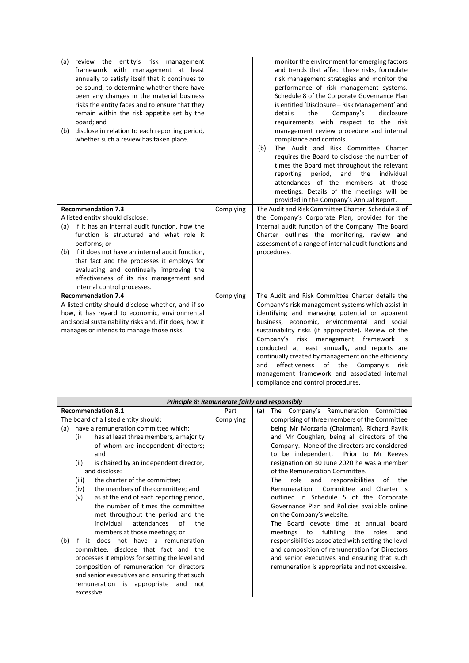| review the entity's risk management<br>(a)<br>framework with management at least<br>annually to satisfy itself that it continues to<br>be sound, to determine whether there have<br>been any changes in the material business<br>risks the entity faces and to ensure that they<br>remain within the risk appetite set by the<br>board; and<br>disclose in relation to each reporting period,<br>(b)<br>whether such a review has taken place. |           | monitor the environment for emerging factors<br>and trends that affect these risks, formulate<br>risk management strategies and monitor the<br>performance of risk management systems.<br>Schedule 8 of the Corporate Governance Plan<br>is entitled 'Disclosure – Risk Management' and<br>Company's<br>details<br>the<br>disclosure<br>requirements with respect to the risk<br>management review procedure and internal<br>compliance and controls.<br>The Audit and Risk Committee Charter<br>(b)<br>requires the Board to disclose the number of<br>times the Board met throughout the relevant<br>period, and the individual<br>reporting<br>attendances of the members at those<br>meetings. Details of the meetings will be<br>provided in the Company's Annual Report. |
|------------------------------------------------------------------------------------------------------------------------------------------------------------------------------------------------------------------------------------------------------------------------------------------------------------------------------------------------------------------------------------------------------------------------------------------------|-----------|--------------------------------------------------------------------------------------------------------------------------------------------------------------------------------------------------------------------------------------------------------------------------------------------------------------------------------------------------------------------------------------------------------------------------------------------------------------------------------------------------------------------------------------------------------------------------------------------------------------------------------------------------------------------------------------------------------------------------------------------------------------------------------|
| <b>Recommendation 7.3</b>                                                                                                                                                                                                                                                                                                                                                                                                                      | Complying | The Audit and Risk Committee Charter, Schedule 3 of                                                                                                                                                                                                                                                                                                                                                                                                                                                                                                                                                                                                                                                                                                                            |
| A listed entity should disclose:                                                                                                                                                                                                                                                                                                                                                                                                               |           | the Company's Corporate Plan, provides for the                                                                                                                                                                                                                                                                                                                                                                                                                                                                                                                                                                                                                                                                                                                                 |
| (a) if it has an internal audit function, how the                                                                                                                                                                                                                                                                                                                                                                                              |           | internal audit function of the Company. The Board                                                                                                                                                                                                                                                                                                                                                                                                                                                                                                                                                                                                                                                                                                                              |
| function is structured and what role it                                                                                                                                                                                                                                                                                                                                                                                                        |           | Charter outlines the monitoring, review and                                                                                                                                                                                                                                                                                                                                                                                                                                                                                                                                                                                                                                                                                                                                    |
| performs; or                                                                                                                                                                                                                                                                                                                                                                                                                                   |           | assessment of a range of internal audit functions and                                                                                                                                                                                                                                                                                                                                                                                                                                                                                                                                                                                                                                                                                                                          |
| if it does not have an internal audit function,<br>(b)                                                                                                                                                                                                                                                                                                                                                                                         |           | procedures.                                                                                                                                                                                                                                                                                                                                                                                                                                                                                                                                                                                                                                                                                                                                                                    |
| that fact and the processes it employs for                                                                                                                                                                                                                                                                                                                                                                                                     |           |                                                                                                                                                                                                                                                                                                                                                                                                                                                                                                                                                                                                                                                                                                                                                                                |
| evaluating and continually improving the                                                                                                                                                                                                                                                                                                                                                                                                       |           |                                                                                                                                                                                                                                                                                                                                                                                                                                                                                                                                                                                                                                                                                                                                                                                |
| effectiveness of its risk management and                                                                                                                                                                                                                                                                                                                                                                                                       |           |                                                                                                                                                                                                                                                                                                                                                                                                                                                                                                                                                                                                                                                                                                                                                                                |
| internal control processes.                                                                                                                                                                                                                                                                                                                                                                                                                    |           |                                                                                                                                                                                                                                                                                                                                                                                                                                                                                                                                                                                                                                                                                                                                                                                |
| <b>Recommendation 7.4</b>                                                                                                                                                                                                                                                                                                                                                                                                                      | Complying | The Audit and Risk Committee Charter details the                                                                                                                                                                                                                                                                                                                                                                                                                                                                                                                                                                                                                                                                                                                               |
| A listed entity should disclose whether, and if so                                                                                                                                                                                                                                                                                                                                                                                             |           | Company's risk management systems which assist in                                                                                                                                                                                                                                                                                                                                                                                                                                                                                                                                                                                                                                                                                                                              |
| how, it has regard to economic, environmental                                                                                                                                                                                                                                                                                                                                                                                                  |           | identifying and managing potential or apparent                                                                                                                                                                                                                                                                                                                                                                                                                                                                                                                                                                                                                                                                                                                                 |
| and social sustainability risks and, if it does, how it                                                                                                                                                                                                                                                                                                                                                                                        |           | business, economic, environmental and social                                                                                                                                                                                                                                                                                                                                                                                                                                                                                                                                                                                                                                                                                                                                   |
| manages or intends to manage those risks.                                                                                                                                                                                                                                                                                                                                                                                                      |           | sustainability risks (if appropriate). Review of the                                                                                                                                                                                                                                                                                                                                                                                                                                                                                                                                                                                                                                                                                                                           |
|                                                                                                                                                                                                                                                                                                                                                                                                                                                |           | risk management framework is<br>Company's                                                                                                                                                                                                                                                                                                                                                                                                                                                                                                                                                                                                                                                                                                                                      |
|                                                                                                                                                                                                                                                                                                                                                                                                                                                |           | conducted at least annually, and reports are                                                                                                                                                                                                                                                                                                                                                                                                                                                                                                                                                                                                                                                                                                                                   |
|                                                                                                                                                                                                                                                                                                                                                                                                                                                |           | continually created by management on the efficiency<br>effectiveness<br>and                                                                                                                                                                                                                                                                                                                                                                                                                                                                                                                                                                                                                                                                                                    |
|                                                                                                                                                                                                                                                                                                                                                                                                                                                |           | of the<br>Company's<br>risk<br>management framework and associated internal                                                                                                                                                                                                                                                                                                                                                                                                                                                                                                                                                                                                                                                                                                    |
|                                                                                                                                                                                                                                                                                                                                                                                                                                                |           |                                                                                                                                                                                                                                                                                                                                                                                                                                                                                                                                                                                                                                                                                                                                                                                |
|                                                                                                                                                                                                                                                                                                                                                                                                                                                |           | compliance and control procedures.                                                                                                                                                                                                                                                                                                                                                                                                                                                                                                                                                                                                                                                                                                                                             |

| Principle 8: Remunerate fairly and responsibly |           |                                                     |  |
|------------------------------------------------|-----------|-----------------------------------------------------|--|
| <b>Recommendation 8.1</b>                      | Part      | The Company's Remuneration Committee<br>(a)         |  |
| The board of a listed entity should:           | Complying | comprising of three members of the Committee        |  |
| have a remuneration committee which:<br>(a)    |           | being Mr Morzaria (Chairman), Richard Pavlik        |  |
| has at least three members, a majority<br>(i)  |           | and Mr Coughlan, being all directors of the         |  |
| of whom are independent directors;             |           | Company. None of the directors are considered       |  |
| and                                            |           | to be independent.  Prior to Mr Reeves              |  |
| (ii)<br>is chaired by an independent director, |           | resignation on 30 June 2020 he was a member         |  |
| and disclose:                                  |           | of the Remuneration Committee.                      |  |
| (iii)<br>the charter of the committee;         |           | responsibilities<br>The<br>role<br>and<br>of the    |  |
| the members of the committee; and<br>(iv)      |           | Committee and Charter is<br>Remuneration            |  |
| as at the end of each reporting period,<br>(v) |           | outlined in Schedule 5 of the Corporate             |  |
| the number of times the committee              |           | Governance Plan and Policies available online       |  |
| met throughout the period and the              |           | on the Company's website.                           |  |
| individual<br>attendances<br>of<br>the         |           | The Board devote time at annual board               |  |
| members at those meetings; or                  |           | fulfilling<br>the<br>meetings<br>to<br>roles<br>and |  |
| it does not have a remuneration<br>(b)<br>if   |           | responsibilities associated with setting the level  |  |
| committee, disclose that fact and the          |           | and composition of remuneration for Directors       |  |
| processes it employs for setting the level and |           | and senior executives and ensuring that such        |  |
| composition of remuneration for directors      |           | remuneration is appropriate and not excessive.      |  |
| and senior executives and ensuring that such   |           |                                                     |  |
| is appropriate<br>remuneration<br>and<br>not   |           |                                                     |  |
| excessive.                                     |           |                                                     |  |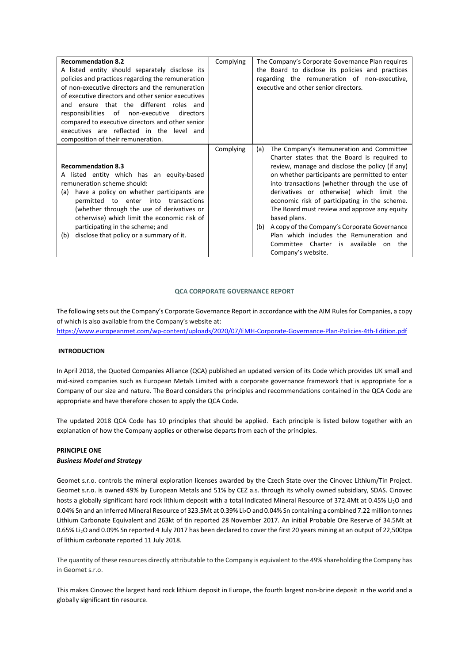| <b>Recommendation 8.2</b><br>A listed entity should separately disclose its<br>policies and practices regarding the remuneration<br>of non-executive directors and the remuneration<br>of executive directors and other senior executives<br>and ensure that the different roles and<br>responsibilities of non-executive<br>directors                                              | Complying | The Company's Corporate Governance Plan requires<br>the Board to disclose its policies and practices<br>regarding the remuneration of non-executive,<br>executive and other senior directors.                                                                                                                                                                                                                                                                                                                                                                                               |
|-------------------------------------------------------------------------------------------------------------------------------------------------------------------------------------------------------------------------------------------------------------------------------------------------------------------------------------------------------------------------------------|-----------|---------------------------------------------------------------------------------------------------------------------------------------------------------------------------------------------------------------------------------------------------------------------------------------------------------------------------------------------------------------------------------------------------------------------------------------------------------------------------------------------------------------------------------------------------------------------------------------------|
| compared to executive directors and other senior<br>executives are reflected in the level and<br>composition of their remuneration.                                                                                                                                                                                                                                                 |           |                                                                                                                                                                                                                                                                                                                                                                                                                                                                                                                                                                                             |
| <b>Recommendation 8.3</b><br>listed entity which has an equity-based<br>remuneration scheme should:<br>have a policy on whether participants are<br>(a)<br>permitted to enter into transactions<br>(whether through the use of derivatives or<br>otherwise) which limit the economic risk of<br>participating in the scheme; and<br>disclose that policy or a summary of it.<br>(b) | Complying | The Company's Remuneration and Committee<br>(a)<br>Charter states that the Board is required to<br>review, manage and disclose the policy (if any)<br>on whether participants are permitted to enter<br>into transactions (whether through the use of<br>derivatives or otherwise) which limit the<br>economic risk of participating in the scheme.<br>The Board must review and approve any equity<br>based plans.<br>A copy of the Company's Corporate Governance<br>(b)<br>Plan which includes the Remuneration and<br>Committee Charter is available<br>the<br>on<br>Company's website. |

# **QCA CORPORATE GOVERNANCE REPORT**

The following sets out the Company's Corporate Governance Report in accordance with the AIM Rules for Companies, a copy of which is also available from the Company's website at:

<https://www.europeanmet.com/wp-content/uploads/2020/07/EMH-Corporate-Governance-Plan-Policies-4th-Edition.pdf>

# **INTRODUCTION**

In April 2018, the Quoted Companies Alliance (QCA) published an updated version of its Code which provides UK small and mid-sized companies such as European Metals Limited with a corporate governance framework that is appropriate for a Company of our size and nature. The Board considers the principles and recommendations contained in the QCA Code are appropriate and have therefore chosen to apply the QCA Code.

The updated 2018 QCA Code has 10 principles that should be applied. Each principle is listed below together with an explanation of how the Company applies or otherwise departs from each of the principles.

#### **PRINCIPLE ONE**

# *Business Model and Strategy*

Geomet s.r.o. controls the mineral exploration licenses awarded by the Czech State over the Cinovec Lithium/Tin Project. Geomet s.r.o. is owned 49% by European Metals and 51% by CEZ a.s. through its wholly owned subsidiary, SDAS. Cinovec hosts a globally significant hard rock lithium deposit with a total Indicated Mineral Resource of 372.4Mt at 0.45% Li2O and 0.04% Sn and an Inferred Mineral Resource of 323.5Mt at 0.39% Li<sub>2</sub>O and 0.04% Sn containing a combined 7.22 million tonnes Lithium Carbonate Equivalent and 263kt of tin reported 28 November 2017. An initial Probable Ore Reserve of 34.5Mt at 0.65% Li2O and 0.09% Sn reported 4 July 2017 has been declared to cover the first 20 years mining at an output of 22,500tpa of lithium carbonate reported 11 July 2018.

The quantity of these resources directly attributable to the Company is equivalent to the 49% shareholding the Company has in Geomet s.r.o.

This makes Cinovec the largest hard rock lithium deposit in Europe, the fourth largest non-brine deposit in the world and a globally significant tin resource.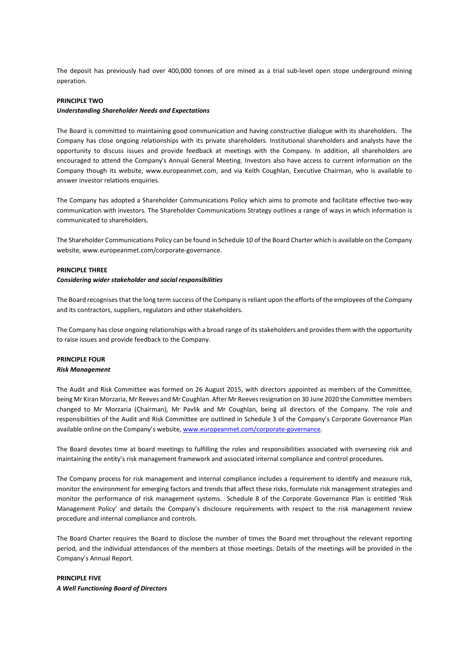The deposit has previously had over 400,000 tonnes of ore mined as a trial sub-level open stope underground mining operation.

# **PRINCIPLE TWO**

#### *Understanding Shareholder Needs and Expectations*

The Board is committed to maintaining good communication and having constructive dialogue with its shareholders. The Company has close ongoing relationships with its private shareholders. Institutional shareholders and analysts have the opportunity to discuss issues and provide feedback at meetings with the Company. In addition, all shareholders are encouraged to attend the Company's Annual General Meeting. Investors also have access to current information on the Company though its website, www.europeanmet.com, and via Keith Coughlan, Executive Chairman, who is available to answer investor relations enquiries.

The Company has adopted a Shareholder Communications Policy which aims to promote and facilitate effective two-way communication with investors. The Shareholder Communications Strategy outlines a range of ways in which information is communicated to shareholders.

The Shareholder Communications Policy can be found in Schedule 10 of the Board Charter which is available on the Company website, [www.europeanmet.com/corporate-governance.](http://www.europeanmet.com/corporate-governance)

#### **PRINCIPLE THREE**

#### *Considering wider stakeholder and social responsibilities*

The Board recognises that the long term success of the Company is reliant upon the efforts of the employees of the Company and its contractors, suppliers, regulators and other stakeholders.

The Company has close ongoing relationships with a broad range of its stakeholders and provides them with the opportunity to raise issues and provide feedback to the Company.

# **PRINCIPLE FOUR** *Risk Management*

The Audit and Risk Committee was formed on 26 August 2015, with directors appointed as members of the Committee, being Mr Kiran Morzaria, Mr Reeves and Mr Coughlan. After Mr Reeves resignation on 30 June 2020 the Committee members changed to Mr Morzaria (Chairman), Mr Pavlik and Mr Coughlan, being all directors of the Company. The role and responsibilities of the Audit and Risk Committee are outlined in Schedule 3 of the Company's Corporate Governance Plan available online on the Company's website[, www.europeanmet.com/corporate-governance.](http://www.europeanmet.com/corporate-governance)

The Board devotes time at board meetings to fulfilling the roles and responsibilities associated with overseeing risk and maintaining the entity's risk management framework and associated internal compliance and control procedures.

The Company process for risk management and internal compliance includes a requirement to identify and measure risk, monitor the environment for emerging factors and trends that affect these risks, formulate risk management strategies and monitor the performance of risk management systems. Schedule 8 of the Corporate Governance Plan is entitled 'Risk Management Policy' and details the Company's disclosure requirements with respect to the risk management review procedure and internal compliance and controls.

The Board Charter requires the Board to disclose the number of times the Board met throughout the relevant reporting period, and the individual attendances of the members at those meetings. Details of the meetings will be provided in the Company's Annual Report.

**PRINCIPLE FIVE** *A Well Functioning Board of Directors*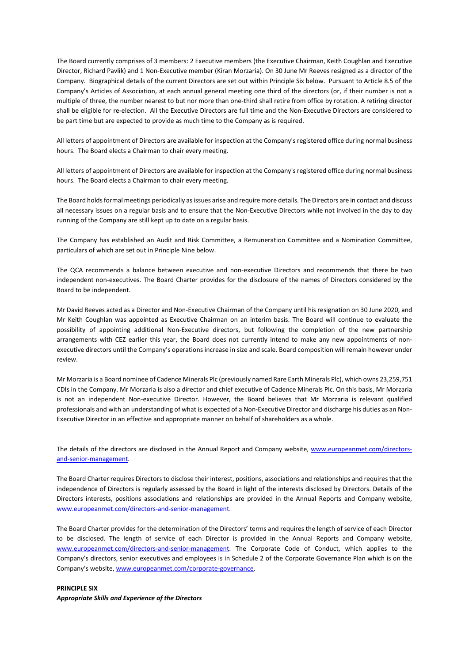The Board currently comprises of 3 members: 2 Executive members (the Executive Chairman, Keith Coughlan and Executive Director, Richard Pavlik) and 1 Non-Executive member (Kiran Morzaria). On 30 June Mr Reeves resigned as a director of the Company. Biographical details of the current Directors are set out within Principle Six below. Pursuant to Article 8.5 of the Company's Articles of Association, at each annual general meeting one third of the directors (or, if their number is not a multiple of three, the number nearest to but nor more than one-third shall retire from office by rotation. A retiring director shall be eligible for re-election. All the Executive Directors are full time and the Non-Executive Directors are considered to be part time but are expected to provide as much time to the Company as is required.

All letters of appointment of Directors are available for inspection at the Company's registered office during normal business hours. The Board elects a Chairman to chair every meeting.

All letters of appointment of Directors are available for inspection at the Company's registered office during normal business hours. The Board elects a Chairman to chair every meeting.

The Board holds formal meetings periodically as issues arise and require more details. The Directors are in contact and discuss all necessary issues on a regular basis and to ensure that the Non-Executive Directors while not involved in the day to day running of the Company are still kept up to date on a regular basis.

The Company has established an Audit and Risk Committee, a Remuneration Committee and a Nomination Committee, particulars of which are set out in Principle Nine below.

The QCA recommends a balance between executive and non-executive Directors and recommends that there be two independent non-executives. The Board Charter provides for the disclosure of the names of Directors considered by the Board to be independent.

Mr David Reeves acted as a Director and Non-Executive Chairman of the Company until his resignation on 30 June 2020, and Mr Keith Coughlan was appointed as Executive Chairman on an interim basis. The Board will continue to evaluate the possibility of appointing additional Non-Executive directors, but following the completion of the new partnership arrangements with CEZ earlier this year, the Board does not currently intend to make any new appointments of nonexecutive directors until the Company's operations increase in size and scale. Board composition will remain however under review.

Mr Morzaria is a Board nominee of Cadence Minerals Plc (previously named Rare Earth Minerals Plc), which owns 23,259,751 CDIs in the Company. Mr Morzaria is also a director and chief executive of Cadence Minerals Plc. On this basis, Mr Morzaria is not an independent Non-executive Director. However, the Board believes that Mr Morzaria is relevant qualified professionals and with an understanding of what is expected of a Non-Executive Director and discharge his duties as an Non-Executive Director in an effective and appropriate manner on behalf of shareholders as a whole.

The details of the directors are disclosed in the Annual Report and Company website, [www.europeanmet.com/directors](http://www.europeanmet.com/directors-and-senior-management)[and-senior-management.](http://www.europeanmet.com/directors-and-senior-management) 

The Board Charter requires Directors to disclose their interest, positions, associations and relationships and requires that the independence of Directors is regularly assessed by the Board in light of the interests disclosed by Directors. Details of the Directors interests, positions associations and relationships are provided in the Annual Reports and Company website, [www.europeanmet.com/directors-and-senior-management.](http://www.europeanmet.com/directors-and-senior-management)

The Board Charter provides for the determination of the Directors' terms and requires the length of service of each Director to be disclosed. The length of service of each Director is provided in the Annual Reports and Company website, [www.europeanmet.com/directors-and-senior-management.](http://www.europeanmet.com/directors-and-senior-management) The Corporate Code of Conduct, which applies to the Company's directors, senior executives and employees is in Schedule 2 of the Corporate Governance Plan which is on the Company's website[, www.europeanmet.com/corporate-governance.](http://www.europeanmet.com/corporate-governance)

**PRINCIPLE SIX** *Appropriate Skills and Experience of the Directors*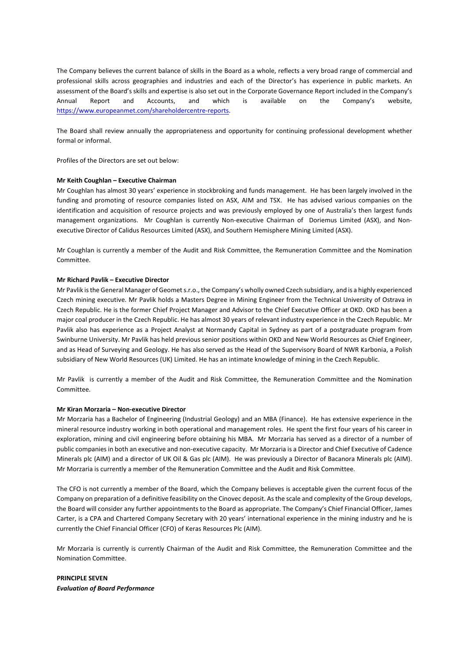The Company believes the current balance of skills in the Board as a whole, reflects a very broad range of commercial and professional skills across geographies and industries and each of the Director's has experience in public markets. An assessment of the Board's skills and expertise is also set out in the Corporate Governance Report included in the Company's Annual Report and Accounts, and which is available on the Company's website, https://www.europeanmet.com/shareholdercentre-reports.

The Board shall review annually the appropriateness and opportunity for continuing professional development whether formal or informal.

Profiles of the Directors are set out below:

### **Mr Keith Coughlan – Executive Chairman**

Mr Coughlan has almost 30 years' experience in stockbroking and funds management. He has been largely involved in the funding and promoting of resource companies listed on ASX, AIM and TSX. He has advised various companies on the identification and acquisition of resource projects and was previously employed by one of Australia's then largest funds management organizations. Mr Coughlan is currently Non-executive Chairman of Doriemus Limited (ASX), and Nonexecutive Director of Calidus Resources Limited (ASX), and Southern Hemisphere Mining Limited (ASX).

Mr Coughlan is currently a member of the Audit and Risk Committee, the Remuneration Committee and the Nomination Committee.

#### **Mr Richard Pavlik – Executive Director**

Mr Pavlik is the General Manager of Geomet s.r.o., the Company's wholly owned Czech subsidiary, and is a highly experienced Czech mining executive. Mr Pavlik holds a Masters Degree in Mining Engineer from the Technical University of Ostrava in Czech Republic. He is the former Chief Project Manager and Advisor to the Chief Executive Officer at OKD. OKD has been a major coal producer in the Czech Republic. He has almost 30 years of relevant industry experience in the Czech Republic. Mr Pavlik also has experience as a Project Analyst at Normandy Capital in Sydney as part of a postgraduate program from Swinburne University. Mr Pavlik has held previous senior positions within OKD and New World Resources as Chief Engineer, and as Head of Surveying and Geology. He has also served as the Head of the Supervisory Board of NWR Karbonia, a Polish subsidiary of New World Resources (UK) Limited. He has an intimate knowledge of mining in the Czech Republic.

Mr Pavlik is currently a member of the Audit and Risk Committee, the Remuneration Committee and the Nomination Committee.

### **Mr Kiran Morzaria – Non-executive Director**

Mr Morzaria has a Bachelor of Engineering (Industrial Geology) and an MBA (Finance). He has extensive experience in the mineral resource industry working in both operational and management roles. He spent the first four years of his career in exploration, mining and civil engineering before obtaining his MBA. Mr Morzaria has served as a director of a number of public companies in both an executive and non-executive capacity. Mr Morzaria is a Director and Chief Executive of Cadence Minerals plc (AIM) and a director of UK Oil & Gas plc (AIM). He was previously a Director of Bacanora Minerals plc (AIM). Mr Morzaria is currently a member of the Remuneration Committee and the Audit and Risk Committee.

The CFO is not currently a member of the Board, which the Company believes is acceptable given the current focus of the Company on preparation of a definitive feasibility on the Cinovec deposit. As the scale and complexity of the Group develops, the Board will consider any further appointments to the Board as appropriate. The Company's Chief Financial Officer, James Carter, is a CPA and Chartered Company Secretary with 20 years' international experience in the mining industry and he is currently the Chief Financial Officer (CFO) of Keras Resources Plc (AIM).

Mr Morzaria is currently is currently Chairman of the Audit and Risk Committee, the Remuneration Committee and the Nomination Committee.

**PRINCIPLE SEVEN** *Evaluation of Board Performance*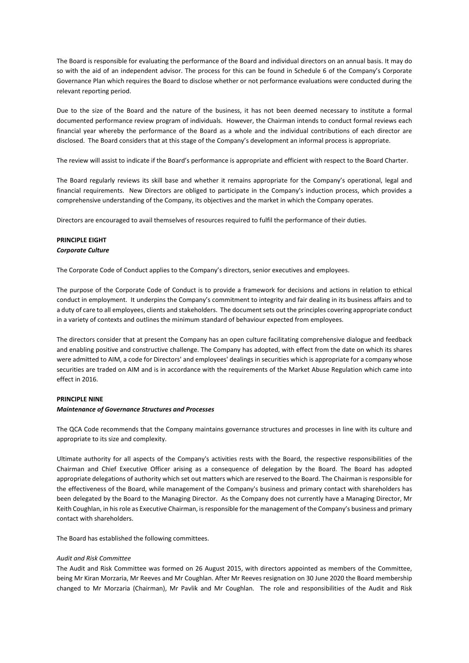The Board is responsible for evaluating the performance of the Board and individual directors on an annual basis. It may do so with the aid of an independent advisor. The process for this can be found in Schedule 6 of the Company's Corporate Governance Plan which requires the Board to disclose whether or not performance evaluations were conducted during the relevant reporting period.

Due to the size of the Board and the nature of the business, it has not been deemed necessary to institute a formal documented performance review program of individuals. However, the Chairman intends to conduct formal reviews each financial year whereby the performance of the Board as a whole and the individual contributions of each director are disclosed. The Board considers that at this stage of the Company's development an informal process is appropriate.

The review will assist to indicate if the Board's performance is appropriate and efficient with respect to the Board Charter.

The Board regularly reviews its skill base and whether it remains appropriate for the Company's operational, legal and financial requirements. New Directors are obliged to participate in the Company's induction process, which provides a comprehensive understanding of the Company, its objectives and the market in which the Company operates.

Directors are encouraged to avail themselves of resources required to fulfil the performance of their duties.

# **PRINCIPLE EIGHT** *Corporate Culture*

The Corporate Code of Conduct applies to the Company's directors, senior executives and employees.

The purpose of the Corporate Code of Conduct is to provide a framework for decisions and actions in relation to ethical conduct in employment. It underpins the Company's commitment to integrity and fair dealing in its business affairs and to a duty of care to all employees, clients and stakeholders. The document sets out the principles covering appropriate conduct in a variety of contexts and outlines the minimum standard of behaviour expected from employees.

The directors consider that at present the Company has an open culture facilitating comprehensive dialogue and feedback and enabling positive and constructive challenge. The Company has adopted, with effect from the date on which its shares were admitted to AIM, a code for Directors' and employees' dealings in securities which is appropriate for a company whose securities are traded on AIM and is in accordance with the requirements of the Market Abuse Regulation which came into effect in 2016.

### **PRINCIPLE NINE**

# *Maintenance of Governance Structures and Processes*

The QCA Code recommends that the Company maintains governance structures and processes in line with its culture and appropriate to its size and complexity.

Ultimate authority for all aspects of the Company's activities rests with the Board, the respective responsibilities of the Chairman and Chief Executive Officer arising as a consequence of delegation by the Board. The Board has adopted appropriate delegations of authority which set out matters which are reserved to the Board. The Chairman is responsible for the effectiveness of the Board, while management of the Company's business and primary contact with shareholders has been delegated by the Board to the Managing Director. As the Company does not currently have a Managing Director, Mr Keith Coughlan, in his role as Executive Chairman, is responsible for the management of the Company's business and primary contact with shareholders.

The Board has established the following committees.

#### *Audit and Risk Committee*

The Audit and Risk Committee was formed on 26 August 2015, with directors appointed as members of the Committee, being Mr Kiran Morzaria, Mr Reeves and Mr Coughlan. After Mr Reeves resignation on 30 June 2020 the Board membership changed to Mr Morzaria (Chairman), Mr Pavlik and Mr Coughlan. The role and responsibilities of the Audit and Risk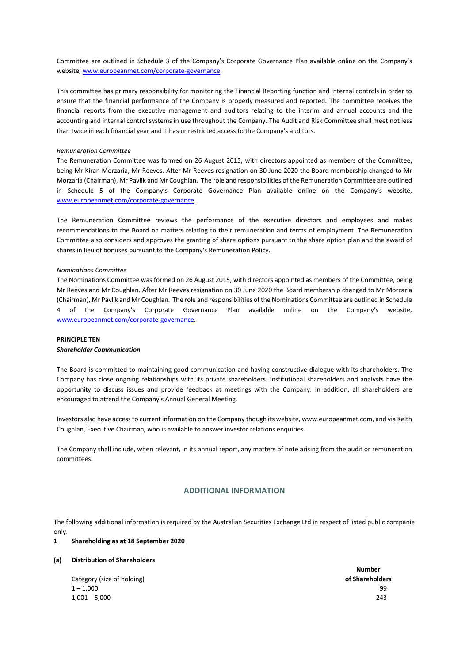Committee are outlined in Schedule 3 of the Company's Corporate Governance Plan available online on the Company's website, [www.europeanmet.com/corporate-governance.](http://www.europeanmet.com/corporate-governance) 

This committee has primary responsibility for monitoring the Financial Reporting function and internal controls in order to ensure that the financial performance of the Company is properly measured and reported. The committee receives the financial reports from the executive management and auditors relating to the interim and annual accounts and the accounting and internal control systems in use throughout the Company. The Audit and Risk Committee shall meet not less than twice in each financial year and it has unrestricted access to the Company's auditors.

# *Remuneration Committee*

The Remuneration Committee was formed on 26 August 2015, with directors appointed as members of the Committee, being Mr Kiran Morzaria, Mr Reeves. After Mr Reeves resignation on 30 June 2020 the Board membership changed to Mr Morzaria (Chairman), Mr Pavlik and Mr Coughlan. The role and responsibilities of the Remuneration Committee are outlined in Schedule 5 of the Company's Corporate Governance Plan available online on the Company's website, [www.europeanmet.com/corporate-governance.](http://www.europeanmet.com/corporate-governance) 

The Remuneration Committee reviews the performance of the executive directors and employees and makes recommendations to the Board on matters relating to their remuneration and terms of employment. The Remuneration Committee also considers and approves the granting of share options pursuant to the share option plan and the award of shares in lieu of bonuses pursuant to the Company's Remuneration Policy.

#### *Nominations Committee*

The Nominations Committee was formed on 26 August 2015, with directors appointed as members of the Committee, being Mr Reeves and Mr Coughlan. After Mr Reeves resignation on 30 June 2020 the Board membership changed to Mr Morzaria (Chairman), Mr Pavlik and Mr Coughlan. The role and responsibilities of the Nominations Committee are outlined in Schedule 4 of the Company's Corporate Governance Plan available online on the Company's website, [www.europeanmet.com/corporate-governance.](http://www.europeanmet.com/corporate-governance) 

# **PRINCIPLE TEN**

## *Shareholder Communication*

The Board is committed to maintaining good communication and having constructive dialogue with its shareholders. The Company has close ongoing relationships with its private shareholders. Institutional shareholders and analysts have the opportunity to discuss issues and provide feedback at meetings with the Company. In addition, all shareholders are encouraged to attend the Company's Annual General Meeting.

Investors also have access to current information on the Company though its website, www.europeanmet.com, and via Keith Coughlan, Executive Chairman, who is available to answer investor relations enquiries.

The Company shall include, when relevant, in its annual report, any matters of note arising from the audit or remuneration committees.

# **ADDITIONAL INFORMATION**

The following additional information is required by the Australian Securities Exchange Ltd in respect of listed public companies only.

#### **1 Shareholding as at 18 September 2020**

#### **(a) Distribution of Shareholders**

Category (size of holding) **of Shareholders**  $1 - 1,000$  99 1,001 – 5,000 243

**Number**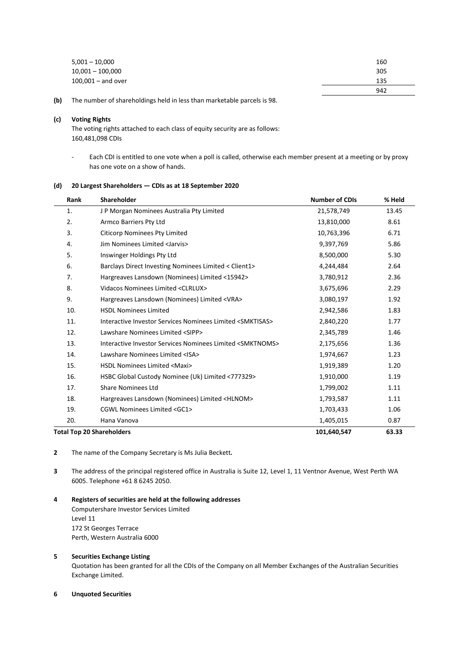| $5,001 - 10,000$     | 160 |
|----------------------|-----|
| $10,001 - 100,000$   | 305 |
| $100,001 -$ and over | 135 |
|                      | 942 |

**(b)** The number of shareholdings held in less than marketable parcels is 98.

# **(c) Voting Rights**

 $\overline{a}$ 

The voting rights attached to each class of equity security are as follows: 160,481,098 CDIs

- Each CDI is entitled to one vote when a poll is called, otherwise each member present at a meeting or by proxy has one vote on a show of hands.

# **(d) 20 Largest Shareholders — CDIs as at 18 September 2020**

| Rank | Shareholder                                                          | <b>Number of CDIs</b> | % Held |
|------|----------------------------------------------------------------------|-----------------------|--------|
| 1.   | J P Morgan Nominees Australia Pty Limited                            | 21,578,749            | 13.45  |
| 2.   | Armco Barriers Pty Ltd                                               | 13,810,000            | 8.61   |
| 3.   | <b>Citicorp Nominees Pty Limited</b>                                 | 10,763,396            | 6.71   |
| 4.   | Jim Nominees Limited <jarvis></jarvis>                               | 9,397,769             | 5.86   |
| 5.   | Inswinger Holdings Pty Ltd                                           | 8,500,000             | 5.30   |
| 6.   | Barclays Direct Investing Nominees Limited < Client1>                | 4,244,484             | 2.64   |
| 7.   | Hargreaves Lansdown (Nominees) Limited <15942>                       | 3,780,912             | 2.36   |
| 8.   | Vidacos Nominees Limited <clrlux></clrlux>                           | 3,675,696             | 2.29   |
| 9.   | Hargreaves Lansdown (Nominees) Limited <vra></vra>                   | 3,080,197             | 1.92   |
| 10.  | <b>HSDL Nominees Limited</b>                                         | 2,942,586             | 1.83   |
| 11.  | Interactive Investor Services Nominees Limited <smktisas></smktisas> | 2,840,220             | 1.77   |
| 12.  | Lawshare Nominees Limited <sipp></sipp>                              | 2,345,789             | 1.46   |
| 13.  | Interactive Investor Services Nominees Limited <smktnoms></smktnoms> | 2,175,656             | 1.36   |
| 14.  | Lawshare Nominees Limited <isa></isa>                                | 1,974,667             | 1.23   |
| 15.  | HSDL Nominees Limited <maxi></maxi>                                  | 1,919,389             | 1.20   |
| 16.  | HSBC Global Custody Nominee (Uk) Limited <777329>                    | 1,910,000             | 1.19   |
| 17.  | <b>Share Nominees Ltd</b>                                            | 1,799,002             | 1.11   |
| 18.  | Hargreaves Lansdown (Nominees) Limited <hlnom></hlnom>               | 1,793,587             | 1.11   |
| 19.  | CGWL Nominees Limited <gc1></gc1>                                    | 1,703,433             | 1.06   |
| 20.  | Hana Vanova                                                          | 1,405,015             | 0.87   |
|      | <b>Total Top 20 Shareholders</b>                                     | 101,640,547           | 63.33  |

**2** The name of the Company Secretary is Ms Julia Beckett*.*

**3** The address of the principal registered office in Australia is Suite 12, Level 1, 11 Ventnor Avenue, West Perth WA 6005. Telephone +61 8 6245 2050.

**4 Registers of securities are held at the following addresses**

Computershare Investor Services Limited Level 11 172 St Georges Terrace Perth, Western Australia 6000

# **5 Securities Exchange Listing**

Quotation has been granted for all the CDIs of the Company on all Member Exchanges of the Australian Securities Exchange Limited.

## **6 Unquoted Securities**